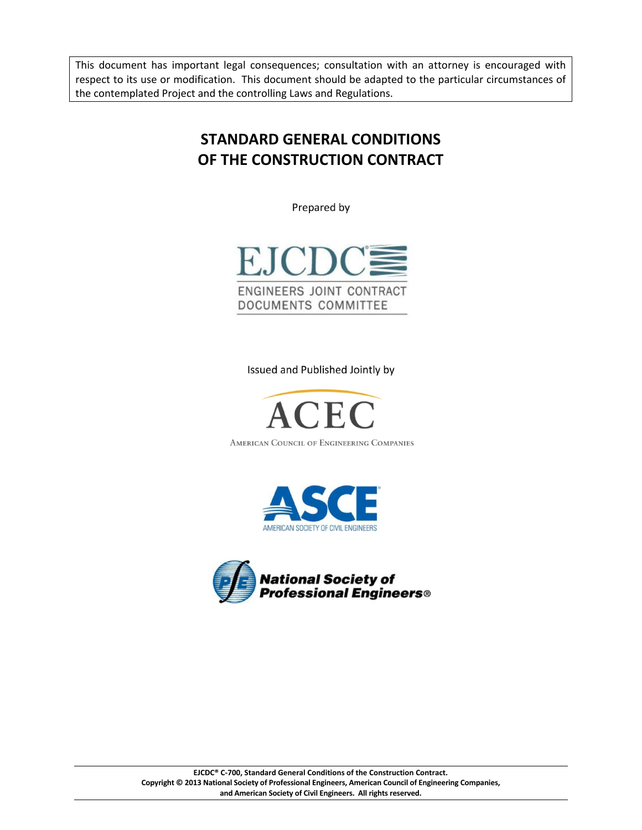This document has important legal consequences; consultation with an attorney is encouraged with respect to its use or modification. This document should be adapted to the particular circumstances of the contemplated Project and the controlling Laws and Regulations.

# **STANDARD GENERAL CONDITIONS OF THE CONSTRUCTION CONTRACT**

Prepared by



Issued and Published Jointly by



AMERICAN COUNCIL OF ENGINEERING COMPANIES



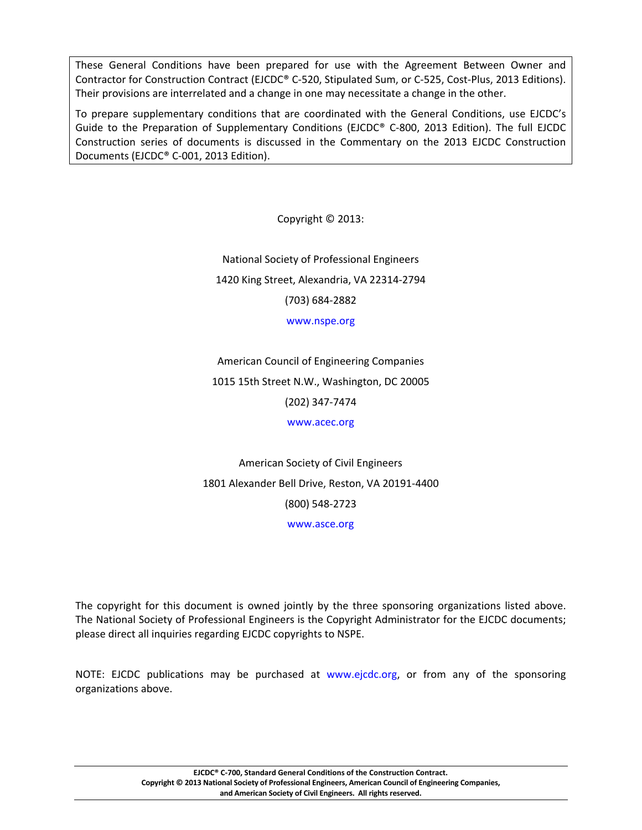These General Conditions have been prepared for use with the Agreement Between Owner and Contractor for Construction Contract (EJCDC® C‐520, Stipulated Sum, or C‐525, Cost‐Plus, 2013 Editions). Their provisions are interrelated and a change in one may necessitate a change in the other.

To prepare supplementary conditions that are coordinated with the General Conditions, use EJCDC's Guide to the Preparation of Supplementary Conditions (EJCDC® C‐800, 2013 Edition). The full EJCDC Construction series of documents is discussed in the Commentary on the 2013 EJCDC Construction Documents (EJCDC® C‐001, 2013 Edition).

Copyright © 2013:

National Society of Professional Engineers 1420 King Street, Alexandria, VA 22314‐2794 (703) 684‐2882

www.nspe.org

American Council of Engineering Companies 1015 15th Street N.W., Washington, DC 20005 (202) 347‐7474

www.acec.org

American Society of Civil Engineers 1801 Alexander Bell Drive, Reston, VA 20191‐4400 (800) 548‐2723 www.asce.org

The copyright for this document is owned jointly by the three sponsoring organizations listed above. The National Society of Professional Engineers is the Copyright Administrator for the EJCDC documents; please direct all inquiries regarding EJCDC copyrights to NSPE.

NOTE: EJCDC publications may be purchased at www.ejcdc.org, or from any of the sponsoring organizations above.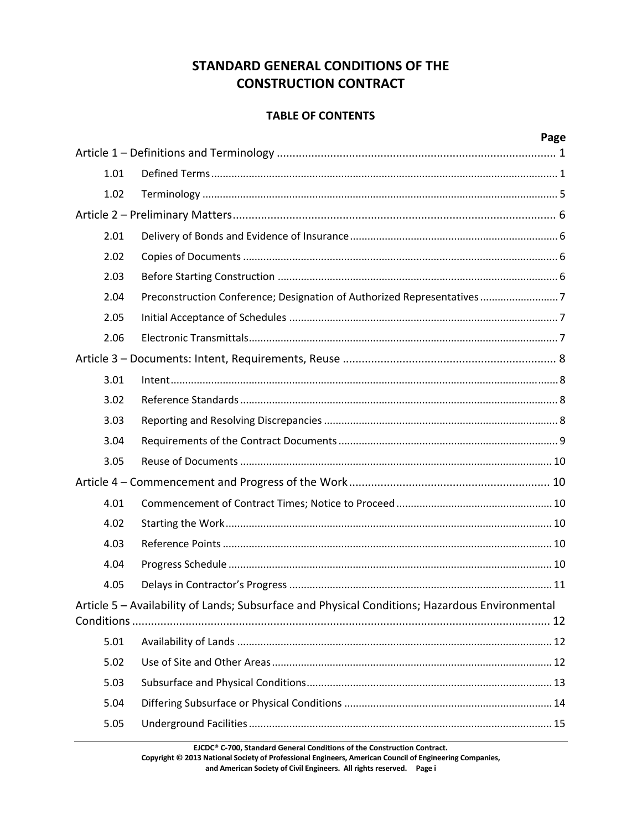# **STANDARD GENERAL CONDITIONS OF THE CONSTRUCTION CONTRACT**

# **TABLE OF CONTENTS**

|      |                                                                                                | Page |
|------|------------------------------------------------------------------------------------------------|------|
|      |                                                                                                |      |
| 1.01 |                                                                                                |      |
| 1.02 |                                                                                                |      |
|      |                                                                                                |      |
| 2.01 |                                                                                                |      |
| 2.02 |                                                                                                |      |
| 2.03 |                                                                                                |      |
| 2.04 | Preconstruction Conference; Designation of Authorized Representatives7                         |      |
| 2.05 |                                                                                                |      |
| 2.06 |                                                                                                |      |
|      |                                                                                                |      |
| 3.01 |                                                                                                |      |
| 3.02 |                                                                                                |      |
| 3.03 |                                                                                                |      |
| 3.04 |                                                                                                |      |
| 3.05 |                                                                                                |      |
|      |                                                                                                |      |
| 4.01 |                                                                                                |      |
| 4.02 |                                                                                                |      |
| 4.03 |                                                                                                |      |
| 4.04 |                                                                                                |      |
| 4.05 |                                                                                                |      |
|      | Article 5 - Availability of Lands; Subsurface and Physical Conditions; Hazardous Environmental |      |
| 5.01 |                                                                                                |      |
| 5.02 |                                                                                                |      |
| 5.03 |                                                                                                |      |
| 5.04 |                                                                                                |      |
| 5.05 |                                                                                                |      |

**EJCDC® C‐700, Standard General Conditions of the Construction Contract.**

**Copyright © 2013 National Society of Professional Engineers, American Council of Engineering Companies,**

**and American Society of Civil Engineers. All rights reserved. Page i**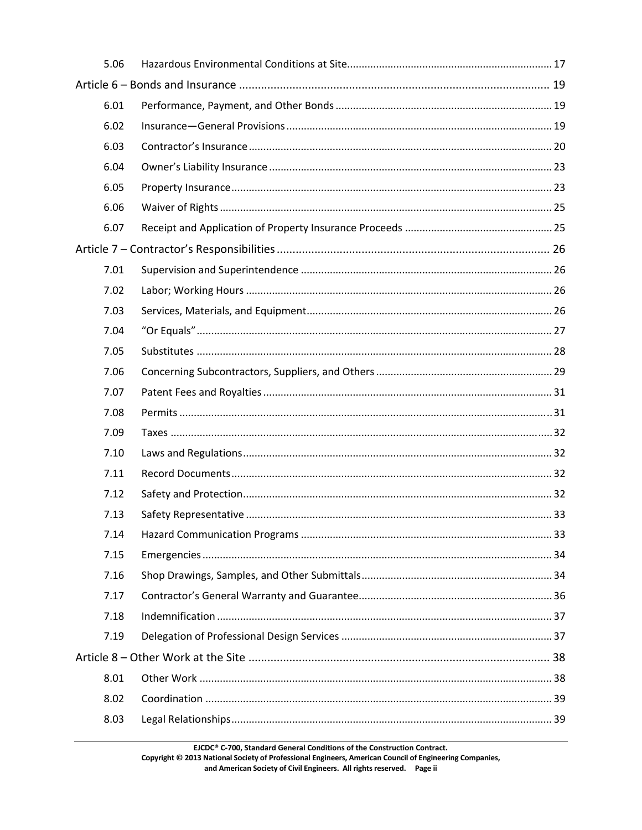| 5.06 |  |
|------|--|
|      |  |
| 6.01 |  |
| 6.02 |  |
| 6.03 |  |
| 6.04 |  |
| 6.05 |  |
| 6.06 |  |
| 6.07 |  |
|      |  |
| 7.01 |  |
| 7.02 |  |
| 7.03 |  |
| 7.04 |  |
| 7.05 |  |
| 7.06 |  |
| 7.07 |  |
| 7.08 |  |
| 7.09 |  |
| 7.10 |  |
| 7.11 |  |
| 7.12 |  |
| 7.13 |  |
| 7.14 |  |
| 7.15 |  |
| 7.16 |  |
| 7.17 |  |
| 7.18 |  |
| 7.19 |  |
|      |  |
| 8.01 |  |
| 8.02 |  |
| 8.03 |  |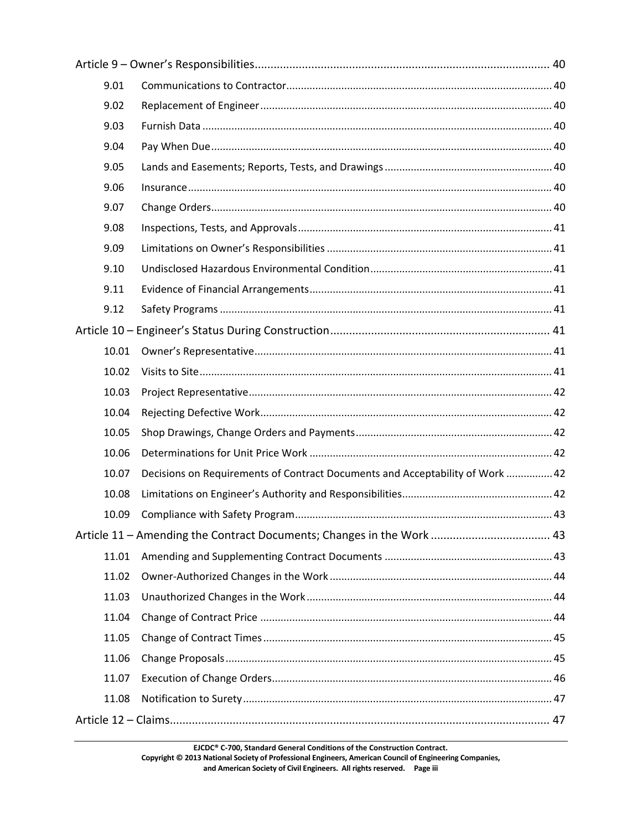| 9.01  |                                                                               |  |
|-------|-------------------------------------------------------------------------------|--|
| 9.02  |                                                                               |  |
| 9.03  |                                                                               |  |
| 9.04  |                                                                               |  |
| 9.05  |                                                                               |  |
| 9.06  |                                                                               |  |
| 9.07  |                                                                               |  |
| 9.08  |                                                                               |  |
| 9.09  |                                                                               |  |
| 9.10  |                                                                               |  |
| 9.11  |                                                                               |  |
| 9.12  |                                                                               |  |
|       |                                                                               |  |
| 10.01 |                                                                               |  |
| 10.02 |                                                                               |  |
| 10.03 |                                                                               |  |
| 10.04 |                                                                               |  |
| 10.05 |                                                                               |  |
| 10.06 |                                                                               |  |
| 10.07 | Decisions on Requirements of Contract Documents and Acceptability of Work  42 |  |
| 10.08 |                                                                               |  |
| 10.09 |                                                                               |  |
|       |                                                                               |  |
| 11.01 |                                                                               |  |
| 11.02 |                                                                               |  |
| 11.03 |                                                                               |  |
| 11.04 |                                                                               |  |
| 11.05 |                                                                               |  |
| 11.06 |                                                                               |  |
| 11.07 |                                                                               |  |
| 11.08 |                                                                               |  |
|       |                                                                               |  |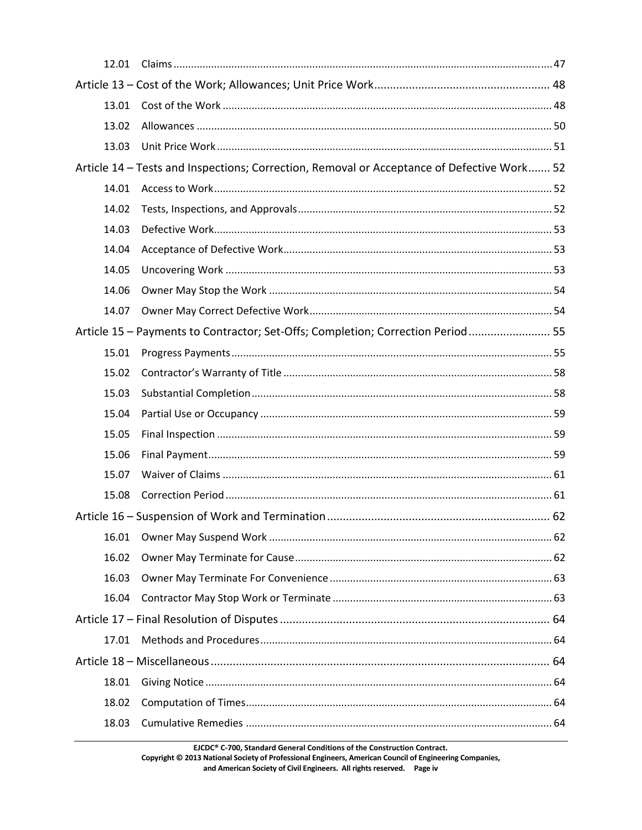| 12.01 |                                                                                            |  |
|-------|--------------------------------------------------------------------------------------------|--|
|       |                                                                                            |  |
| 13.01 |                                                                                            |  |
| 13.02 |                                                                                            |  |
| 13.03 |                                                                                            |  |
|       | Article 14 - Tests and Inspections; Correction, Removal or Acceptance of Defective Work 52 |  |
| 14.01 |                                                                                            |  |
| 14.02 |                                                                                            |  |
| 14.03 |                                                                                            |  |
| 14.04 |                                                                                            |  |
| 14.05 |                                                                                            |  |
| 14.06 |                                                                                            |  |
| 14.07 |                                                                                            |  |
|       | Article 15 - Payments to Contractor; Set-Offs; Completion; Correction Period 55            |  |
| 15.01 |                                                                                            |  |
| 15.02 |                                                                                            |  |
| 15.03 |                                                                                            |  |
| 15.04 |                                                                                            |  |
| 15.05 |                                                                                            |  |
| 15.06 |                                                                                            |  |
| 15.07 |                                                                                            |  |
| 15.08 |                                                                                            |  |
|       |                                                                                            |  |
| 16.01 |                                                                                            |  |
| 16.02 |                                                                                            |  |
| 16.03 |                                                                                            |  |
| 16.04 |                                                                                            |  |
|       |                                                                                            |  |
| 17.01 |                                                                                            |  |
|       |                                                                                            |  |
| 18.01 |                                                                                            |  |
| 18.02 |                                                                                            |  |
| 18.03 |                                                                                            |  |

EJCDC® C-700, Standard General Conditions of the Construction Contract.

Copyright © 2013 National Society of Professional Engineers, American Council of Engineering Companies,<br>and American Society of Civil Engineers. All rights reserved. Page iv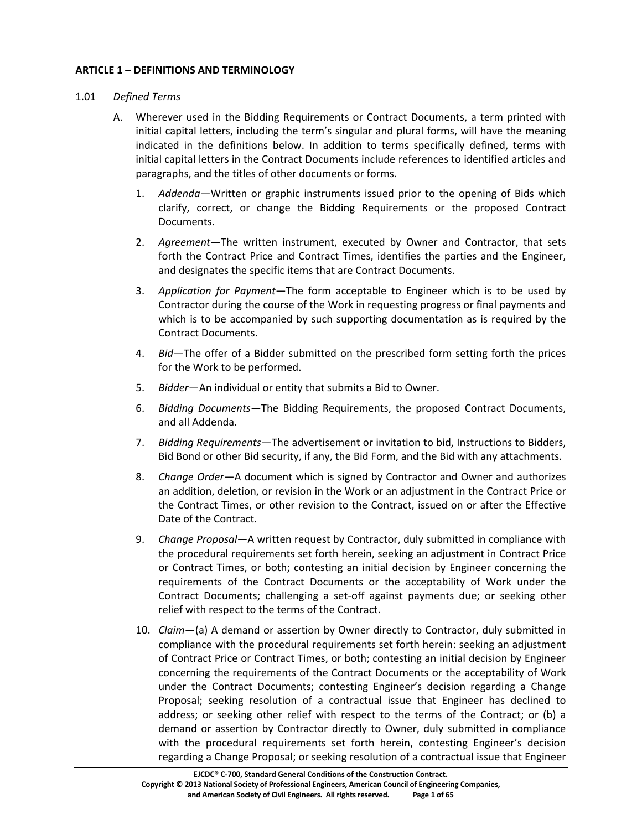#### **ARTICLE 1 – DEFINITIONS AND TERMINOLOGY**

#### 1.01 *Defined Terms*

- A. Wherever used in the Bidding Requirements or Contract Documents, a term printed with initial capital letters, including the term's singular and plural forms, will have the meaning indicated in the definitions below. In addition to terms specifically defined, terms with initial capital letters in the Contract Documents include references to identified articles and paragraphs, and the titles of other documents or forms.
	- 1. *Addenda*—Written or graphic instruments issued prior to the opening of Bids which clarify, correct, or change the Bidding Requirements or the proposed Contract Documents.
	- 2. *Agreement*—The written instrument, executed by Owner and Contractor, that sets forth the Contract Price and Contract Times, identifies the parties and the Engineer, and designates the specific items that are Contract Documents.
	- 3. *Application for Payment*—The form acceptable to Engineer which is to be used by Contractor during the course of the Work in requesting progress or final payments and which is to be accompanied by such supporting documentation as is required by the Contract Documents.
	- 4. *Bid*—The offer of a Bidder submitted on the prescribed form setting forth the prices for the Work to be performed.
	- 5. *Bidder*—An individual or entity that submits a Bid to Owner.
	- 6. *Bidding Documents*—The Bidding Requirements, the proposed Contract Documents, and all Addenda.
	- 7. *Bidding Requirements*—The advertisement or invitation to bid, Instructions to Bidders, Bid Bond or other Bid security, if any, the Bid Form, and the Bid with any attachments.
	- 8. *Change Order*—A document which is signed by Contractor and Owner and authorizes an addition, deletion, or revision in the Work or an adjustment in the Contract Price or the Contract Times, or other revision to the Contract, issued on or after the Effective Date of the Contract.
	- 9. *Change Proposal*—A written request by Contractor, duly submitted in compliance with the procedural requirements set forth herein, seeking an adjustment in Contract Price or Contract Times, or both; contesting an initial decision by Engineer concerning the requirements of the Contract Documents or the acceptability of Work under the Contract Documents; challenging a set‐off against payments due; or seeking other relief with respect to the terms of the Contract.
	- 10. *Claim*—(a) A demand or assertion by Owner directly to Contractor, duly submitted in compliance with the procedural requirements set forth herein: seeking an adjustment of Contract Price or Contract Times, or both; contesting an initial decision by Engineer concerning the requirements of the Contract Documents or the acceptability of Work under the Contract Documents; contesting Engineer's decision regarding a Change Proposal; seeking resolution of a contractual issue that Engineer has declined to address; or seeking other relief with respect to the terms of the Contract; or (b) a demand or assertion by Contractor directly to Owner, duly submitted in compliance with the procedural requirements set forth herein, contesting Engineer's decision regarding a Change Proposal; or seeking resolution of a contractual issue that Engineer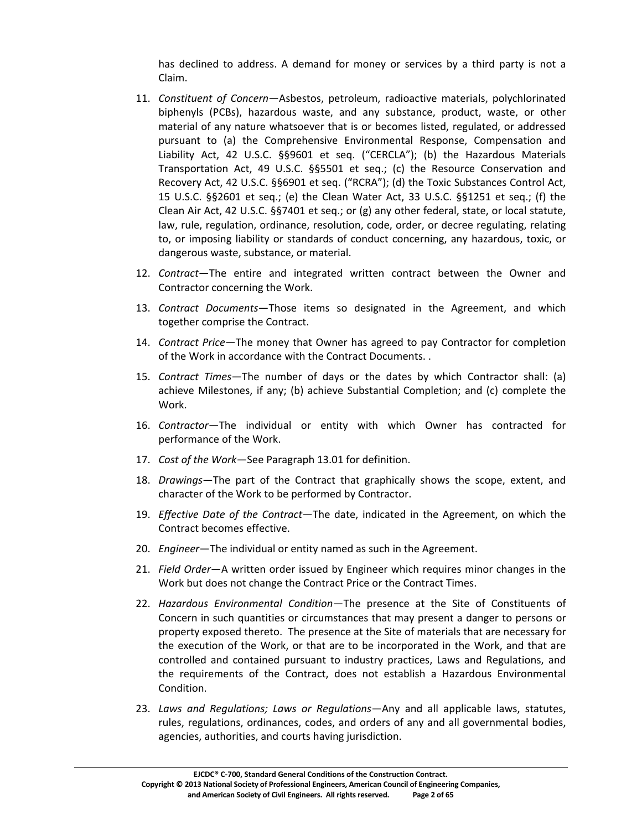has declined to address. A demand for money or services by a third party is not a Claim.

- 11. *Constituent of Concern*—Asbestos, petroleum, radioactive materials, polychlorinated biphenyls (PCBs), hazardous waste, and any substance, product, waste, or other material of any nature whatsoever that is or becomes listed, regulated, or addressed pursuant to (a) the Comprehensive Environmental Response, Compensation and Liability Act, 42 U.S.C. §§9601 et seq. ("CERCLA"); (b) the Hazardous Materials Transportation Act, 49 U.S.C. §§5501 et seq.; (c) the Resource Conservation and Recovery Act, 42 U.S.C. §§6901 et seq. ("RCRA"); (d) the Toxic Substances Control Act, 15 U.S.C. §§2601 et seq.; (e) the Clean Water Act, 33 U.S.C. §§1251 et seq.; (f) the Clean Air Act, 42 U.S.C. §§7401 et seq.; or (g) any other federal, state, or local statute, law, rule, regulation, ordinance, resolution, code, order, or decree regulating, relating to, or imposing liability or standards of conduct concerning, any hazardous, toxic, or dangerous waste, substance, or material.
- 12. *Contract*—The entire and integrated written contract between the Owner and Contractor concerning the Work.
- 13. *Contract Documents*—Those items so designated in the Agreement, and which together comprise the Contract.
- 14. *Contract Price*—The money that Owner has agreed to pay Contractor for completion of the Work in accordance with the Contract Documents. .
- 15. *Contract Times*—The number of days or the dates by which Contractor shall: (a) achieve Milestones, if any; (b) achieve Substantial Completion; and (c) complete the Work.
- 16. *Contractor*—The individual or entity with which Owner has contracted for performance of the Work.
- 17. *Cost of the Work*—See Paragraph 13.01 for definition.
- 18. *Drawings*—The part of the Contract that graphically shows the scope, extent, and character of the Work to be performed by Contractor.
- 19. *Effective Date of the Contract*—The date, indicated in the Agreement, on which the Contract becomes effective.
- 20. *Engineer*—The individual or entity named as such in the Agreement.
- 21. *Field Order*—A written order issued by Engineer which requires minor changes in the Work but does not change the Contract Price or the Contract Times.
- 22. *Hazardous Environmental Condition*—The presence at the Site of Constituents of Concern in such quantities or circumstances that may present a danger to persons or property exposed thereto. The presence at the Site of materials that are necessary for the execution of the Work, or that are to be incorporated in the Work, and that are controlled and contained pursuant to industry practices, Laws and Regulations, and the requirements of the Contract, does not establish a Hazardous Environmental Condition.
- 23. *Laws and Regulations; Laws or Regulations*—Any and all applicable laws, statutes, rules, regulations, ordinances, codes, and orders of any and all governmental bodies, agencies, authorities, and courts having jurisdiction.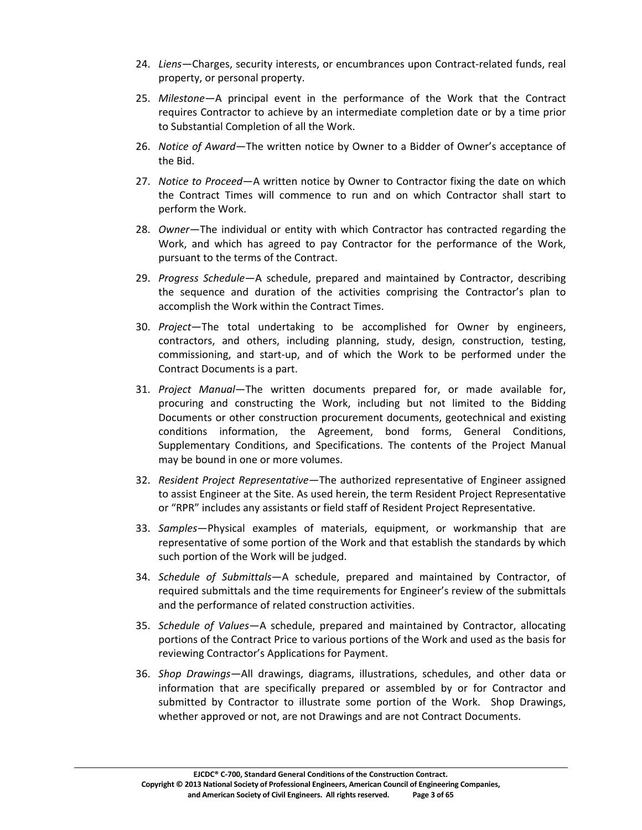- 24. *Liens*—Charges, security interests, or encumbrances upon Contract‐related funds, real property, or personal property.
- 25. *Milestone*—A principal event in the performance of the Work that the Contract requires Contractor to achieve by an intermediate completion date or by a time prior to Substantial Completion of all the Work.
- 26. *Notice of Award*—The written notice by Owner to a Bidder of Owner's acceptance of the Bid.
- 27. *Notice to Proceed*—A written notice by Owner to Contractor fixing the date on which the Contract Times will commence to run and on which Contractor shall start to perform the Work.
- 28. *Owner*—The individual or entity with which Contractor has contracted regarding the Work, and which has agreed to pay Contractor for the performance of the Work, pursuant to the terms of the Contract.
- 29. *Progress Schedule*—A schedule, prepared and maintained by Contractor, describing the sequence and duration of the activities comprising the Contractor's plan to accomplish the Work within the Contract Times.
- 30. *Project*—The total undertaking to be accomplished for Owner by engineers, contractors, and others, including planning, study, design, construction, testing, commissioning, and start‐up, and of which the Work to be performed under the Contract Documents is a part.
- 31. *Project Manual*—The written documents prepared for, or made available for, procuring and constructing the Work, including but not limited to the Bidding Documents or other construction procurement documents, geotechnical and existing conditions information, the Agreement, bond forms, General Conditions, Supplementary Conditions, and Specifications. The contents of the Project Manual may be bound in one or more volumes.
- 32. *Resident Project Representative*—The authorized representative of Engineer assigned to assist Engineer at the Site. As used herein, the term Resident Project Representative or "RPR" includes any assistants or field staff of Resident Project Representative.
- 33. *Samples*—Physical examples of materials, equipment, or workmanship that are representative of some portion of the Work and that establish the standards by which such portion of the Work will be judged.
- 34. *Schedule of Submittals*—A schedule, prepared and maintained by Contractor, of required submittals and the time requirements for Engineer's review of the submittals and the performance of related construction activities.
- 35. *Schedule of Values*—A schedule, prepared and maintained by Contractor, allocating portions of the Contract Price to various portions of the Work and used as the basis for reviewing Contractor's Applications for Payment.
- 36. *Shop Drawings*—All drawings, diagrams, illustrations, schedules, and other data or information that are specifically prepared or assembled by or for Contractor and submitted by Contractor to illustrate some portion of the Work. Shop Drawings, whether approved or not, are not Drawings and are not Contract Documents.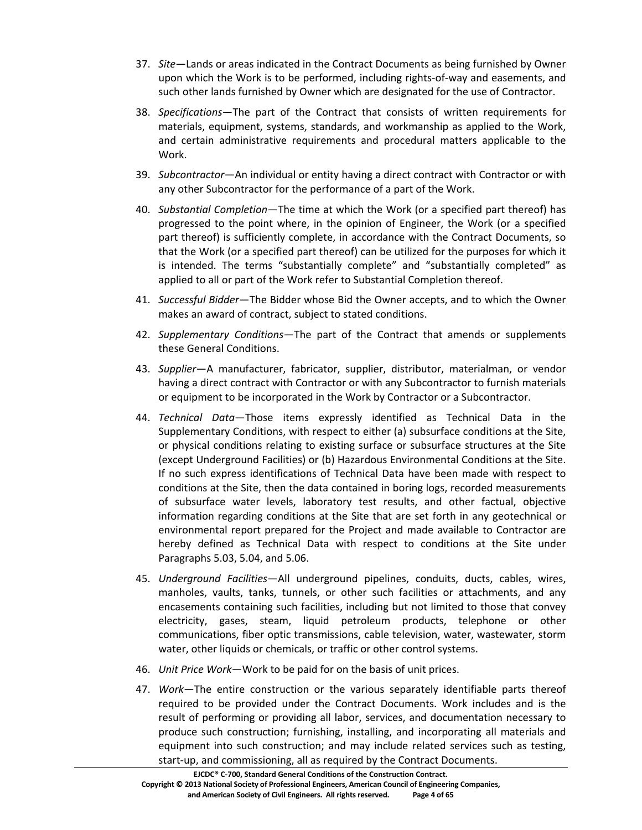- 37. *Site*—Lands or areas indicated in the Contract Documents as being furnished by Owner upon which the Work is to be performed, including rights‐of‐way and easements, and such other lands furnished by Owner which are designated for the use of Contractor.
- 38. *Specifications*—The part of the Contract that consists of written requirements for materials, equipment, systems, standards, and workmanship as applied to the Work, and certain administrative requirements and procedural matters applicable to the Work.
- 39. *Subcontractor*—An individual or entity having a direct contract with Contractor or with any other Subcontractor for the performance of a part of the Work.
- 40. *Substantial Completion*—The time at which the Work (or a specified part thereof) has progressed to the point where, in the opinion of Engineer, the Work (or a specified part thereof) is sufficiently complete, in accordance with the Contract Documents, so that the Work (or a specified part thereof) can be utilized for the purposes for which it is intended. The terms "substantially complete" and "substantially completed" as applied to all or part of the Work refer to Substantial Completion thereof.
- 41. *Successful Bidder*—The Bidder whose Bid the Owner accepts, and to which the Owner makes an award of contract, subject to stated conditions.
- 42. *Supplementary Conditions*—The part of the Contract that amends or supplements these General Conditions.
- 43. *Supplier*—A manufacturer, fabricator, supplier, distributor, materialman, or vendor having a direct contract with Contractor or with any Subcontractor to furnish materials or equipment to be incorporated in the Work by Contractor or a Subcontractor.
- 44. *Technical Data*—Those items expressly identified as Technical Data in the Supplementary Conditions, with respect to either (a) subsurface conditions at the Site, or physical conditions relating to existing surface or subsurface structures at the Site (except Underground Facilities) or (b) Hazardous Environmental Conditions at the Site. If no such express identifications of Technical Data have been made with respect to conditions at the Site, then the data contained in boring logs, recorded measurements of subsurface water levels, laboratory test results, and other factual, objective information regarding conditions at the Site that are set forth in any geotechnical or environmental report prepared for the Project and made available to Contractor are hereby defined as Technical Data with respect to conditions at the Site under Paragraphs 5.03, 5.04, and 5.06.
- 45. *Underground Facilities*—All underground pipelines, conduits, ducts, cables, wires, manholes, vaults, tanks, tunnels, or other such facilities or attachments, and any encasements containing such facilities, including but not limited to those that convey electricity, gases, steam, liquid petroleum products, telephone or other communications, fiber optic transmissions, cable television, water, wastewater, storm water, other liquids or chemicals, or traffic or other control systems.
- 46. *Unit Price Work*—Work to be paid for on the basis of unit prices.
- 47. *Work*—The entire construction or the various separately identifiable parts thereof required to be provided under the Contract Documents. Work includes and is the result of performing or providing all labor, services, and documentation necessary to produce such construction; furnishing, installing, and incorporating all materials and equipment into such construction; and may include related services such as testing, start-up, and commissioning, all as required by the Contract Documents.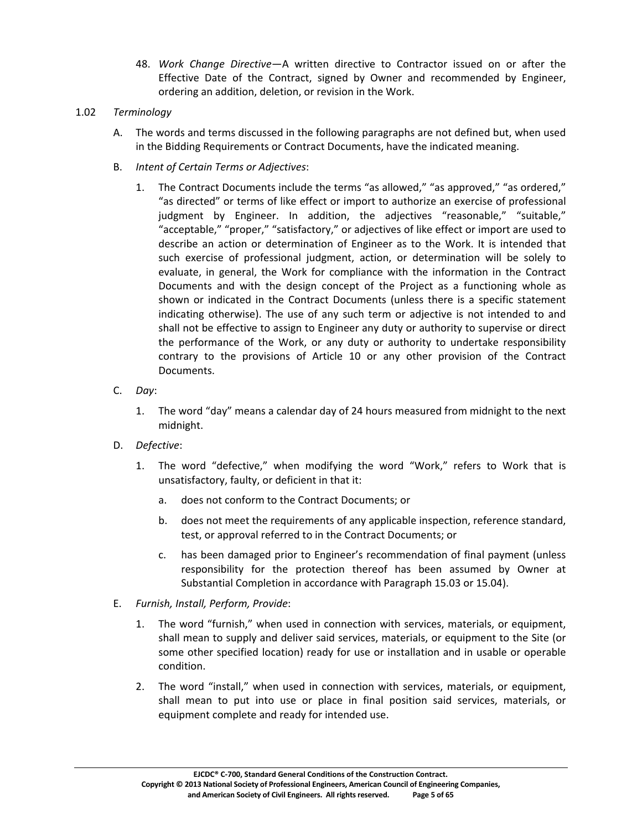48. *Work Change Directive*—A written directive to Contractor issued on or after the Effective Date of the Contract, signed by Owner and recommended by Engineer, ordering an addition, deletion, or revision in the Work.

#### 1.02 *Terminology*

- A. The words and terms discussed in the following paragraphs are not defined but, when used in the Bidding Requirements or Contract Documents, have the indicated meaning.
- B. *Intent of Certain Terms or Adjectives*:
	- 1. The Contract Documents include the terms "as allowed," "as approved," "as ordered," "as directed" or terms of like effect or import to authorize an exercise of professional judgment by Engineer. In addition, the adjectives "reasonable," "suitable," "acceptable," "proper," "satisfactory," or adjectives of like effect or import are used to describe an action or determination of Engineer as to the Work. It is intended that such exercise of professional judgment, action, or determination will be solely to evaluate, in general, the Work for compliance with the information in the Contract Documents and with the design concept of the Project as a functioning whole as shown or indicated in the Contract Documents (unless there is a specific statement indicating otherwise). The use of any such term or adjective is not intended to and shall not be effective to assign to Engineer any duty or authority to supervise or direct the performance of the Work, or any duty or authority to undertake responsibility contrary to the provisions of Article 10 or any other provision of the Contract Documents.
- C. *Day*:
	- 1. The word "day" means a calendar day of 24 hours measured from midnight to the next midnight.
- D. *Defective*:
	- 1. The word "defective," when modifying the word "Work," refers to Work that is unsatisfactory, faulty, or deficient in that it:
		- a. does not conform to the Contract Documents; or
		- b. does not meet the requirements of any applicable inspection, reference standard, test, or approval referred to in the Contract Documents; or
		- c. has been damaged prior to Engineer's recommendation of final payment (unless responsibility for the protection thereof has been assumed by Owner at Substantial Completion in accordance with Paragraph 15.03 or 15.04).
- E. *Furnish, Install, Perform, Provide*:
	- 1. The word "furnish," when used in connection with services, materials, or equipment, shall mean to supply and deliver said services, materials, or equipment to the Site (or some other specified location) ready for use or installation and in usable or operable condition.
	- 2. The word "install," when used in connection with services, materials, or equipment, shall mean to put into use or place in final position said services, materials, or equipment complete and ready for intended use.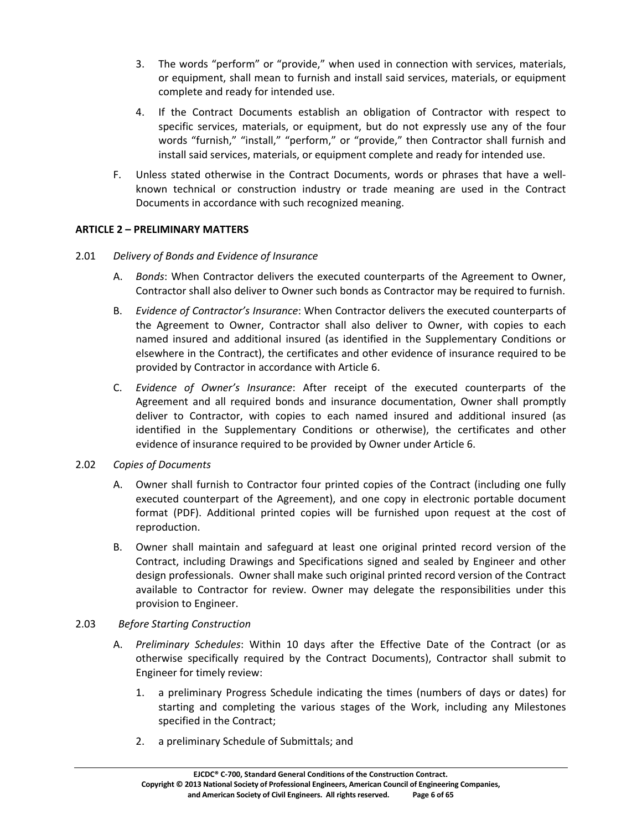- 3. The words "perform" or "provide," when used in connection with services, materials, or equipment, shall mean to furnish and install said services, materials, or equipment complete and ready for intended use.
- 4. If the Contract Documents establish an obligation of Contractor with respect to specific services, materials, or equipment, but do not expressly use any of the four words "furnish," "install," "perform," or "provide," then Contractor shall furnish and install said services, materials, or equipment complete and ready for intended use.
- F. Unless stated otherwise in the Contract Documents, words or phrases that have a wellknown technical or construction industry or trade meaning are used in the Contract Documents in accordance with such recognized meaning.

#### **ARTICLE 2 – PRELIMINARY MATTERS**

- 2.01 *Delivery of Bonds and Evidence of Insurance*
	- A. *Bonds*: When Contractor delivers the executed counterparts of the Agreement to Owner, Contractor shall also deliver to Owner such bonds as Contractor may be required to furnish.
	- B. *Evidence of Contractor's Insurance*: When Contractor delivers the executed counterparts of the Agreement to Owner, Contractor shall also deliver to Owner, with copies to each named insured and additional insured (as identified in the Supplementary Conditions or elsewhere in the Contract), the certificates and other evidence of insurance required to be provided by Contractor in accordance with Article 6.
	- C. *Evidence of Owner's Insurance*: After receipt of the executed counterparts of the Agreement and all required bonds and insurance documentation, Owner shall promptly deliver to Contractor, with copies to each named insured and additional insured (as identified in the Supplementary Conditions or otherwise), the certificates and other evidence of insurance required to be provided by Owner under Article 6.
- 2.02 *Copies of Documents*
	- A. Owner shall furnish to Contractor four printed copies of the Contract (including one fully executed counterpart of the Agreement), and one copy in electronic portable document format (PDF). Additional printed copies will be furnished upon request at the cost of reproduction.
	- B. Owner shall maintain and safeguard at least one original printed record version of the Contract, including Drawings and Specifications signed and sealed by Engineer and other design professionals. Owner shall make such original printed record version of the Contract available to Contractor for review. Owner may delegate the responsibilities under this provision to Engineer.
- 2.03  *Before Starting Construction*
	- A. *Preliminary Schedules*: Within 10 days after the Effective Date of the Contract (or as otherwise specifically required by the Contract Documents), Contractor shall submit to Engineer for timely review:
		- 1. a preliminary Progress Schedule indicating the times (numbers of days or dates) for starting and completing the various stages of the Work, including any Milestones specified in the Contract;
		- 2. a preliminary Schedule of Submittals; and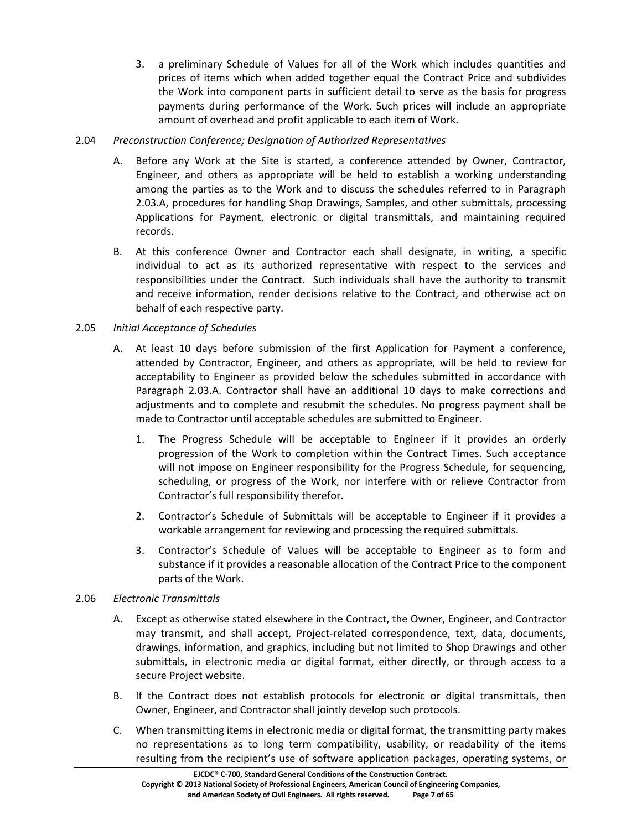3. a preliminary Schedule of Values for all of the Work which includes quantities and prices of items which when added together equal the Contract Price and subdivides the Work into component parts in sufficient detail to serve as the basis for progress payments during performance of the Work. Such prices will include an appropriate amount of overhead and profit applicable to each item of Work.

# 2.04 *Preconstruction Conference; Designation of Authorized Representatives*

- A. Before any Work at the Site is started, a conference attended by Owner, Contractor, Engineer, and others as appropriate will be held to establish a working understanding among the parties as to the Work and to discuss the schedules referred to in Paragraph 2.03.A, procedures for handling Shop Drawings, Samples, and other submittals, processing Applications for Payment, electronic or digital transmittals, and maintaining required records.
- B. At this conference Owner and Contractor each shall designate, in writing, a specific individual to act as its authorized representative with respect to the services and responsibilities under the Contract. Such individuals shall have the authority to transmit and receive information, render decisions relative to the Contract, and otherwise act on behalf of each respective party.

# 2.05 *Initial Acceptance of Schedules*

- A. At least 10 days before submission of the first Application for Payment a conference, attended by Contractor, Engineer, and others as appropriate, will be held to review for acceptability to Engineer as provided below the schedules submitted in accordance with Paragraph 2.03.A. Contractor shall have an additional 10 days to make corrections and adjustments and to complete and resubmit the schedules. No progress payment shall be made to Contractor until acceptable schedules are submitted to Engineer.
	- 1. The Progress Schedule will be acceptable to Engineer if it provides an orderly progression of the Work to completion within the Contract Times. Such acceptance will not impose on Engineer responsibility for the Progress Schedule, for sequencing, scheduling, or progress of the Work, nor interfere with or relieve Contractor from Contractor's full responsibility therefor.
	- 2. Contractor's Schedule of Submittals will be acceptable to Engineer if it provides a workable arrangement for reviewing and processing the required submittals.
	- 3. Contractor's Schedule of Values will be acceptable to Engineer as to form and substance if it provides a reasonable allocation of the Contract Price to the component parts of the Work.

# 2.06 *Electronic Transmittals*

- A. Except as otherwise stated elsewhere in the Contract, the Owner, Engineer, and Contractor may transmit, and shall accept, Project-related correspondence, text, data, documents, drawings, information, and graphics, including but not limited to Shop Drawings and other submittals, in electronic media or digital format, either directly, or through access to a secure Project website.
- B. If the Contract does not establish protocols for electronic or digital transmittals, then Owner, Engineer, and Contractor shall jointly develop such protocols.
- C. When transmitting items in electronic media or digital format, the transmitting party makes no representations as to long term compatibility, usability, or readability of the items resulting from the recipient's use of software application packages, operating systems, or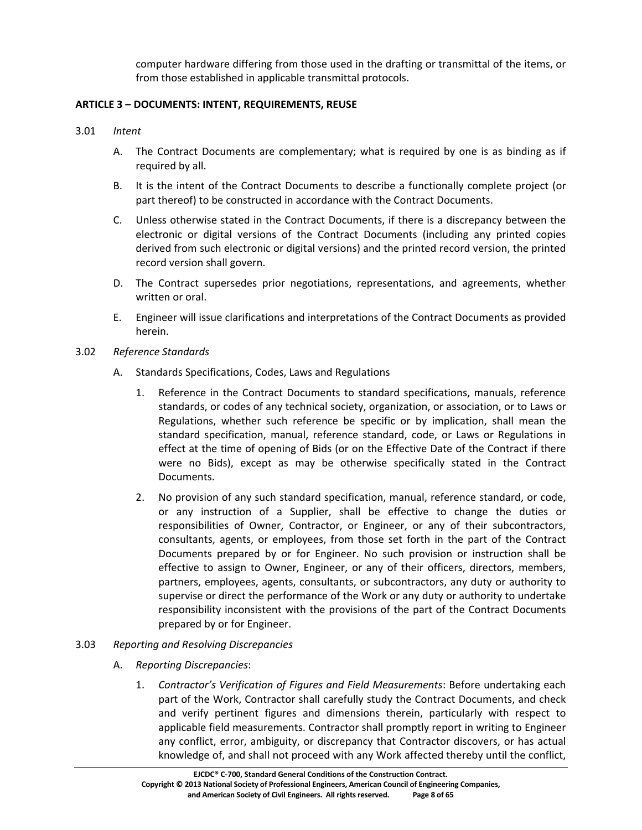computer hardware differing from those used in the drafting or transmittal of the items, or from those established in applicable transmittal protocols.

# **ARTICLE 3 – DOCUMENTS: INTENT, REQUIREMENTS, REUSE**

#### 3.01 *Intent*

- A. The Contract Documents are complementary; what is required by one is as binding as if required by all.
- B. It is the intent of the Contract Documents to describe a functionally complete project (or part thereof) to be constructed in accordance with the Contract Documents.
- C. Unless otherwise stated in the Contract Documents, if there is a discrepancy between the electronic or digital versions of the Contract Documents (including any printed copies derived from such electronic or digital versions) and the printed record version, the printed record version shall govern.
- D. The Contract supersedes prior negotiations, representations, and agreements, whether written or oral.
- E. Engineer will issue clarifications and interpretations of the Contract Documents as provided herein.
- 3.02 *Reference Standards*
	- A. Standards Specifications, Codes, Laws and Regulations
		- Reference in the Contract Documents to standard specifications, manuals, reference standards, or codes of any technical society, organization, or association, or to Laws or Regulations, whether such reference be specific or by implication, shall mean the standard specification, manual, reference standard, code, or Laws or Regulations in effect at the time of opening of Bids (or on the Effective Date of the Contract if there were no Bids), except as may be otherwise specifically stated in the Contract Documents.
		- 2. No provision of any such standard specification, manual, reference standard, or code, or any instruction of a Supplier, shall be effective to change the duties or responsibilities of Owner, Contractor, or Engineer, or any of their subcontractors, consultants, agents, or employees, from those set forth in the part of the Contract Documents prepared by or for Engineer. No such provision or instruction shall be effective to assign to Owner, Engineer, or any of their officers, directors, members, partners, employees, agents, consultants, or subcontractors, any duty or authority to supervise or direct the performance of the Work or any duty or authority to undertake responsibility inconsistent with the provisions of the part of the Contract Documents prepared by or for Engineer.

#### 3.03 *Reporting and Resolving Discrepancies*

- A. *Reporting Discrepancies*:
	- 1. *Contractor's Verification of Figures and Field Measurements*: Before undertaking each part of the Work, Contractor shall carefully study the Contract Documents, and check and verify pertinent figures and dimensions therein, particularly with respect to applicable field measurements. Contractor shall promptly report in writing to Engineer any conflict, error, ambiguity, or discrepancy that Contractor discovers, or has actual knowledge of, and shall not proceed with any Work affected thereby until the conflict,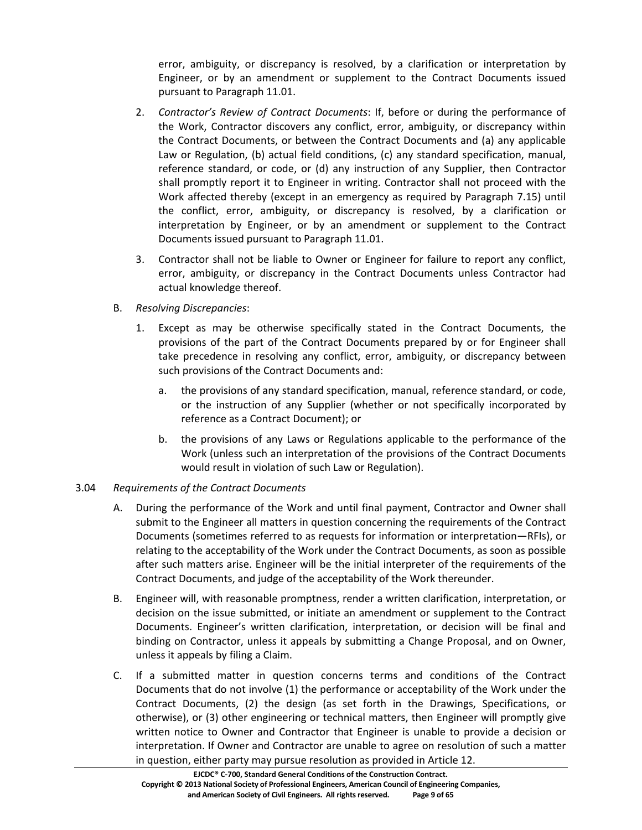error, ambiguity, or discrepancy is resolved, by a clarification or interpretation by Engineer, or by an amendment or supplement to the Contract Documents issued pursuant to Paragraph 11.01.

- 2. *Contractor's Review of Contract Documents*: If, before or during the performance of the Work, Contractor discovers any conflict, error, ambiguity, or discrepancy within the Contract Documents, or between the Contract Documents and (a) any applicable Law or Regulation, (b) actual field conditions, (c) any standard specification, manual, reference standard, or code, or (d) any instruction of any Supplier, then Contractor shall promptly report it to Engineer in writing. Contractor shall not proceed with the Work affected thereby (except in an emergency as required by Paragraph 7.15) until the conflict, error, ambiguity, or discrepancy is resolved, by a clarification or interpretation by Engineer, or by an amendment or supplement to the Contract Documents issued pursuant to Paragraph 11.01.
- 3. Contractor shall not be liable to Owner or Engineer for failure to report any conflict, error, ambiguity, or discrepancy in the Contract Documents unless Contractor had actual knowledge thereof.
- B. *Resolving Discrepancies*:
	- 1. Except as may be otherwise specifically stated in the Contract Documents, the provisions of the part of the Contract Documents prepared by or for Engineer shall take precedence in resolving any conflict, error, ambiguity, or discrepancy between such provisions of the Contract Documents and:
		- a. the provisions of any standard specification, manual, reference standard, or code, or the instruction of any Supplier (whether or not specifically incorporated by reference as a Contract Document); or
		- b. the provisions of any Laws or Regulations applicable to the performance of the Work (unless such an interpretation of the provisions of the Contract Documents would result in violation of such Law or Regulation).

# 3.04 *Requirements of the Contract Documents*

- A. During the performance of the Work and until final payment, Contractor and Owner shall submit to the Engineer all matters in question concerning the requirements of the Contract Documents (sometimes referred to as requests for information or interpretation—RFIs), or relating to the acceptability of the Work under the Contract Documents, as soon as possible after such matters arise. Engineer will be the initial interpreter of the requirements of the Contract Documents, and judge of the acceptability of the Work thereunder.
- B. Engineer will, with reasonable promptness, render a written clarification, interpretation, or decision on the issue submitted, or initiate an amendment or supplement to the Contract Documents. Engineer's written clarification, interpretation, or decision will be final and binding on Contractor, unless it appeals by submitting a Change Proposal, and on Owner, unless it appeals by filing a Claim.
- C. If a submitted matter in question concerns terms and conditions of the Contract Documents that do not involve (1) the performance or acceptability of the Work under the Contract Documents, (2) the design (as set forth in the Drawings, Specifications, or otherwise), or (3) other engineering or technical matters, then Engineer will promptly give written notice to Owner and Contractor that Engineer is unable to provide a decision or interpretation. If Owner and Contractor are unable to agree on resolution of such a matter in question, either party may pursue resolution as provided in Article 12.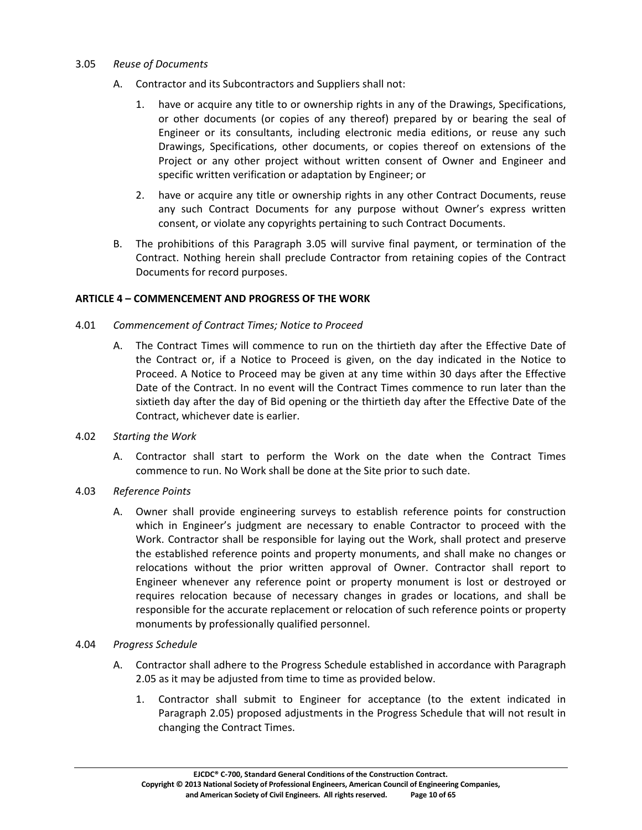#### 3.05 *Reuse of Documents*

- A. Contractor and its Subcontractors and Suppliers shall not:
	- have or acquire any title to or ownership rights in any of the Drawings, Specifications, or other documents (or copies of any thereof) prepared by or bearing the seal of Engineer or its consultants, including electronic media editions, or reuse any such Drawings, Specifications, other documents, or copies thereof on extensions of the Project or any other project without written consent of Owner and Engineer and specific written verification or adaptation by Engineer; or
	- 2. have or acquire any title or ownership rights in any other Contract Documents, reuse any such Contract Documents for any purpose without Owner's express written consent, or violate any copyrights pertaining to such Contract Documents.
- B. The prohibitions of this Paragraph 3.05 will survive final payment, or termination of the Contract. Nothing herein shall preclude Contractor from retaining copies of the Contract Documents for record purposes.

#### **ARTICLE 4 – COMMENCEMENT AND PROGRESS OF THE WORK**

- 4.01 *Commencement of Contract Times; Notice to Proceed*
	- A. The Contract Times will commence to run on the thirtieth day after the Effective Date of the Contract or, if a Notice to Proceed is given, on the day indicated in the Notice to Proceed. A Notice to Proceed may be given at any time within 30 days after the Effective Date of the Contract. In no event will the Contract Times commence to run later than the sixtieth day after the day of Bid opening or the thirtieth day after the Effective Date of the Contract, whichever date is earlier.
- 4.02 *Starting the Work*
	- A. Contractor shall start to perform the Work on the date when the Contract Times commence to run. No Work shall be done at the Site prior to such date.
- 4.03 *Reference Points*
	- A. Owner shall provide engineering surveys to establish reference points for construction which in Engineer's judgment are necessary to enable Contractor to proceed with the Work. Contractor shall be responsible for laying out the Work, shall protect and preserve the established reference points and property monuments, and shall make no changes or relocations without the prior written approval of Owner. Contractor shall report to Engineer whenever any reference point or property monument is lost or destroyed or requires relocation because of necessary changes in grades or locations, and shall be responsible for the accurate replacement or relocation of such reference points or property monuments by professionally qualified personnel.

#### 4.04 *Progress Schedule*

- A. Contractor shall adhere to the Progress Schedule established in accordance with Paragraph 2.05 as it may be adjusted from time to time as provided below.
	- 1. Contractor shall submit to Engineer for acceptance (to the extent indicated in Paragraph 2.05) proposed adjustments in the Progress Schedule that will not result in changing the Contract Times.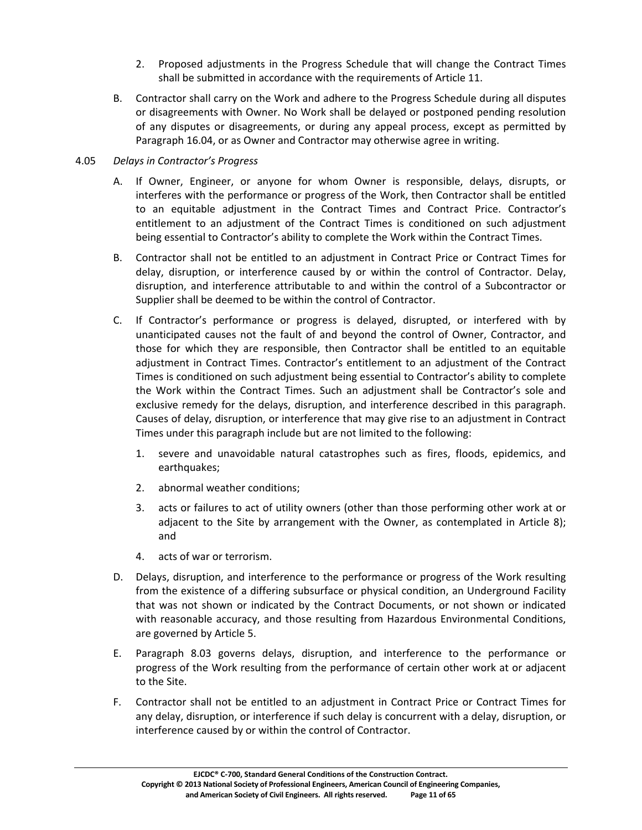- 2. Proposed adjustments in the Progress Schedule that will change the Contract Times shall be submitted in accordance with the requirements of Article 11.
- B. Contractor shall carry on the Work and adhere to the Progress Schedule during all disputes or disagreements with Owner. No Work shall be delayed or postponed pending resolution of any disputes or disagreements, or during any appeal process, except as permitted by Paragraph 16.04, or as Owner and Contractor may otherwise agree in writing.

#### 4.05 *Delays in Contractor's Progress*

- A. If Owner, Engineer, or anyone for whom Owner is responsible, delays, disrupts, or interferes with the performance or progress of the Work, then Contractor shall be entitled to an equitable adjustment in the Contract Times and Contract Price. Contractor's entitlement to an adjustment of the Contract Times is conditioned on such adjustment being essential to Contractor's ability to complete the Work within the Contract Times.
- B. Contractor shall not be entitled to an adjustment in Contract Price or Contract Times for delay, disruption, or interference caused by or within the control of Contractor. Delay, disruption, and interference attributable to and within the control of a Subcontractor or Supplier shall be deemed to be within the control of Contractor.
- C. If Contractor's performance or progress is delayed, disrupted, or interfered with by unanticipated causes not the fault of and beyond the control of Owner, Contractor, and those for which they are responsible, then Contractor shall be entitled to an equitable adjustment in Contract Times. Contractor's entitlement to an adjustment of the Contract Times is conditioned on such adjustment being essential to Contractor's ability to complete the Work within the Contract Times. Such an adjustment shall be Contractor's sole and exclusive remedy for the delays, disruption, and interference described in this paragraph. Causes of delay, disruption, or interference that may give rise to an adjustment in Contract Times under this paragraph include but are not limited to the following:
	- 1. severe and unavoidable natural catastrophes such as fires, floods, epidemics, and earthquakes;
	- 2. abnormal weather conditions;
	- 3. acts or failures to act of utility owners (other than those performing other work at or adjacent to the Site by arrangement with the Owner, as contemplated in Article 8); and
	- 4. acts of war or terrorism.
- D. Delays, disruption, and interference to the performance or progress of the Work resulting from the existence of a differing subsurface or physical condition, an Underground Facility that was not shown or indicated by the Contract Documents, or not shown or indicated with reasonable accuracy, and those resulting from Hazardous Environmental Conditions, are governed by Article 5.
- E. Paragraph 8.03 governs delays, disruption, and interference to the performance or progress of the Work resulting from the performance of certain other work at or adjacent to the Site.
- F. Contractor shall not be entitled to an adjustment in Contract Price or Contract Times for any delay, disruption, or interference if such delay is concurrent with a delay, disruption, or interference caused by or within the control of Contractor.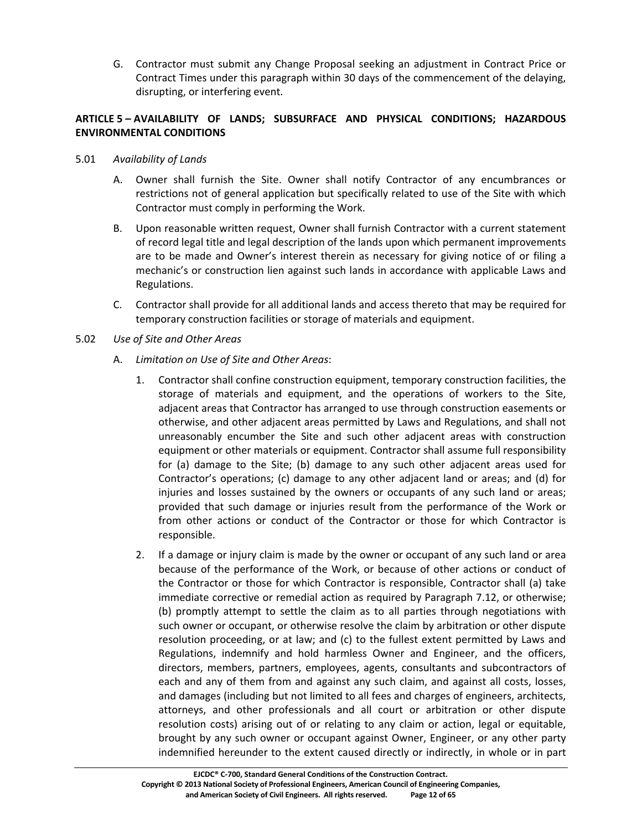G. Contractor must submit any Change Proposal seeking an adjustment in Contract Price or Contract Times under this paragraph within 30 days of the commencement of the delaying, disrupting, or interfering event.

# **ARTICLE 5 – AVAILABILITY OF LANDS; SUBSURFACE AND PHYSICAL CONDITIONS; HAZARDOUS ENVIRONMENTAL CONDITIONS**

#### 5.01 *Availability of Lands*

- A. Owner shall furnish the Site. Owner shall notify Contractor of any encumbrances or restrictions not of general application but specifically related to use of the Site with which Contractor must comply in performing the Work.
- B. Upon reasonable written request, Owner shall furnish Contractor with a current statement of record legal title and legal description of the lands upon which permanent improvements are to be made and Owner's interest therein as necessary for giving notice of or filing a mechanic's or construction lien against such lands in accordance with applicable Laws and Regulations.
- C. Contractor shall provide for all additional lands and access thereto that may be required for temporary construction facilities or storage of materials and equipment.
- 5.02 *Use of Site and Other Areas*
	- A. *Limitation on Use of Site and Other Areas*:
		- 1. Contractor shall confine construction equipment, temporary construction facilities, the storage of materials and equipment, and the operations of workers to the Site, adjacent areas that Contractor has arranged to use through construction easements or otherwise, and other adjacent areas permitted by Laws and Regulations, and shall not unreasonably encumber the Site and such other adjacent areas with construction equipment or other materials or equipment. Contractor shall assume full responsibility for (a) damage to the Site; (b) damage to any such other adjacent areas used for Contractor's operations; (c) damage to any other adjacent land or areas; and (d) for injuries and losses sustained by the owners or occupants of any such land or areas; provided that such damage or injuries result from the performance of the Work or from other actions or conduct of the Contractor or those for which Contractor is responsible.
		- 2. If a damage or injury claim is made by the owner or occupant of any such land or area because of the performance of the Work, or because of other actions or conduct of the Contractor or those for which Contractor is responsible, Contractor shall (a) take immediate corrective or remedial action as required by Paragraph 7.12, or otherwise; (b) promptly attempt to settle the claim as to all parties through negotiations with such owner or occupant, or otherwise resolve the claim by arbitration or other dispute resolution proceeding, or at law; and (c) to the fullest extent permitted by Laws and Regulations, indemnify and hold harmless Owner and Engineer, and the officers, directors, members, partners, employees, agents, consultants and subcontractors of each and any of them from and against any such claim, and against all costs, losses, and damages (including but not limited to all fees and charges of engineers, architects, attorneys, and other professionals and all court or arbitration or other dispute resolution costs) arising out of or relating to any claim or action, legal or equitable, brought by any such owner or occupant against Owner, Engineer, or any other party indemnified hereunder to the extent caused directly or indirectly, in whole or in part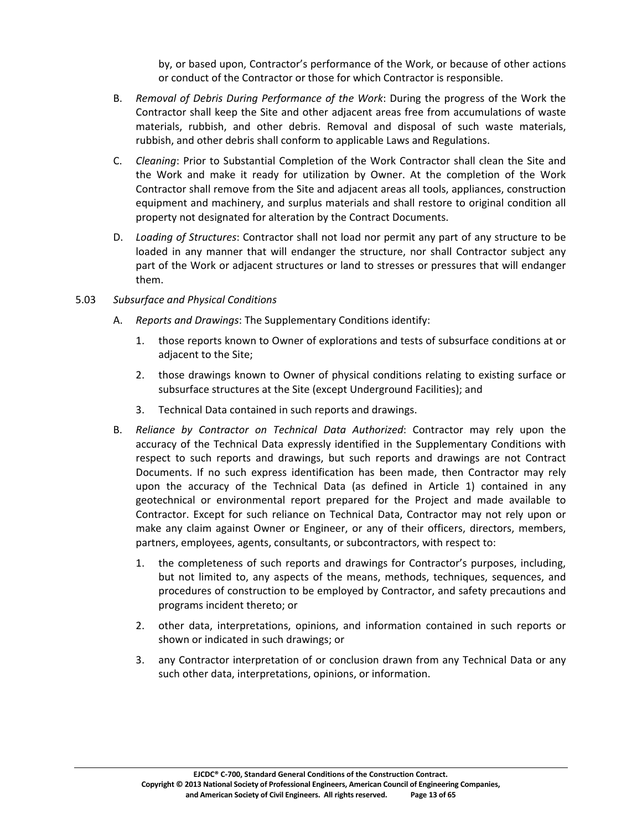by, or based upon, Contractor's performance of the Work, or because of other actions or conduct of the Contractor or those for which Contractor is responsible.

- B. *Removal of Debris During Performance of the Work*: During the progress of the Work the Contractor shall keep the Site and other adjacent areas free from accumulations of waste materials, rubbish, and other debris. Removal and disposal of such waste materials, rubbish, and other debris shall conform to applicable Laws and Regulations.
- C. *Cleaning*: Prior to Substantial Completion of the Work Contractor shall clean the Site and the Work and make it ready for utilization by Owner. At the completion of the Work Contractor shall remove from the Site and adjacent areas all tools, appliances, construction equipment and machinery, and surplus materials and shall restore to original condition all property not designated for alteration by the Contract Documents.
- D. *Loading of Structures*: Contractor shall not load nor permit any part of any structure to be loaded in any manner that will endanger the structure, nor shall Contractor subject any part of the Work or adjacent structures or land to stresses or pressures that will endanger them.
- 5.03 *Subsurface and Physical Conditions*
	- A. *Reports and Drawings*: The Supplementary Conditions identify:
		- 1. those reports known to Owner of explorations and tests of subsurface conditions at or adjacent to the Site;
		- 2. those drawings known to Owner of physical conditions relating to existing surface or subsurface structures at the Site (except Underground Facilities); and
		- 3. Technical Data contained in such reports and drawings.
	- B. *Reliance by Contractor on Technical Data Authorized*: Contractor may rely upon the accuracy of the Technical Data expressly identified in the Supplementary Conditions with respect to such reports and drawings, but such reports and drawings are not Contract Documents. If no such express identification has been made, then Contractor may rely upon the accuracy of the Technical Data (as defined in Article 1) contained in any geotechnical or environmental report prepared for the Project and made available to Contractor. Except for such reliance on Technical Data, Contractor may not rely upon or make any claim against Owner or Engineer, or any of their officers, directors, members, partners, employees, agents, consultants, or subcontractors, with respect to:
		- 1. the completeness of such reports and drawings for Contractor's purposes, including, but not limited to, any aspects of the means, methods, techniques, sequences, and procedures of construction to be employed by Contractor, and safety precautions and programs incident thereto; or
		- 2. other data, interpretations, opinions, and information contained in such reports or shown or indicated in such drawings; or
		- 3. any Contractor interpretation of or conclusion drawn from any Technical Data or any such other data, interpretations, opinions, or information.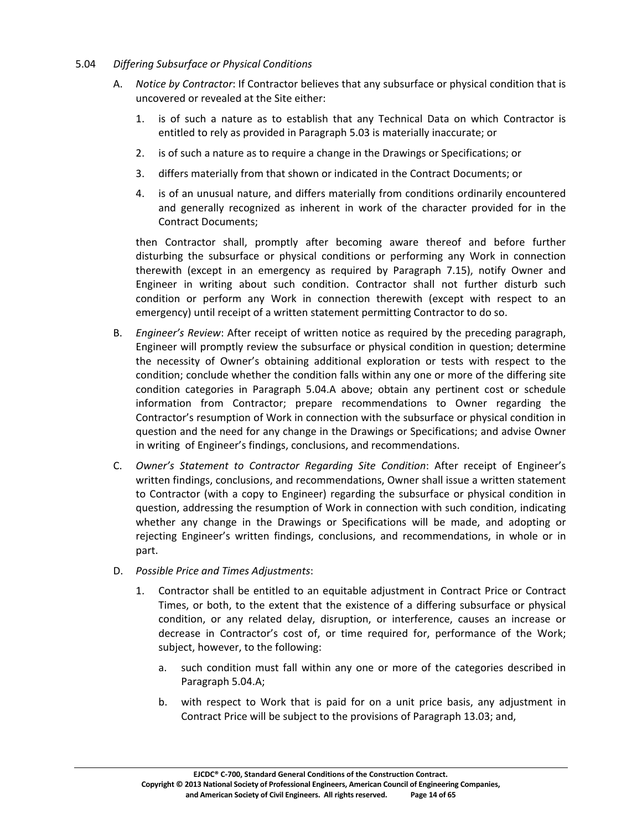#### 5.04 *Differing Subsurface or Physical Conditions*

- A. *Notice by Contractor*: If Contractor believes that any subsurface or physical condition that is uncovered or revealed at the Site either:
	- 1. is of such a nature as to establish that any Technical Data on which Contractor is entitled to rely as provided in Paragraph 5.03 is materially inaccurate; or
	- 2. is of such a nature as to require a change in the Drawings or Specifications; or
	- 3. differs materially from that shown or indicated in the Contract Documents; or
	- 4. is of an unusual nature, and differs materially from conditions ordinarily encountered and generally recognized as inherent in work of the character provided for in the Contract Documents;

then Contractor shall, promptly after becoming aware thereof and before further disturbing the subsurface or physical conditions or performing any Work in connection therewith (except in an emergency as required by Paragraph 7.15), notify Owner and Engineer in writing about such condition. Contractor shall not further disturb such condition or perform any Work in connection therewith (except with respect to an emergency) until receipt of a written statement permitting Contractor to do so.

- B. *Engineer's Review*: After receipt of written notice as required by the preceding paragraph, Engineer will promptly review the subsurface or physical condition in question; determine the necessity of Owner's obtaining additional exploration or tests with respect to the condition; conclude whether the condition falls within any one or more of the differing site condition categories in Paragraph 5.04.A above; obtain any pertinent cost or schedule information from Contractor; prepare recommendations to Owner regarding the Contractor's resumption of Work in connection with the subsurface or physical condition in question and the need for any change in the Drawings or Specifications; and advise Owner in writing of Engineer's findings, conclusions, and recommendations.
- C. *Owner's Statement to Contractor Regarding Site Condition*: After receipt of Engineer's written findings, conclusions, and recommendations, Owner shall issue a written statement to Contractor (with a copy to Engineer) regarding the subsurface or physical condition in question, addressing the resumption of Work in connection with such condition, indicating whether any change in the Drawings or Specifications will be made, and adopting or rejecting Engineer's written findings, conclusions, and recommendations, in whole or in part.
- D. *Possible Price and Times Adjustments*:
	- 1. Contractor shall be entitled to an equitable adjustment in Contract Price or Contract Times, or both, to the extent that the existence of a differing subsurface or physical condition, or any related delay, disruption, or interference, causes an increase or decrease in Contractor's cost of, or time required for, performance of the Work; subject, however, to the following:
		- a. such condition must fall within any one or more of the categories described in Paragraph 5.04.A;
		- b. with respect to Work that is paid for on a unit price basis, any adjustment in Contract Price will be subject to the provisions of Paragraph 13.03; and,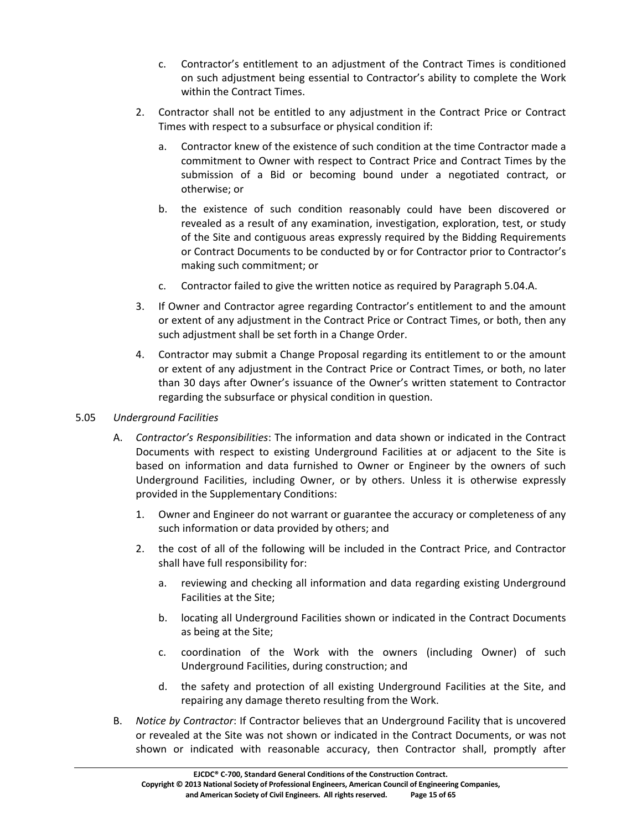- c. Contractor's entitlement to an adjustment of the Contract Times is conditioned on such adjustment being essential to Contractor's ability to complete the Work within the Contract Times.
- 2. Contractor shall not be entitled to any adjustment in the Contract Price or Contract Times with respect to a subsurface or physical condition if:
	- a. Contractor knew of the existence of such condition at the time Contractor made a commitment to Owner with respect to Contract Price and Contract Times by the submission of a Bid or becoming bound under a negotiated contract, or otherwise; or
	- b. the existence of such condition reasonably could have been discovered or revealed as a result of any examination, investigation, exploration, test, or study of the Site and contiguous areas expressly required by the Bidding Requirements or Contract Documents to be conducted by or for Contractor prior to Contractor's making such commitment; or
	- c. Contractor failed to give the written notice as required by Paragraph 5.04.A.
- 3. If Owner and Contractor agree regarding Contractor's entitlement to and the amount or extent of any adjustment in the Contract Price or Contract Times, or both, then any such adjustment shall be set forth in a Change Order.
- 4. Contractor may submit a Change Proposal regarding its entitlement to or the amount or extent of any adjustment in the Contract Price or Contract Times, or both, no later than 30 days after Owner's issuance of the Owner's written statement to Contractor regarding the subsurface or physical condition in question.

# 5.05 *Underground Facilities*

- A. *Contractor's Responsibilities*: The information and data shown or indicated in the Contract Documents with respect to existing Underground Facilities at or adjacent to the Site is based on information and data furnished to Owner or Engineer by the owners of such Underground Facilities, including Owner, or by others. Unless it is otherwise expressly provided in the Supplementary Conditions:
	- 1. Owner and Engineer do not warrant or guarantee the accuracy or completeness of any such information or data provided by others; and
	- 2. the cost of all of the following will be included in the Contract Price, and Contractor shall have full responsibility for:
		- a. reviewing and checking all information and data regarding existing Underground Facilities at the Site;
		- b. locating all Underground Facilities shown or indicated in the Contract Documents as being at the Site;
		- c. coordination of the Work with the owners (including Owner) of such Underground Facilities, during construction; and
		- d. the safety and protection of all existing Underground Facilities at the Site, and repairing any damage thereto resulting from the Work.
- B. *Notice by Contractor*: If Contractor believes that an Underground Facility that is uncovered or revealed at the Site was not shown or indicated in the Contract Documents, or was not shown or indicated with reasonable accuracy, then Contractor shall, promptly after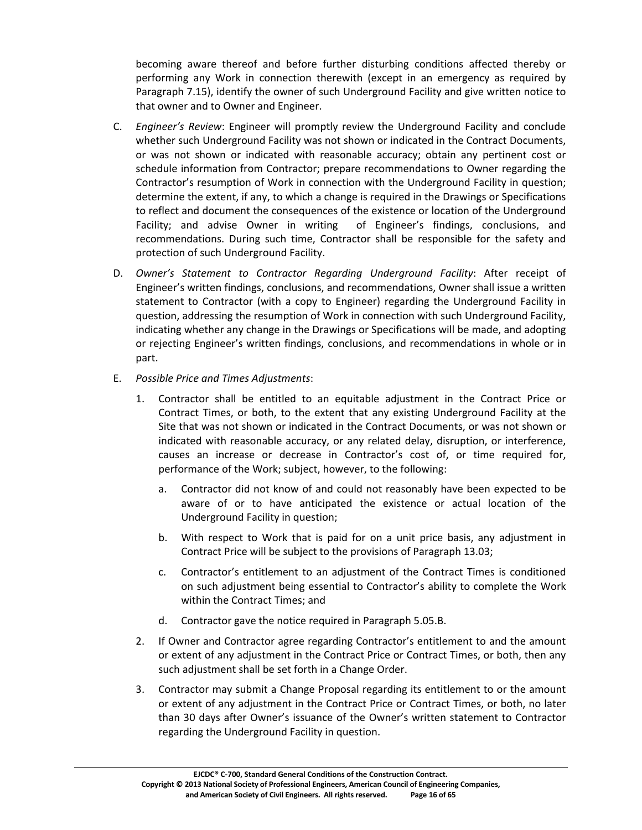becoming aware thereof and before further disturbing conditions affected thereby or performing any Work in connection therewith (except in an emergency as required by Paragraph 7.15), identify the owner of such Underground Facility and give written notice to that owner and to Owner and Engineer.

- C. *Engineer's Review*: Engineer will promptly review the Underground Facility and conclude whether such Underground Facility was not shown or indicated in the Contract Documents, or was not shown or indicated with reasonable accuracy; obtain any pertinent cost or schedule information from Contractor; prepare recommendations to Owner regarding the Contractor's resumption of Work in connection with the Underground Facility in question; determine the extent, if any, to which a change is required in the Drawings or Specifications to reflect and document the consequences of the existence or location of the Underground Facility; and advise Owner in writing of Engineer's findings, conclusions, and recommendations. During such time, Contractor shall be responsible for the safety and protection of such Underground Facility.
- D. *Owner's Statement to Contractor Regarding Underground Facility*: After receipt of Engineer's written findings, conclusions, and recommendations, Owner shall issue a written statement to Contractor (with a copy to Engineer) regarding the Underground Facility in question, addressing the resumption of Work in connection with such Underground Facility, indicating whether any change in the Drawings or Specifications will be made, and adopting or rejecting Engineer's written findings, conclusions, and recommendations in whole or in part.
- E. *Possible Price and Times Adjustments*:
	- 1. Contractor shall be entitled to an equitable adjustment in the Contract Price or Contract Times, or both, to the extent that any existing Underground Facility at the Site that was not shown or indicated in the Contract Documents, or was not shown or indicated with reasonable accuracy, or any related delay, disruption, or interference, causes an increase or decrease in Contractor's cost of, or time required for, performance of the Work; subject, however, to the following:
		- a. Contractor did not know of and could not reasonably have been expected to be aware of or to have anticipated the existence or actual location of the Underground Facility in question;
		- b. With respect to Work that is paid for on a unit price basis, any adjustment in Contract Price will be subject to the provisions of Paragraph 13.03;
		- c. Contractor's entitlement to an adjustment of the Contract Times is conditioned on such adjustment being essential to Contractor's ability to complete the Work within the Contract Times; and
		- d. Contractor gave the notice required in Paragraph 5.05.B.
	- 2. If Owner and Contractor agree regarding Contractor's entitlement to and the amount or extent of any adjustment in the Contract Price or Contract Times, or both, then any such adjustment shall be set forth in a Change Order.
	- 3. Contractor may submit a Change Proposal regarding its entitlement to or the amount or extent of any adjustment in the Contract Price or Contract Times, or both, no later than 30 days after Owner's issuance of the Owner's written statement to Contractor regarding the Underground Facility in question.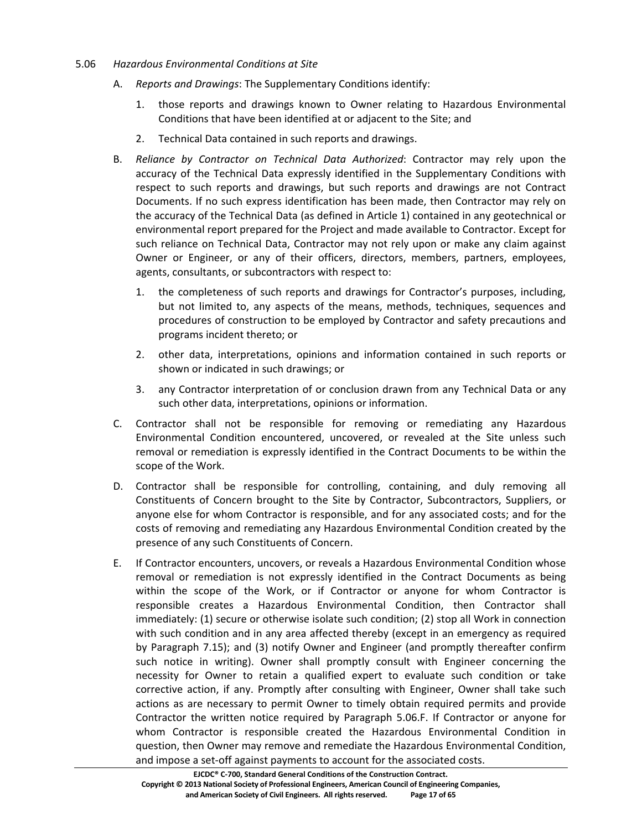#### 5.06 *Hazardous Environmental Conditions at Site*

- A. *Reports and Drawings*: The Supplementary Conditions identify:
	- 1. those reports and drawings known to Owner relating to Hazardous Environmental Conditions that have been identified at or adjacent to the Site; and
	- 2. Technical Data contained in such reports and drawings.
- B. *Reliance by Contractor on Technical Data Authorized*: Contractor may rely upon the accuracy of the Technical Data expressly identified in the Supplementary Conditions with respect to such reports and drawings, but such reports and drawings are not Contract Documents. If no such express identification has been made, then Contractor may rely on the accuracy of the Technical Data (as defined in Article 1) contained in any geotechnical or environmental report prepared for the Project and made available to Contractor. Except for such reliance on Technical Data, Contractor may not rely upon or make any claim against Owner or Engineer, or any of their officers, directors, members, partners, employees, agents, consultants, or subcontractors with respect to:
	- 1. the completeness of such reports and drawings for Contractor's purposes, including, but not limited to, any aspects of the means, methods, techniques, sequences and procedures of construction to be employed by Contractor and safety precautions and programs incident thereto; or
	- 2. other data, interpretations, opinions and information contained in such reports or shown or indicated in such drawings; or
	- 3. any Contractor interpretation of or conclusion drawn from any Technical Data or any such other data, interpretations, opinions or information.
- C. Contractor shall not be responsible for removing or remediating any Hazardous Environmental Condition encountered, uncovered, or revealed at the Site unless such removal or remediation is expressly identified in the Contract Documents to be within the scope of the Work.
- D. Contractor shall be responsible for controlling, containing, and duly removing all Constituents of Concern brought to the Site by Contractor, Subcontractors, Suppliers, or anyone else for whom Contractor is responsible, and for any associated costs; and for the costs of removing and remediating any Hazardous Environmental Condition created by the presence of any such Constituents of Concern.
- E. If Contractor encounters, uncovers, or reveals a Hazardous Environmental Condition whose removal or remediation is not expressly identified in the Contract Documents as being within the scope of the Work, or if Contractor or anyone for whom Contractor is responsible creates a Hazardous Environmental Condition, then Contractor shall immediately: (1) secure or otherwise isolate such condition; (2) stop all Work in connection with such condition and in any area affected thereby (except in an emergency as required by Paragraph 7.15); and (3) notify Owner and Engineer (and promptly thereafter confirm such notice in writing). Owner shall promptly consult with Engineer concerning the necessity for Owner to retain a qualified expert to evaluate such condition or take corrective action, if any. Promptly after consulting with Engineer, Owner shall take such actions as are necessary to permit Owner to timely obtain required permits and provide Contractor the written notice required by Paragraph 5.06.F. If Contractor or anyone for whom Contractor is responsible created the Hazardous Environmental Condition in question, then Owner may remove and remediate the Hazardous Environmental Condition, and impose a set‐off against payments to account for the associated costs.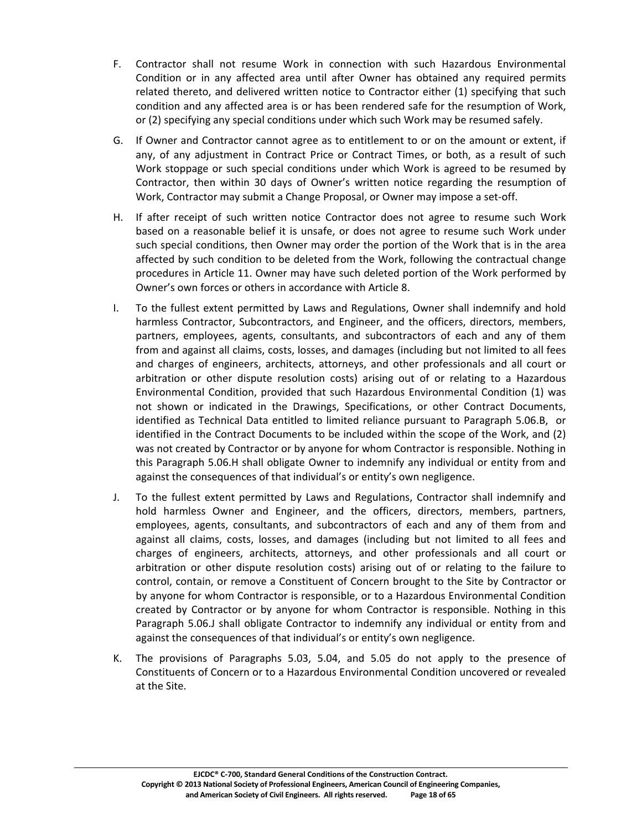- F. Contractor shall not resume Work in connection with such Hazardous Environmental Condition or in any affected area until after Owner has obtained any required permits related thereto, and delivered written notice to Contractor either (1) specifying that such condition and any affected area is or has been rendered safe for the resumption of Work, or (2) specifying any special conditions under which such Work may be resumed safely.
- G. If Owner and Contractor cannot agree as to entitlement to or on the amount or extent, if any, of any adjustment in Contract Price or Contract Times, or both, as a result of such Work stoppage or such special conditions under which Work is agreed to be resumed by Contractor, then within 30 days of Owner's written notice regarding the resumption of Work, Contractor may submit a Change Proposal, or Owner may impose a set-off.
- H. If after receipt of such written notice Contractor does not agree to resume such Work based on a reasonable belief it is unsafe, or does not agree to resume such Work under such special conditions, then Owner may order the portion of the Work that is in the area affected by such condition to be deleted from the Work, following the contractual change procedures in Article 11. Owner may have such deleted portion of the Work performed by Owner's own forces or others in accordance with Article 8.
- I. To the fullest extent permitted by Laws and Regulations, Owner shall indemnify and hold harmless Contractor, Subcontractors, and Engineer, and the officers, directors, members, partners, employees, agents, consultants, and subcontractors of each and any of them from and against all claims, costs, losses, and damages (including but not limited to all fees and charges of engineers, architects, attorneys, and other professionals and all court or arbitration or other dispute resolution costs) arising out of or relating to a Hazardous Environmental Condition, provided that such Hazardous Environmental Condition (1) was not shown or indicated in the Drawings, Specifications, or other Contract Documents, identified as Technical Data entitled to limited reliance pursuant to Paragraph 5.06.B, or identified in the Contract Documents to be included within the scope of the Work, and (2) was not created by Contractor or by anyone for whom Contractor is responsible. Nothing in this Paragraph 5.06.H shall obligate Owner to indemnify any individual or entity from and against the consequences of that individual's or entity's own negligence.
- J. To the fullest extent permitted by Laws and Regulations, Contractor shall indemnify and hold harmless Owner and Engineer, and the officers, directors, members, partners, employees, agents, consultants, and subcontractors of each and any of them from and against all claims, costs, losses, and damages (including but not limited to all fees and charges of engineers, architects, attorneys, and other professionals and all court or arbitration or other dispute resolution costs) arising out of or relating to the failure to control, contain, or remove a Constituent of Concern brought to the Site by Contractor or by anyone for whom Contractor is responsible, or to a Hazardous Environmental Condition created by Contractor or by anyone for whom Contractor is responsible. Nothing in this Paragraph 5.06.J shall obligate Contractor to indemnify any individual or entity from and against the consequences of that individual's or entity's own negligence.
- K. The provisions of Paragraphs 5.03, 5.04, and 5.05 do not apply to the presence of Constituents of Concern or to a Hazardous Environmental Condition uncovered or revealed at the Site.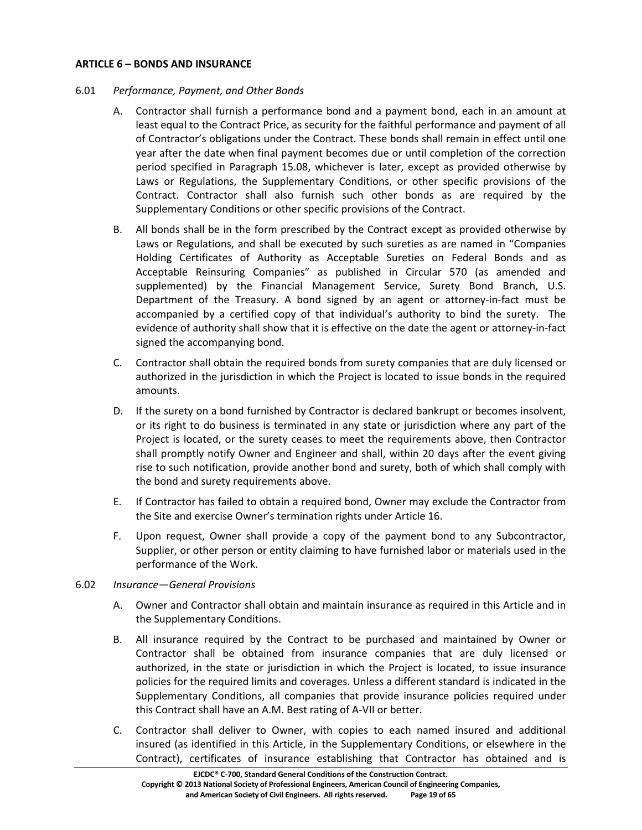#### **ARTICLE 6 – BONDS AND INSURANCE**

#### 6.01 *Performance, Payment, and Other Bonds*

- A. Contractor shall furnish a performance bond and a payment bond, each in an amount at least equal to the Contract Price, as security for the faithful performance and payment of all of Contractor's obligations under the Contract. These bonds shall remain in effect until one year after the date when final payment becomes due or until completion of the correction period specified in Paragraph 15.08, whichever is later, except as provided otherwise by Laws or Regulations, the Supplementary Conditions, or other specific provisions of the Contract. Contractor shall also furnish such other bonds as are required by the Supplementary Conditions or other specific provisions of the Contract.
- B. All bonds shall be in the form prescribed by the Contract except as provided otherwise by Laws or Regulations, and shall be executed by such sureties as are named in "Companies Holding Certificates of Authority as Acceptable Sureties on Federal Bonds and as Acceptable Reinsuring Companies" as published in Circular 570 (as amended and supplemented) by the Financial Management Service, Surety Bond Branch, U.S. Department of the Treasury. A bond signed by an agent or attorney-in-fact must be accompanied by a certified copy of that individual's authority to bind the surety. The evidence of authority shall show that it is effective on the date the agent or attorney‐in‐fact signed the accompanying bond.
- C. Contractor shall obtain the required bonds from surety companies that are duly licensed or authorized in the jurisdiction in which the Project is located to issue bonds in the required amounts.
- D. If the surety on a bond furnished by Contractor is declared bankrupt or becomes insolvent, or its right to do business is terminated in any state or jurisdiction where any part of the Project is located, or the surety ceases to meet the requirements above, then Contractor shall promptly notify Owner and Engineer and shall, within 20 days after the event giving rise to such notification, provide another bond and surety, both of which shall comply with the bond and surety requirements above.
- E. If Contractor has failed to obtain a required bond, Owner may exclude the Contractor from the Site and exercise Owner's termination rights under Article 16.
- F. Upon request, Owner shall provide a copy of the payment bond to any Subcontractor, Supplier, or other person or entity claiming to have furnished labor or materials used in the performance of the Work.

#### 6.02 *Insurance—General Provisions*

- A. Owner and Contractor shall obtain and maintain insurance as required in this Article and in the Supplementary Conditions.
- B. All insurance required by the Contract to be purchased and maintained by Owner or Contractor shall be obtained from insurance companies that are duly licensed or authorized, in the state or jurisdiction in which the Project is located, to issue insurance policies for the required limits and coverages. Unless a different standard is indicated in the Supplementary Conditions, all companies that provide insurance policies required under this Contract shall have an A.M. Best rating of A‐VII or better.
- C. Contractor shall deliver to Owner, with copies to each named insured and additional insured (as identified in this Article, in the Supplementary Conditions, or elsewhere in the Contract), certificates of insurance establishing that Contractor has obtained and is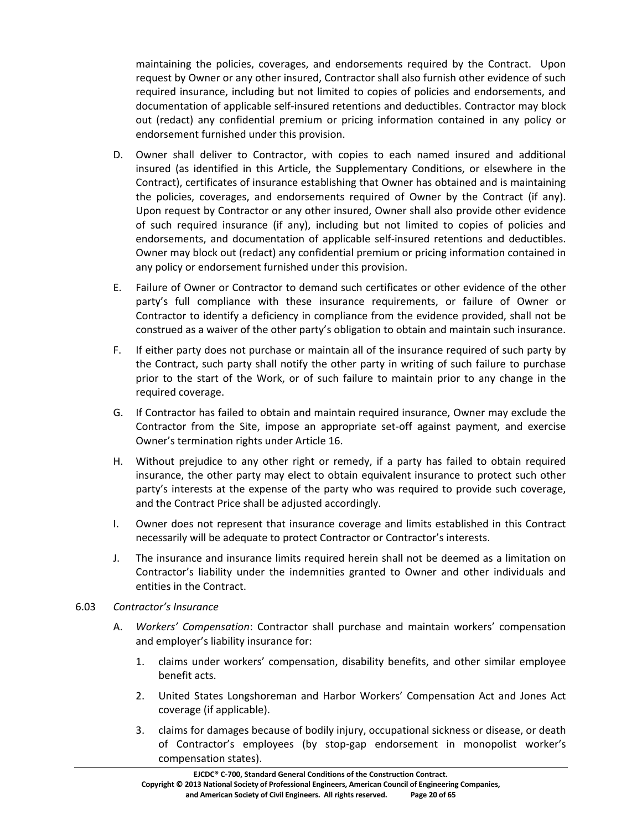maintaining the policies, coverages, and endorsements required by the Contract. Upon request by Owner or any other insured, Contractor shall also furnish other evidence of such required insurance, including but not limited to copies of policies and endorsements, and documentation of applicable self‐insured retentions and deductibles. Contractor may block out (redact) any confidential premium or pricing information contained in any policy or endorsement furnished under this provision.

- D. Owner shall deliver to Contractor, with copies to each named insured and additional insured (as identified in this Article, the Supplementary Conditions, or elsewhere in the Contract), certificates of insurance establishing that Owner has obtained and is maintaining the policies, coverages, and endorsements required of Owner by the Contract (if any). Upon request by Contractor or any other insured, Owner shall also provide other evidence of such required insurance (if any), including but not limited to copies of policies and endorsements, and documentation of applicable self‐insured retentions and deductibles. Owner may block out (redact) any confidential premium or pricing information contained in any policy or endorsement furnished under this provision.
- E. Failure of Owner or Contractor to demand such certificates or other evidence of the other party's full compliance with these insurance requirements, or failure of Owner or Contractor to identify a deficiency in compliance from the evidence provided, shall not be construed as a waiver of the other party's obligation to obtain and maintain such insurance.
- F. If either party does not purchase or maintain all of the insurance required of such party by the Contract, such party shall notify the other party in writing of such failure to purchase prior to the start of the Work, or of such failure to maintain prior to any change in the required coverage.
- G. If Contractor has failed to obtain and maintain required insurance, Owner may exclude the Contractor from the Site, impose an appropriate set‐off against payment, and exercise Owner's termination rights under Article 16.
- H. Without prejudice to any other right or remedy, if a party has failed to obtain required insurance, the other party may elect to obtain equivalent insurance to protect such other party's interests at the expense of the party who was required to provide such coverage, and the Contract Price shall be adjusted accordingly.
- I. Owner does not represent that insurance coverage and limits established in this Contract necessarily will be adequate to protect Contractor or Contractor's interests.
- J. The insurance and insurance limits required herein shall not be deemed as a limitation on Contractor's liability under the indemnities granted to Owner and other individuals and entities in the Contract.
- 6.03 *Contractor's Insurance*
	- A. *Workers' Compensation*: Contractor shall purchase and maintain workers' compensation and employer's liability insurance for:
		- 1. claims under workers' compensation, disability benefits, and other similar employee benefit acts.
		- 2. United States Longshoreman and Harbor Workers' Compensation Act and Jones Act coverage (if applicable).
		- 3. claims for damages because of bodily injury, occupational sickness or disease, or death of Contractor's employees (by stop‐gap endorsement in monopolist worker's compensation states).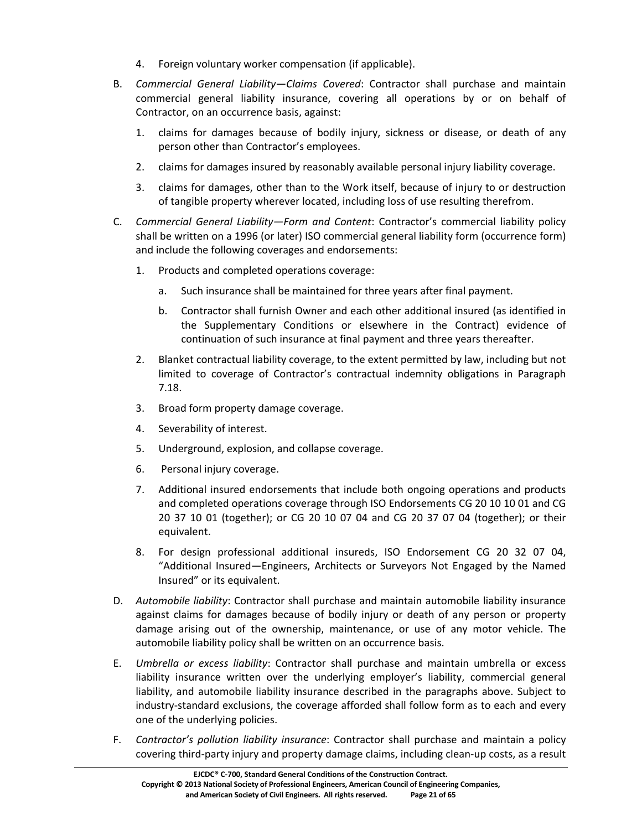- 4. Foreign voluntary worker compensation (if applicable).
- B. *Commercial General Liability—Claims Covered*: Contractor shall purchase and maintain commercial general liability insurance, covering all operations by or on behalf of Contractor, on an occurrence basis, against:
	- 1. claims for damages because of bodily injury, sickness or disease, or death of any person other than Contractor's employees.
	- 2. claims for damages insured by reasonably available personal injury liability coverage.
	- 3. claims for damages, other than to the Work itself, because of injury to or destruction of tangible property wherever located, including loss of use resulting therefrom.
- C. *Commercial General Liability—Form and Content*: Contractor's commercial liability policy shall be written on a 1996 (or later) ISO commercial general liability form (occurrence form) and include the following coverages and endorsements:
	- 1. Products and completed operations coverage:
		- a. Such insurance shall be maintained for three years after final payment.
		- b. Contractor shall furnish Owner and each other additional insured (as identified in the Supplementary Conditions or elsewhere in the Contract) evidence of continuation of such insurance at final payment and three years thereafter.
	- 2. Blanket contractual liability coverage, to the extent permitted by law, including but not limited to coverage of Contractor's contractual indemnity obligations in Paragraph 7.18.
	- 3. Broad form property damage coverage.
	- 4. Severability of interest.
	- 5. Underground, explosion, and collapse coverage.
	- 6. Personal injury coverage.
	- 7. Additional insured endorsements that include both ongoing operations and products and completed operations coverage through ISO Endorsements CG 20 10 10 01 and CG 20 37 10 01 (together); or CG 20 10 07 04 and CG 20 37 07 04 (together); or their equivalent.
	- 8. For design professional additional insureds, ISO Endorsement CG 20 32 07 04, "Additional Insured—Engineers, Architects or Surveyors Not Engaged by the Named Insured" or its equivalent.
- D. *Automobile liability*: Contractor shall purchase and maintain automobile liability insurance against claims for damages because of bodily injury or death of any person or property damage arising out of the ownership, maintenance, or use of any motor vehicle. The automobile liability policy shall be written on an occurrence basis.
- E. *Umbrella or excess liability*: Contractor shall purchase and maintain umbrella or excess liability insurance written over the underlying employer's liability, commercial general liability, and automobile liability insurance described in the paragraphs above. Subject to industry‐standard exclusions, the coverage afforded shall follow form as to each and every one of the underlying policies.
- F. *Contractor's pollution liability insurance*: Contractor shall purchase and maintain a policy covering third-party injury and property damage claims, including clean-up costs, as a result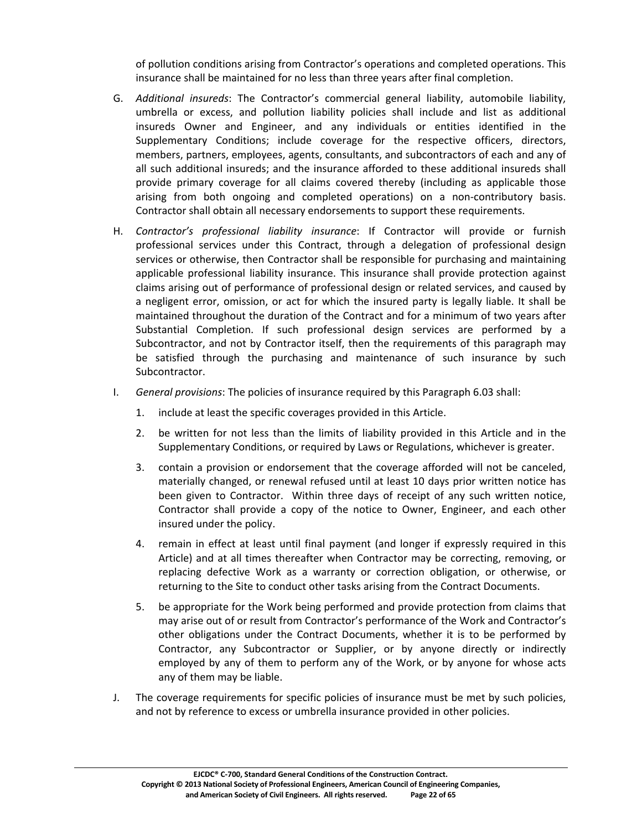of pollution conditions arising from Contractor's operations and completed operations. This insurance shall be maintained for no less than three years after final completion.

- G. *Additional insureds*: The Contractor's commercial general liability, automobile liability, umbrella or excess, and pollution liability policies shall include and list as additional insureds Owner and Engineer, and any individuals or entities identified in the Supplementary Conditions; include coverage for the respective officers, directors, members, partners, employees, agents, consultants, and subcontractors of each and any of all such additional insureds; and the insurance afforded to these additional insureds shall provide primary coverage for all claims covered thereby (including as applicable those arising from both ongoing and completed operations) on a non‐contributory basis. Contractor shall obtain all necessary endorsements to support these requirements.
- H. *Contractor's professional liability insurance*: If Contractor will provide or furnish professional services under this Contract, through a delegation of professional design services or otherwise, then Contractor shall be responsible for purchasing and maintaining applicable professional liability insurance. This insurance shall provide protection against claims arising out of performance of professional design or related services, and caused by a negligent error, omission, or act for which the insured party is legally liable. It shall be maintained throughout the duration of the Contract and for a minimum of two years after Substantial Completion. If such professional design services are performed by a Subcontractor, and not by Contractor itself, then the requirements of this paragraph may be satisfied through the purchasing and maintenance of such insurance by such Subcontractor.
- I. *General provisions*: The policies of insurance required by this Paragraph 6.03 shall:
	- 1. include at least the specific coverages provided in this Article.
	- 2. be written for not less than the limits of liability provided in this Article and in the Supplementary Conditions, or required by Laws or Regulations, whichever is greater.
	- 3. contain a provision or endorsement that the coverage afforded will not be canceled, materially changed, or renewal refused until at least 10 days prior written notice has been given to Contractor. Within three days of receipt of any such written notice, Contractor shall provide a copy of the notice to Owner, Engineer, and each other insured under the policy.
	- 4. remain in effect at least until final payment (and longer if expressly required in this Article) and at all times thereafter when Contractor may be correcting, removing, or replacing defective Work as a warranty or correction obligation, or otherwise, or returning to the Site to conduct other tasks arising from the Contract Documents.
	- 5. be appropriate for the Work being performed and provide protection from claims that may arise out of or result from Contractor's performance of the Work and Contractor's other obligations under the Contract Documents, whether it is to be performed by Contractor, any Subcontractor or Supplier, or by anyone directly or indirectly employed by any of them to perform any of the Work, or by anyone for whose acts any of them may be liable.
- J. The coverage requirements for specific policies of insurance must be met by such policies, and not by reference to excess or umbrella insurance provided in other policies.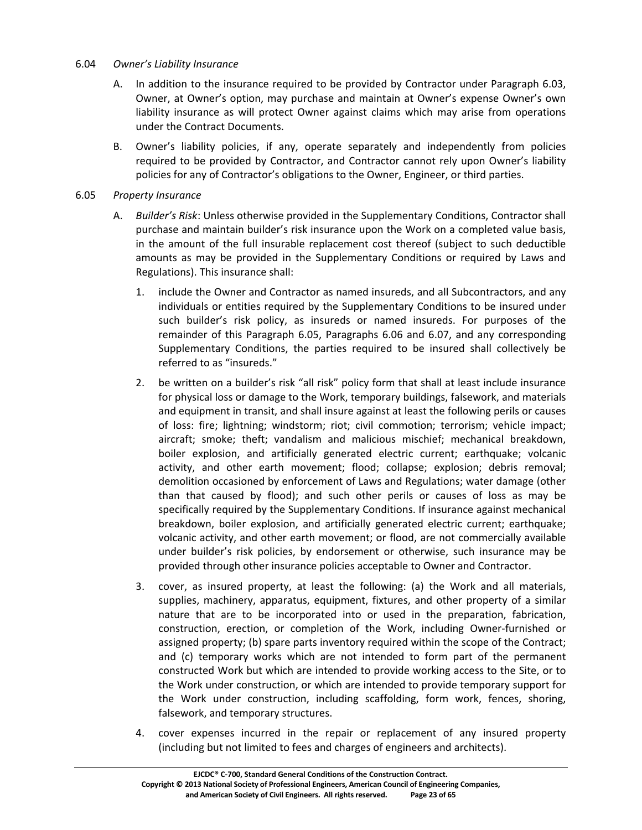#### 6.04 *Owner's Liability Insurance*

- A. In addition to the insurance required to be provided by Contractor under Paragraph 6.03, Owner, at Owner's option, may purchase and maintain at Owner's expense Owner's own liability insurance as will protect Owner against claims which may arise from operations under the Contract Documents.
- B. Owner's liability policies, if any, operate separately and independently from policies required to be provided by Contractor, and Contractor cannot rely upon Owner's liability policies for any of Contractor's obligations to the Owner, Engineer, or third parties.

# 6.05 *Property Insurance*

- A. *Builder's Risk*: Unless otherwise provided in the Supplementary Conditions, Contractor shall purchase and maintain builder's risk insurance upon the Work on a completed value basis, in the amount of the full insurable replacement cost thereof (subject to such deductible amounts as may be provided in the Supplementary Conditions or required by Laws and Regulations). This insurance shall:
	- 1. include the Owner and Contractor as named insureds, and all Subcontractors, and any individuals or entities required by the Supplementary Conditions to be insured under such builder's risk policy, as insureds or named insureds. For purposes of the remainder of this Paragraph 6.05, Paragraphs 6.06 and 6.07, and any corresponding Supplementary Conditions, the parties required to be insured shall collectively be referred to as "insureds."
	- 2. be written on a builder's risk "all risk" policy form that shall at least include insurance for physical loss or damage to the Work, temporary buildings, falsework, and materials and equipment in transit, and shall insure against at least the following perils or causes of loss: fire; lightning; windstorm; riot; civil commotion; terrorism; vehicle impact; aircraft; smoke; theft; vandalism and malicious mischief; mechanical breakdown, boiler explosion, and artificially generated electric current; earthquake; volcanic activity, and other earth movement; flood; collapse; explosion; debris removal; demolition occasioned by enforcement of Laws and Regulations; water damage (other than that caused by flood); and such other perils or causes of loss as may be specifically required by the Supplementary Conditions. If insurance against mechanical breakdown, boiler explosion, and artificially generated electric current; earthquake; volcanic activity, and other earth movement; or flood, are not commercially available under builder's risk policies, by endorsement or otherwise, such insurance may be provided through other insurance policies acceptable to Owner and Contractor.
	- 3. cover, as insured property, at least the following: (a) the Work and all materials, supplies, machinery, apparatus, equipment, fixtures, and other property of a similar nature that are to be incorporated into or used in the preparation, fabrication, construction, erection, or completion of the Work, including Owner-furnished or assigned property; (b) spare parts inventory required within the scope of the Contract; and (c) temporary works which are not intended to form part of the permanent constructed Work but which are intended to provide working access to the Site, or to the Work under construction, or which are intended to provide temporary support for the Work under construction, including scaffolding, form work, fences, shoring, falsework, and temporary structures.
	- 4. cover expenses incurred in the repair or replacement of any insured property (including but not limited to fees and charges of engineers and architects).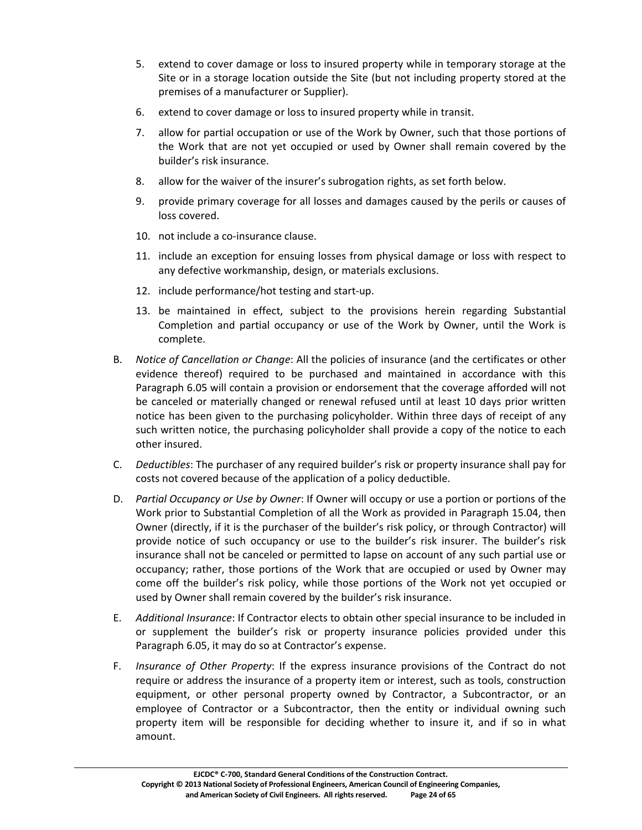- 5. extend to cover damage or loss to insured property while in temporary storage at the Site or in a storage location outside the Site (but not including property stored at the premises of a manufacturer or Supplier).
- 6. extend to cover damage or loss to insured property while in transit.
- 7. allow for partial occupation or use of the Work by Owner, such that those portions of the Work that are not yet occupied or used by Owner shall remain covered by the builder's risk insurance.
- 8. allow for the waiver of the insurer's subrogation rights, as set forth below.
- 9. provide primary coverage for all losses and damages caused by the perils or causes of loss covered.
- 10. not include a co-insurance clause.
- 11. include an exception for ensuing losses from physical damage or loss with respect to any defective workmanship, design, or materials exclusions.
- 12. include performance/hot testing and start‐up.
- 13. be maintained in effect, subject to the provisions herein regarding Substantial Completion and partial occupancy or use of the Work by Owner, until the Work is complete.
- B. *Notice of Cancellation or Change*: All the policies of insurance (and the certificates or other evidence thereof) required to be purchased and maintained in accordance with this Paragraph 6.05 will contain a provision or endorsement that the coverage afforded will not be canceled or materially changed or renewal refused until at least 10 days prior written notice has been given to the purchasing policyholder. Within three days of receipt of any such written notice, the purchasing policyholder shall provide a copy of the notice to each other insured.
- C. *Deductibles*: The purchaser of any required builder's risk or property insurance shall pay for costs not covered because of the application of a policy deductible.
- D. *Partial Occupancy or Use by Owner*: If Owner will occupy or use a portion or portions of the Work prior to Substantial Completion of all the Work as provided in Paragraph 15.04, then Owner (directly, if it is the purchaser of the builder's risk policy, or through Contractor) will provide notice of such occupancy or use to the builder's risk insurer. The builder's risk insurance shall not be canceled or permitted to lapse on account of any such partial use or occupancy; rather, those portions of the Work that are occupied or used by Owner may come off the builder's risk policy, while those portions of the Work not yet occupied or used by Owner shall remain covered by the builder's risk insurance.
- E. *Additional Insurance*: If Contractor elects to obtain other special insurance to be included in or supplement the builder's risk or property insurance policies provided under this Paragraph 6.05, it may do so at Contractor's expense.
- F. *Insurance of Other Property*: If the express insurance provisions of the Contract do not require or address the insurance of a property item or interest, such as tools, construction equipment, or other personal property owned by Contractor, a Subcontractor, or an employee of Contractor or a Subcontractor, then the entity or individual owning such property item will be responsible for deciding whether to insure it, and if so in what amount.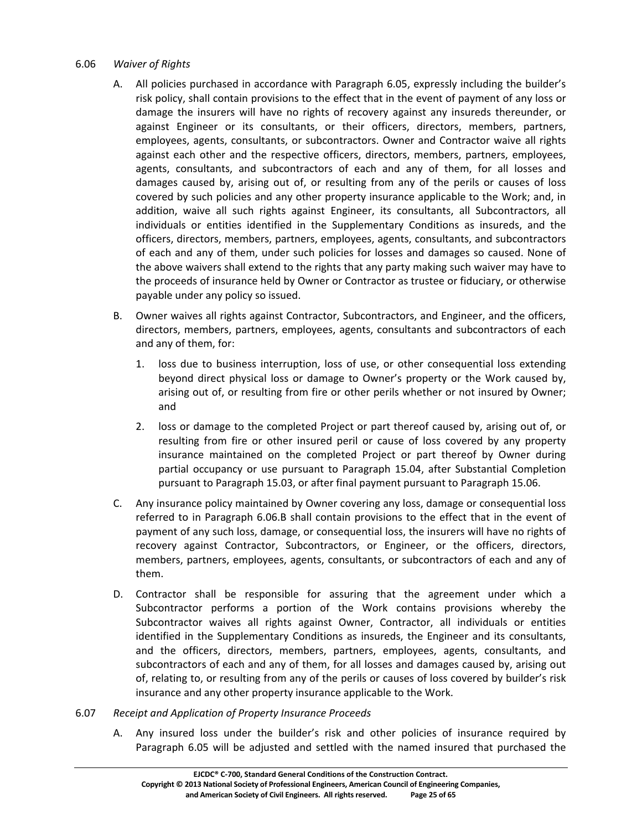#### 6.06 *Waiver of Rights*

- A. All policies purchased in accordance with Paragraph 6.05, expressly including the builder's risk policy, shall contain provisions to the effect that in the event of payment of any loss or damage the insurers will have no rights of recovery against any insureds thereunder, or against Engineer or its consultants, or their officers, directors, members, partners, employees, agents, consultants, or subcontractors. Owner and Contractor waive all rights against each other and the respective officers, directors, members, partners, employees, agents, consultants, and subcontractors of each and any of them, for all losses and damages caused by, arising out of, or resulting from any of the perils or causes of loss covered by such policies and any other property insurance applicable to the Work; and, in addition, waive all such rights against Engineer, its consultants, all Subcontractors, all individuals or entities identified in the Supplementary Conditions as insureds, and the officers, directors, members, partners, employees, agents, consultants, and subcontractors of each and any of them, under such policies for losses and damages so caused. None of the above waivers shall extend to the rights that any party making such waiver may have to the proceeds of insurance held by Owner or Contractor as trustee or fiduciary, or otherwise payable under any policy so issued.
- B. Owner waives all rights against Contractor, Subcontractors, and Engineer, and the officers, directors, members, partners, employees, agents, consultants and subcontractors of each and any of them, for:
	- 1. loss due to business interruption, loss of use, or other consequential loss extending beyond direct physical loss or damage to Owner's property or the Work caused by, arising out of, or resulting from fire or other perils whether or not insured by Owner; and
	- 2. loss or damage to the completed Project or part thereof caused by, arising out of, or resulting from fire or other insured peril or cause of loss covered by any property insurance maintained on the completed Project or part thereof by Owner during partial occupancy or use pursuant to Paragraph 15.04, after Substantial Completion pursuant to Paragraph 15.03, or after final payment pursuant to Paragraph 15.06.
- C. Any insurance policy maintained by Owner covering any loss, damage or consequential loss referred to in Paragraph 6.06.B shall contain provisions to the effect that in the event of payment of any such loss, damage, or consequential loss, the insurers will have no rights of recovery against Contractor, Subcontractors, or Engineer, or the officers, directors, members, partners, employees, agents, consultants, or subcontractors of each and any of them.
- D. Contractor shall be responsible for assuring that the agreement under which a Subcontractor performs a portion of the Work contains provisions whereby the Subcontractor waives all rights against Owner, Contractor, all individuals or entities identified in the Supplementary Conditions as insureds, the Engineer and its consultants, and the officers, directors, members, partners, employees, agents, consultants, and subcontractors of each and any of them, for all losses and damages caused by, arising out of, relating to, or resulting from any of the perils or causes of loss covered by builder's risk insurance and any other property insurance applicable to the Work.

# 6.07 *Receipt and Application of Property Insurance Proceeds*

A. Any insured loss under the builder's risk and other policies of insurance required by Paragraph 6.05 will be adjusted and settled with the named insured that purchased the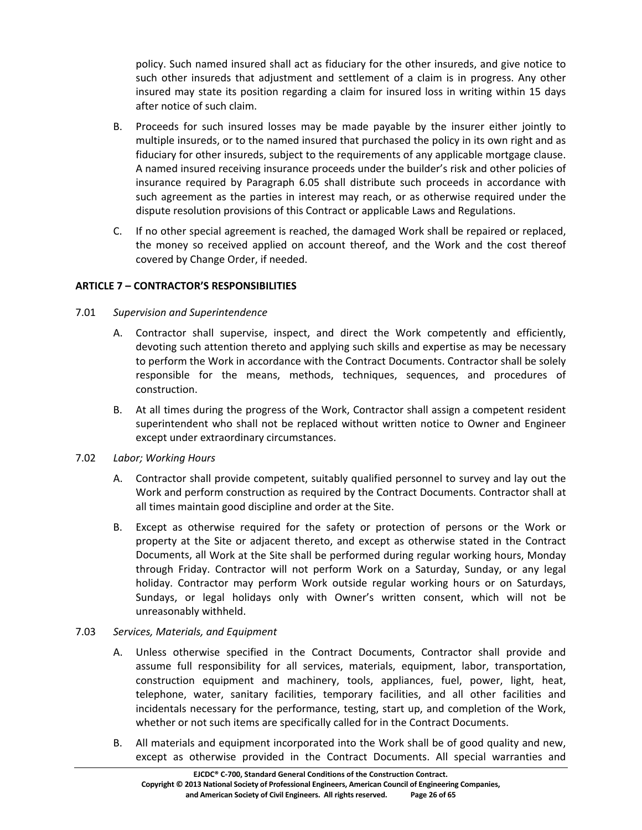policy. Such named insured shall act as fiduciary for the other insureds, and give notice to such other insureds that adjustment and settlement of a claim is in progress. Any other insured may state its position regarding a claim for insured loss in writing within 15 days after notice of such claim.

- B. Proceeds for such insured losses may be made payable by the insurer either jointly to multiple insureds, or to the named insured that purchased the policy in its own right and as fiduciary for other insureds, subject to the requirements of any applicable mortgage clause. A named insured receiving insurance proceeds under the builder's risk and other policies of insurance required by Paragraph 6.05 shall distribute such proceeds in accordance with such agreement as the parties in interest may reach, or as otherwise required under the dispute resolution provisions of this Contract or applicable Laws and Regulations.
- C. If no other special agreement is reached, the damaged Work shall be repaired or replaced, the money so received applied on account thereof, and the Work and the cost thereof covered by Change Order, if needed.

# **ARTICLE 7 – CONTRACTOR'S RESPONSIBILITIES**

# 7.01 *Supervision and Superintendence*

- A. Contractor shall supervise, inspect, and direct the Work competently and efficiently, devoting such attention thereto and applying such skills and expertise as may be necessary to perform the Work in accordance with the Contract Documents. Contractor shall be solely responsible for the means, methods, techniques, sequences, and procedures of construction.
- B. At all times during the progress of the Work, Contractor shall assign a competent resident superintendent who shall not be replaced without written notice to Owner and Engineer except under extraordinary circumstances.
- 7.02 *Labor; Working Hours*
	- A. Contractor shall provide competent, suitably qualified personnel to survey and lay out the Work and perform construction as required by the Contract Documents. Contractor shall at all times maintain good discipline and order at the Site.
	- B. Except as otherwise required for the safety or protection of persons or the Work or property at the Site or adjacent thereto, and except as otherwise stated in the Contract Documents, all Work at the Site shall be performed during regular working hours, Monday through Friday. Contractor will not perform Work on a Saturday, Sunday, or any legal holiday. Contractor may perform Work outside regular working hours or on Saturdays, Sundays, or legal holidays only with Owner's written consent, which will not be unreasonably withheld.
- 7.03 *Services, Materials, and Equipment*
	- A. Unless otherwise specified in the Contract Documents, Contractor shall provide and assume full responsibility for all services, materials, equipment, labor, transportation, construction equipment and machinery, tools, appliances, fuel, power, light, heat, telephone, water, sanitary facilities, temporary facilities, and all other facilities and incidentals necessary for the performance, testing, start up, and completion of the Work, whether or not such items are specifically called for in the Contract Documents.
	- B. All materials and equipment incorporated into the Work shall be of good quality and new, except as otherwise provided in the Contract Documents. All special warranties and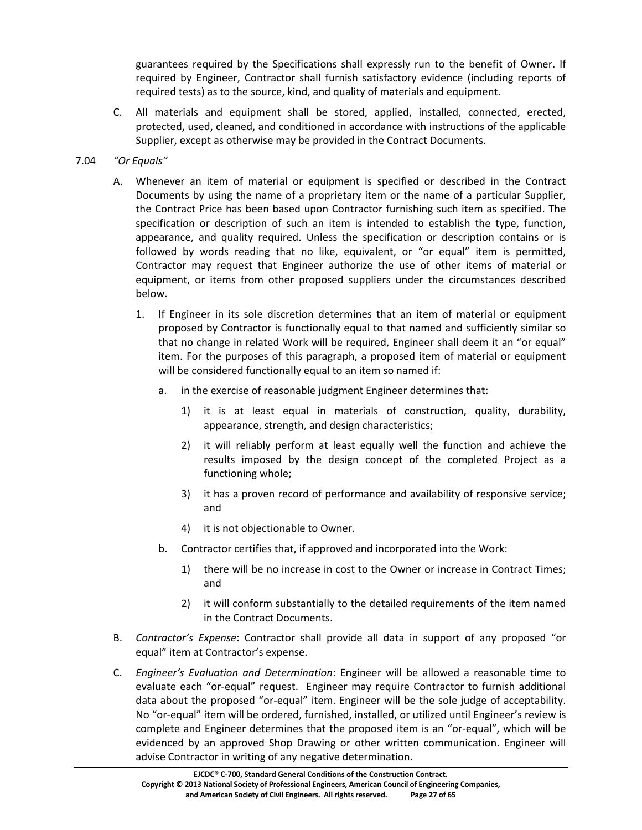guarantees required by the Specifications shall expressly run to the benefit of Owner. If required by Engineer, Contractor shall furnish satisfactory evidence (including reports of required tests) as to the source, kind, and quality of materials and equipment.

C. All materials and equipment shall be stored, applied, installed, connected, erected, protected, used, cleaned, and conditioned in accordance with instructions of the applicable Supplier, except as otherwise may be provided in the Contract Documents.

# 7.04 *"Or Equals"*

- A. Whenever an item of material or equipment is specified or described in the Contract Documents by using the name of a proprietary item or the name of a particular Supplier, the Contract Price has been based upon Contractor furnishing such item as specified. The specification or description of such an item is intended to establish the type, function, appearance, and quality required. Unless the specification or description contains or is followed by words reading that no like, equivalent, or "or equal" item is permitted, Contractor may request that Engineer authorize the use of other items of material or equipment, or items from other proposed suppliers under the circumstances described below.
	- 1. If Engineer in its sole discretion determines that an item of material or equipment proposed by Contractor is functionally equal to that named and sufficiently similar so that no change in related Work will be required, Engineer shall deem it an "or equal" item. For the purposes of this paragraph, a proposed item of material or equipment will be considered functionally equal to an item so named if:
		- a. in the exercise of reasonable judgment Engineer determines that:
			- 1) it is at least equal in materials of construction, quality, durability, appearance, strength, and design characteristics;
			- 2) it will reliably perform at least equally well the function and achieve the results imposed by the design concept of the completed Project as a functioning whole;
			- 3) it has a proven record of performance and availability of responsive service; and
			- 4) it is not objectionable to Owner.
		- b. Contractor certifies that, if approved and incorporated into the Work:
			- 1) there will be no increase in cost to the Owner or increase in Contract Times; and
			- 2) it will conform substantially to the detailed requirements of the item named in the Contract Documents.
- B. *Contractor's Expense*: Contractor shall provide all data in support of any proposed "or equal" item at Contractor's expense.
- C. *Engineer's Evaluation and Determination*: Engineer will be allowed a reasonable time to evaluate each "or-equal" request. Engineer may require Contractor to furnish additional data about the proposed "or‐equal" item. Engineer will be the sole judge of acceptability. No "or-equal" item will be ordered, furnished, installed, or utilized until Engineer's review is complete and Engineer determines that the proposed item is an "or-equal", which will be evidenced by an approved Shop Drawing or other written communication. Engineer will advise Contractor in writing of any negative determination.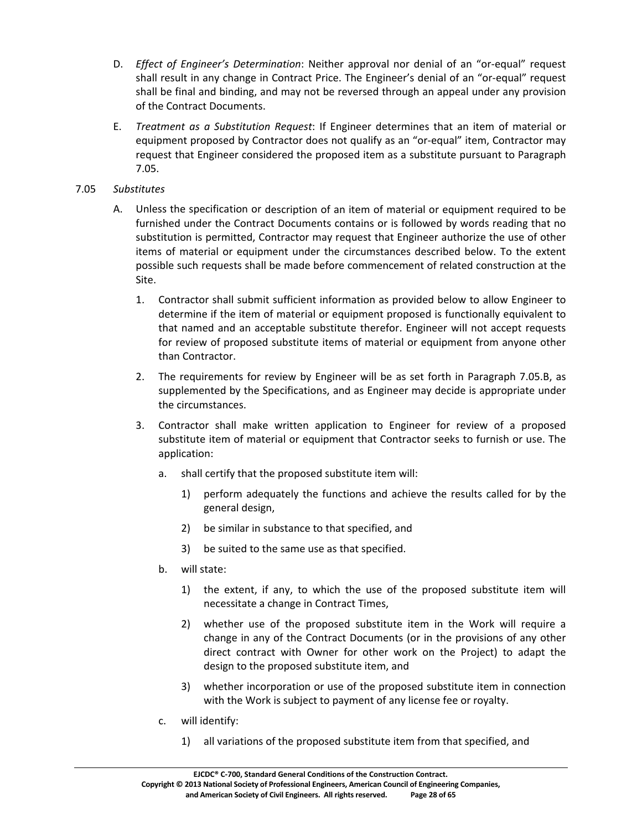- D. *Effect of Engineer's Determination*: Neither approval nor denial of an "or‐equal" request shall result in any change in Contract Price. The Engineer's denial of an "or-equal" request shall be final and binding, and may not be reversed through an appeal under any provision of the Contract Documents.
- E. *Treatment as a Substitution Request*: If Engineer determines that an item of material or equipment proposed by Contractor does not qualify as an "or‐equal" item, Contractor may request that Engineer considered the proposed item as a substitute pursuant to Paragraph 7.05.

#### 7.05 *Substitutes*

- A. Unless the specification or description of an item of material or equipment required to be furnished under the Contract Documents contains or is followed by words reading that no substitution is permitted, Contractor may request that Engineer authorize the use of other items of material or equipment under the circumstances described below. To the extent possible such requests shall be made before commencement of related construction at the Site.
	- 1. Contractor shall submit sufficient information as provided below to allow Engineer to determine if the item of material or equipment proposed is functionally equivalent to that named and an acceptable substitute therefor. Engineer will not accept requests for review of proposed substitute items of material or equipment from anyone other than Contractor.
	- 2. The requirements for review by Engineer will be as set forth in Paragraph 7.05.B, as supplemented by the Specifications, and as Engineer may decide is appropriate under the circumstances.
	- 3. Contractor shall make written application to Engineer for review of a proposed substitute item of material or equipment that Contractor seeks to furnish or use. The application:
		- a. shall certify that the proposed substitute item will:
			- 1) perform adequately the functions and achieve the results called for by the general design,
			- 2) be similar in substance to that specified, and
			- 3) be suited to the same use as that specified.
		- b. will state:
			- 1) the extent, if any, to which the use of the proposed substitute item will necessitate a change in Contract Times,
			- 2) whether use of the proposed substitute item in the Work will require a change in any of the Contract Documents (or in the provisions of any other direct contract with Owner for other work on the Project) to adapt the design to the proposed substitute item, and
			- 3) whether incorporation or use of the proposed substitute item in connection with the Work is subject to payment of any license fee or royalty.
		- c. will identify:
			- 1) all variations of the proposed substitute item from that specified, and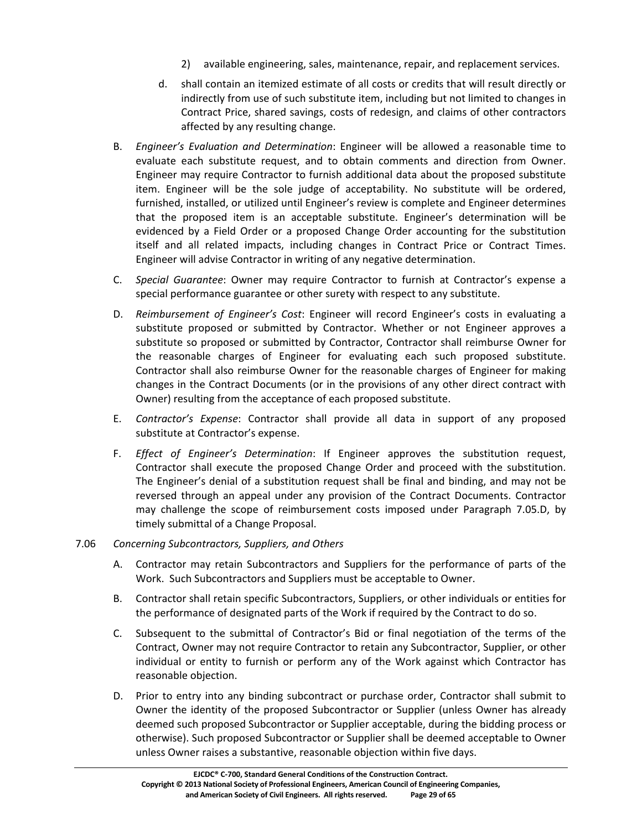- 2) available engineering, sales, maintenance, repair, and replacement services.
- d. shall contain an itemized estimate of all costs or credits that will result directly or indirectly from use of such substitute item, including but not limited to changes in Contract Price, shared savings, costs of redesign, and claims of other contractors affected by any resulting change.
- B. *Engineer's Evaluation and Determination*: Engineer will be allowed a reasonable time to evaluate each substitute request, and to obtain comments and direction from Owner. Engineer may require Contractor to furnish additional data about the proposed substitute item. Engineer will be the sole judge of acceptability. No substitute will be ordered, furnished, installed, or utilized until Engineer's review is complete and Engineer determines that the proposed item is an acceptable substitute. Engineer's determination will be evidenced by a Field Order or a proposed Change Order accounting for the substitution itself and all related impacts, including changes in Contract Price or Contract Times. Engineer will advise Contractor in writing of any negative determination.
- C. *Special Guarantee*: Owner may require Contractor to furnish at Contractor's expense a special performance guarantee or other surety with respect to any substitute.
- D. *Reimbursement of Engineer's Cost*: Engineer will record Engineer's costs in evaluating a substitute proposed or submitted by Contractor. Whether or not Engineer approves a substitute so proposed or submitted by Contractor, Contractor shall reimburse Owner for the reasonable charges of Engineer for evaluating each such proposed substitute. Contractor shall also reimburse Owner for the reasonable charges of Engineer for making changes in the Contract Documents (or in the provisions of any other direct contract with Owner) resulting from the acceptance of each proposed substitute.
- E. *Contractor's Expense*: Contractor shall provide all data in support of any proposed substitute at Contractor's expense.
- F. *Effect of Engineer's Determination*: If Engineer approves the substitution request, Contractor shall execute the proposed Change Order and proceed with the substitution. The Engineer's denial of a substitution request shall be final and binding, and may not be reversed through an appeal under any provision of the Contract Documents. Contractor may challenge the scope of reimbursement costs imposed under Paragraph 7.05.D, by timely submittal of a Change Proposal.

# 7.06 *Concerning Subcontractors, Suppliers, and Others*

- A. Contractor may retain Subcontractors and Suppliers for the performance of parts of the Work. Such Subcontractors and Suppliers must be acceptable to Owner.
- B. Contractor shall retain specific Subcontractors, Suppliers, or other individuals or entities for the performance of designated parts of the Work if required by the Contract to do so.
- C. Subsequent to the submittal of Contractor's Bid or final negotiation of the terms of the Contract, Owner may not require Contractor to retain any Subcontractor, Supplier, or other individual or entity to furnish or perform any of the Work against which Contractor has reasonable objection.
- D. Prior to entry into any binding subcontract or purchase order, Contractor shall submit to Owner the identity of the proposed Subcontractor or Supplier (unless Owner has already deemed such proposed Subcontractor or Supplier acceptable, during the bidding process or otherwise). Such proposed Subcontractor or Supplier shall be deemed acceptable to Owner unless Owner raises a substantive, reasonable objection within five days.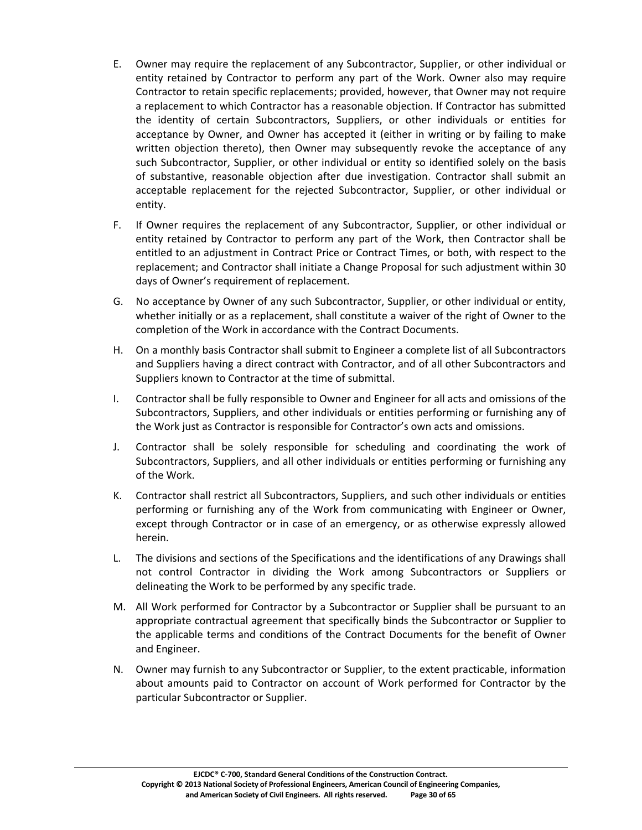- E. Owner may require the replacement of any Subcontractor, Supplier, or other individual or entity retained by Contractor to perform any part of the Work. Owner also may require Contractor to retain specific replacements; provided, however, that Owner may not require a replacement to which Contractor has a reasonable objection. If Contractor has submitted the identity of certain Subcontractors, Suppliers, or other individuals or entities for acceptance by Owner, and Owner has accepted it (either in writing or by failing to make written objection thereto), then Owner may subsequently revoke the acceptance of any such Subcontractor, Supplier, or other individual or entity so identified solely on the basis of substantive, reasonable objection after due investigation. Contractor shall submit an acceptable replacement for the rejected Subcontractor, Supplier, or other individual or entity.
- F. If Owner requires the replacement of any Subcontractor, Supplier, or other individual or entity retained by Contractor to perform any part of the Work, then Contractor shall be entitled to an adjustment in Contract Price or Contract Times, or both, with respect to the replacement; and Contractor shall initiate a Change Proposal for such adjustment within 30 days of Owner's requirement of replacement.
- G. No acceptance by Owner of any such Subcontractor, Supplier, or other individual or entity, whether initially or as a replacement, shall constitute a waiver of the right of Owner to the completion of the Work in accordance with the Contract Documents.
- H. On a monthly basis Contractor shall submit to Engineer a complete list of all Subcontractors and Suppliers having a direct contract with Contractor, and of all other Subcontractors and Suppliers known to Contractor at the time of submittal.
- I. Contractor shall be fully responsible to Owner and Engineer for all acts and omissions of the Subcontractors, Suppliers, and other individuals or entities performing or furnishing any of the Work just as Contractor is responsible for Contractor's own acts and omissions.
- J. Contractor shall be solely responsible for scheduling and coordinating the work of Subcontractors, Suppliers, and all other individuals or entities performing or furnishing any of the Work.
- K. Contractor shall restrict all Subcontractors, Suppliers, and such other individuals or entities performing or furnishing any of the Work from communicating with Engineer or Owner, except through Contractor or in case of an emergency, or as otherwise expressly allowed herein.
- L. The divisions and sections of the Specifications and the identifications of any Drawings shall not control Contractor in dividing the Work among Subcontractors or Suppliers or delineating the Work to be performed by any specific trade.
- M. All Work performed for Contractor by a Subcontractor or Supplier shall be pursuant to an appropriate contractual agreement that specifically binds the Subcontractor or Supplier to the applicable terms and conditions of the Contract Documents for the benefit of Owner and Engineer.
- N. Owner may furnish to any Subcontractor or Supplier, to the extent practicable, information about amounts paid to Contractor on account of Work performed for Contractor by the particular Subcontractor or Supplier.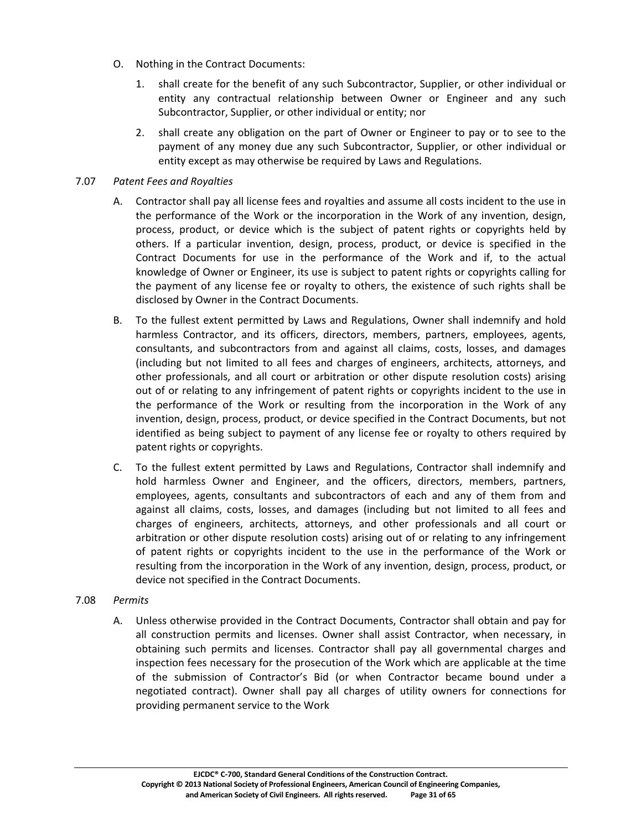- O. Nothing in the Contract Documents:
	- 1. shall create for the benefit of any such Subcontractor, Supplier, or other individual or entity any contractual relationship between Owner or Engineer and any such Subcontractor, Supplier, or other individual or entity; nor
	- 2. shall create any obligation on the part of Owner or Engineer to pay or to see to the payment of any money due any such Subcontractor, Supplier, or other individual or entity except as may otherwise be required by Laws and Regulations.

### 7.07 *Patent Fees and Royalties*

- A. Contractor shall pay all license fees and royalties and assume all costs incident to the use in the performance of the Work or the incorporation in the Work of any invention, design, process, product, or device which is the subject of patent rights or copyrights held by others. If a particular invention, design, process, product, or device is specified in the Contract Documents for use in the performance of the Work and if, to the actual knowledge of Owner or Engineer, its use is subject to patent rights or copyrights calling for the payment of any license fee or royalty to others, the existence of such rights shall be disclosed by Owner in the Contract Documents.
- B. To the fullest extent permitted by Laws and Regulations, Owner shall indemnify and hold harmless Contractor, and its officers, directors, members, partners, employees, agents, consultants, and subcontractors from and against all claims, costs, losses, and damages (including but not limited to all fees and charges of engineers, architects, attorneys, and other professionals, and all court or arbitration or other dispute resolution costs) arising out of or relating to any infringement of patent rights or copyrights incident to the use in the performance of the Work or resulting from the incorporation in the Work of any invention, design, process, product, or device specified in the Contract Documents, but not identified as being subject to payment of any license fee or royalty to others required by patent rights or copyrights.
- C. To the fullest extent permitted by Laws and Regulations, Contractor shall indemnify and hold harmless Owner and Engineer, and the officers, directors, members, partners, employees, agents, consultants and subcontractors of each and any of them from and against all claims, costs, losses, and damages (including but not limited to all fees and charges of engineers, architects, attorneys, and other professionals and all court or arbitration or other dispute resolution costs) arising out of or relating to any infringement of patent rights or copyrights incident to the use in the performance of the Work or resulting from the incorporation in the Work of any invention, design, process, product, or device not specified in the Contract Documents.

### 7.08 *Permits*

A. Unless otherwise provided in the Contract Documents, Contractor shall obtain and pay for all construction permits and licenses. Owner shall assist Contractor, when necessary, in obtaining such permits and licenses. Contractor shall pay all governmental charges and inspection fees necessary for the prosecution of the Work which are applicable at the time of the submission of Contractor's Bid (or when Contractor became bound under a negotiated contract). Owner shall pay all charges of utility owners for connections for providing permanent service to the Work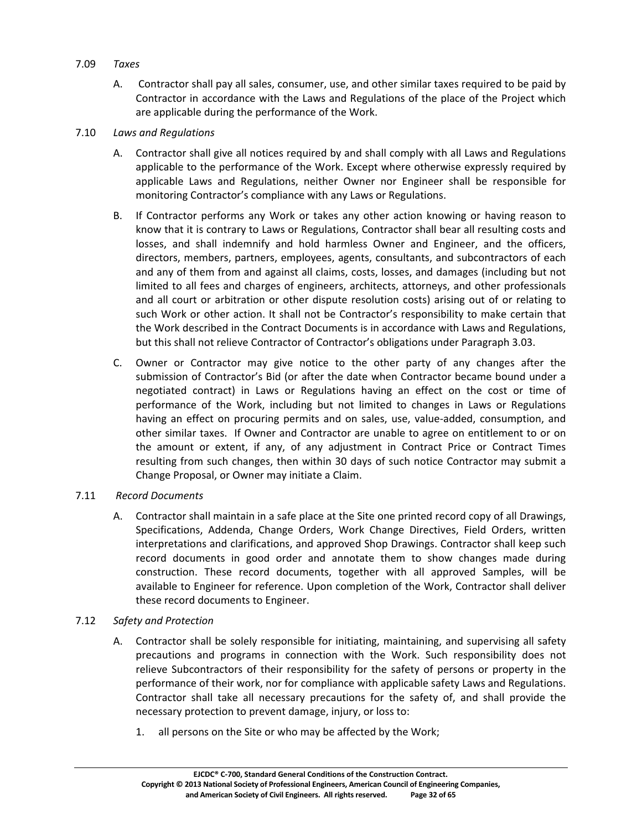# 7.09 *Taxes*

A. Contractor shall pay all sales, consumer, use, and other similar taxes required to be paid by Contractor in accordance with the Laws and Regulations of the place of the Project which are applicable during the performance of the Work.

# 7.10 *Laws and Regulations*

- A. Contractor shall give all notices required by and shall comply with all Laws and Regulations applicable to the performance of the Work. Except where otherwise expressly required by applicable Laws and Regulations, neither Owner nor Engineer shall be responsible for monitoring Contractor's compliance with any Laws or Regulations.
- B. If Contractor performs any Work or takes any other action knowing or having reason to know that it is contrary to Laws or Regulations, Contractor shall bear all resulting costs and losses, and shall indemnify and hold harmless Owner and Engineer, and the officers, directors, members, partners, employees, agents, consultants, and subcontractors of each and any of them from and against all claims, costs, losses, and damages (including but not limited to all fees and charges of engineers, architects, attorneys, and other professionals and all court or arbitration or other dispute resolution costs) arising out of or relating to such Work or other action. It shall not be Contractor's responsibility to make certain that the Work described in the Contract Documents is in accordance with Laws and Regulations, but this shall not relieve Contractor of Contractor's obligations under Paragraph 3.03.
- C. Owner or Contractor may give notice to the other party of any changes after the submission of Contractor's Bid (or after the date when Contractor became bound under a negotiated contract) in Laws or Regulations having an effect on the cost or time of performance of the Work, including but not limited to changes in Laws or Regulations having an effect on procuring permits and on sales, use, value-added, consumption, and other similar taxes. If Owner and Contractor are unable to agree on entitlement to or on the amount or extent, if any, of any adjustment in Contract Price or Contract Times resulting from such changes, then within 30 days of such notice Contractor may submit a Change Proposal, or Owner may initiate a Claim.

# 7.11 *Record Documents*

A. Contractor shall maintain in a safe place at the Site one printed record copy of all Drawings, Specifications, Addenda, Change Orders, Work Change Directives, Field Orders, written interpretations and clarifications, and approved Shop Drawings. Contractor shall keep such record documents in good order and annotate them to show changes made during construction. These record documents, together with all approved Samples, will be available to Engineer for reference. Upon completion of the Work, Contractor shall deliver these record documents to Engineer.

### 7.12 *Safety and Protection*

- A. Contractor shall be solely responsible for initiating, maintaining, and supervising all safety precautions and programs in connection with the Work. Such responsibility does not relieve Subcontractors of their responsibility for the safety of persons or property in the performance of their work, nor for compliance with applicable safety Laws and Regulations. Contractor shall take all necessary precautions for the safety of, and shall provide the necessary protection to prevent damage, injury, or loss to:
	- 1. all persons on the Site or who may be affected by the Work;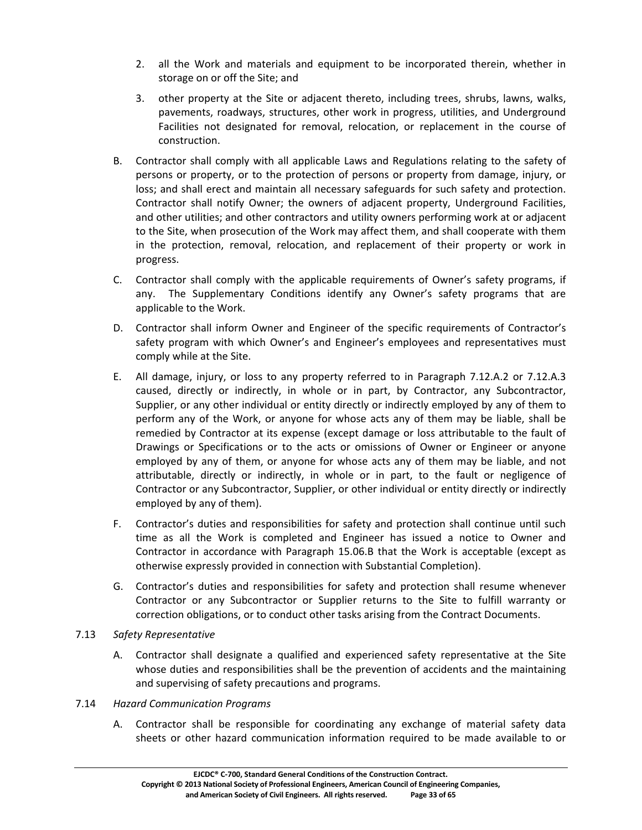- 2. all the Work and materials and equipment to be incorporated therein, whether in storage on or off the Site; and
- 3. other property at the Site or adjacent thereto, including trees, shrubs, lawns, walks, pavements, roadways, structures, other work in progress, utilities, and Underground Facilities not designated for removal, relocation, or replacement in the course of construction.
- B. Contractor shall comply with all applicable Laws and Regulations relating to the safety of persons or property, or to the protection of persons or property from damage, injury, or loss; and shall erect and maintain all necessary safeguards for such safety and protection. Contractor shall notify Owner; the owners of adjacent property, Underground Facilities, and other utilities; and other contractors and utility owners performing work at or adjacent to the Site, when prosecution of the Work may affect them, and shall cooperate with them in the protection, removal, relocation, and replacement of their property or work in progress.
- C. Contractor shall comply with the applicable requirements of Owner's safety programs, if any. The Supplementary Conditions identify any Owner's safety programs that are applicable to the Work.
- D. Contractor shall inform Owner and Engineer of the specific requirements of Contractor's safety program with which Owner's and Engineer's employees and representatives must comply while at the Site.
- E. All damage, injury, or loss to any property referred to in Paragraph 7.12.A.2 or 7.12.A.3 caused, directly or indirectly, in whole or in part, by Contractor, any Subcontractor, Supplier, or any other individual or entity directly or indirectly employed by any of them to perform any of the Work, or anyone for whose acts any of them may be liable, shall be remedied by Contractor at its expense (except damage or loss attributable to the fault of Drawings or Specifications or to the acts or omissions of Owner or Engineer or anyone employed by any of them, or anyone for whose acts any of them may be liable, and not attributable, directly or indirectly, in whole or in part, to the fault or negligence of Contractor or any Subcontractor, Supplier, or other individual or entity directly or indirectly employed by any of them).
- F. Contractor's duties and responsibilities for safety and protection shall continue until such time as all the Work is completed and Engineer has issued a notice to Owner and Contractor in accordance with Paragraph 15.06.B that the Work is acceptable (except as otherwise expressly provided in connection with Substantial Completion).
- G. Contractor's duties and responsibilities for safety and protection shall resume whenever Contractor or any Subcontractor or Supplier returns to the Site to fulfill warranty or correction obligations, or to conduct other tasks arising from the Contract Documents.

# 7.13 *Safety Representative*

A. Contractor shall designate a qualified and experienced safety representative at the Site whose duties and responsibilities shall be the prevention of accidents and the maintaining and supervising of safety precautions and programs.

# 7.14 *Hazard Communication Programs*

A. Contractor shall be responsible for coordinating any exchange of material safety data sheets or other hazard communication information required to be made available to or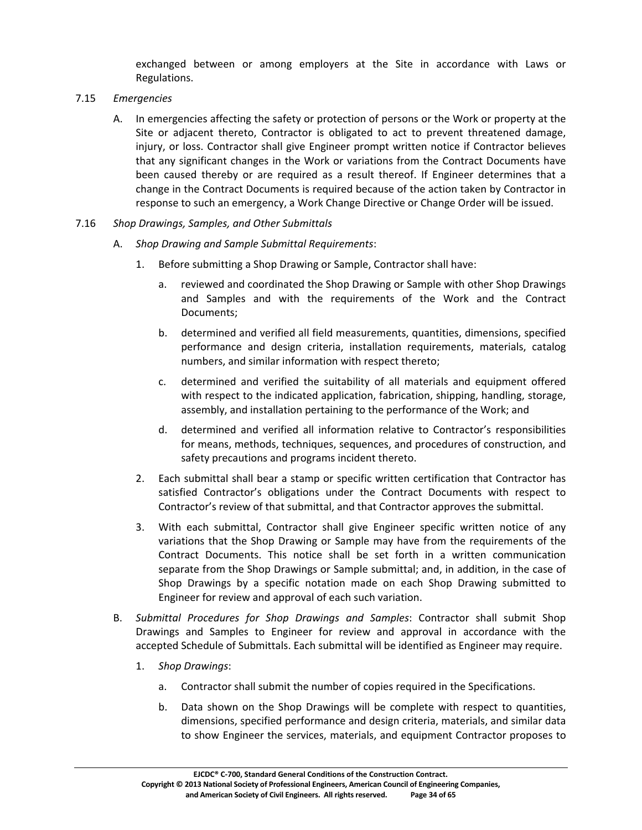exchanged between or among employers at the Site in accordance with Laws or Regulations.

- 7.15 *Emergencies*
	- A. In emergencies affecting the safety or protection of persons or the Work or property at the Site or adjacent thereto, Contractor is obligated to act to prevent threatened damage, injury, or loss. Contractor shall give Engineer prompt written notice if Contractor believes that any significant changes in the Work or variations from the Contract Documents have been caused thereby or are required as a result thereof. If Engineer determines that a change in the Contract Documents is required because of the action taken by Contractor in response to such an emergency, a Work Change Directive or Change Order will be issued.
- 7.16 *Shop Drawings, Samples, and Other Submittals*
	- A. *Shop Drawing and Sample Submittal Requirements*:
		- 1. Before submitting a Shop Drawing or Sample, Contractor shall have:
			- a. reviewed and coordinated the Shop Drawing or Sample with other Shop Drawings and Samples and with the requirements of the Work and the Contract Documents;
			- b. determined and verified all field measurements, quantities, dimensions, specified performance and design criteria, installation requirements, materials, catalog numbers, and similar information with respect thereto;
			- c. determined and verified the suitability of all materials and equipment offered with respect to the indicated application, fabrication, shipping, handling, storage, assembly, and installation pertaining to the performance of the Work; and
			- d. determined and verified all information relative to Contractor's responsibilities for means, methods, techniques, sequences, and procedures of construction, and safety precautions and programs incident thereto.
		- 2. Each submittal shall bear a stamp or specific written certification that Contractor has satisfied Contractor's obligations under the Contract Documents with respect to Contractor's review of that submittal, and that Contractor approves the submittal.
		- 3. With each submittal, Contractor shall give Engineer specific written notice of any variations that the Shop Drawing or Sample may have from the requirements of the Contract Documents. This notice shall be set forth in a written communication separate from the Shop Drawings or Sample submittal; and, in addition, in the case of Shop Drawings by a specific notation made on each Shop Drawing submitted to Engineer for review and approval of each such variation.
	- B. *Submittal Procedures for Shop Drawings and Samples*: Contractor shall submit Shop Drawings and Samples to Engineer for review and approval in accordance with the accepted Schedule of Submittals. Each submittal will be identified as Engineer may require.
		- 1. *Shop Drawings*:
			- a. Contractor shall submit the number of copies required in the Specifications.
			- b. Data shown on the Shop Drawings will be complete with respect to quantities, dimensions, specified performance and design criteria, materials, and similar data to show Engineer the services, materials, and equipment Contractor proposes to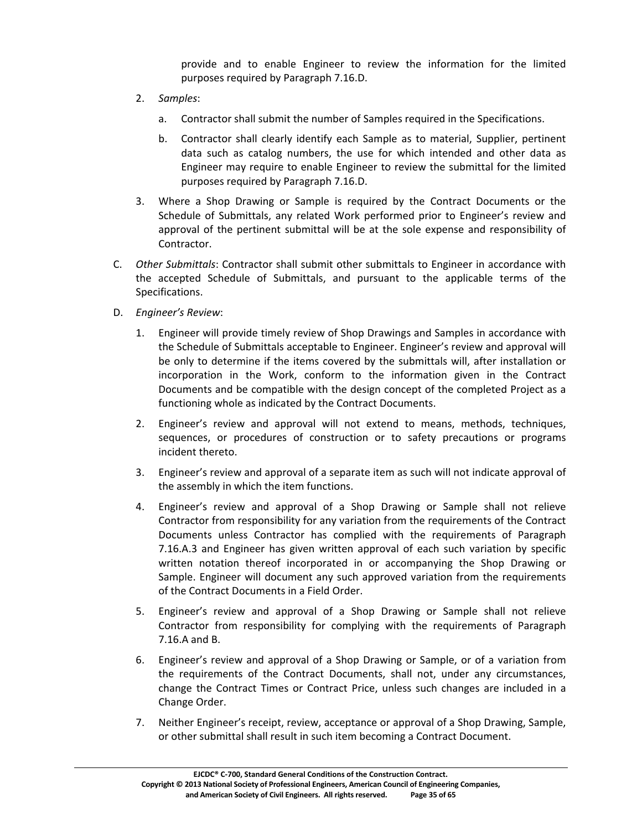provide and to enable Engineer to review the information for the limited purposes required by Paragraph 7.16.D.

- 2. *Samples*:
	- a. Contractor shall submit the number of Samples required in the Specifications.
	- b. Contractor shall clearly identify each Sample as to material, Supplier, pertinent data such as catalog numbers, the use for which intended and other data as Engineer may require to enable Engineer to review the submittal for the limited purposes required by Paragraph 7.16.D.
- 3. Where a Shop Drawing or Sample is required by the Contract Documents or the Schedule of Submittals, any related Work performed prior to Engineer's review and approval of the pertinent submittal will be at the sole expense and responsibility of Contractor.
- C. *Other Submittals*: Contractor shall submit other submittals to Engineer in accordance with the accepted Schedule of Submittals, and pursuant to the applicable terms of the Specifications.
- D. *Engineer's Review*:
	- 1. Engineer will provide timely review of Shop Drawings and Samples in accordance with the Schedule of Submittals acceptable to Engineer. Engineer's review and approval will be only to determine if the items covered by the submittals will, after installation or incorporation in the Work, conform to the information given in the Contract Documents and be compatible with the design concept of the completed Project as a functioning whole as indicated by the Contract Documents.
	- 2. Engineer's review and approval will not extend to means, methods, techniques, sequences, or procedures of construction or to safety precautions or programs incident thereto.
	- 3. Engineer's review and approval of a separate item as such will not indicate approval of the assembly in which the item functions.
	- 4. Engineer's review and approval of a Shop Drawing or Sample shall not relieve Contractor from responsibility for any variation from the requirements of the Contract Documents unless Contractor has complied with the requirements of Paragraph 7.16.A.3 and Engineer has given written approval of each such variation by specific written notation thereof incorporated in or accompanying the Shop Drawing or Sample. Engineer will document any such approved variation from the requirements of the Contract Documents in a Field Order.
	- 5. Engineer's review and approval of a Shop Drawing or Sample shall not relieve Contractor from responsibility for complying with the requirements of Paragraph 7.16.A and B.
	- 6. Engineer's review and approval of a Shop Drawing or Sample, or of a variation from the requirements of the Contract Documents, shall not, under any circumstances, change the Contract Times or Contract Price, unless such changes are included in a Change Order.
	- 7. Neither Engineer's receipt, review, acceptance or approval of a Shop Drawing, Sample, or other submittal shall result in such item becoming a Contract Document.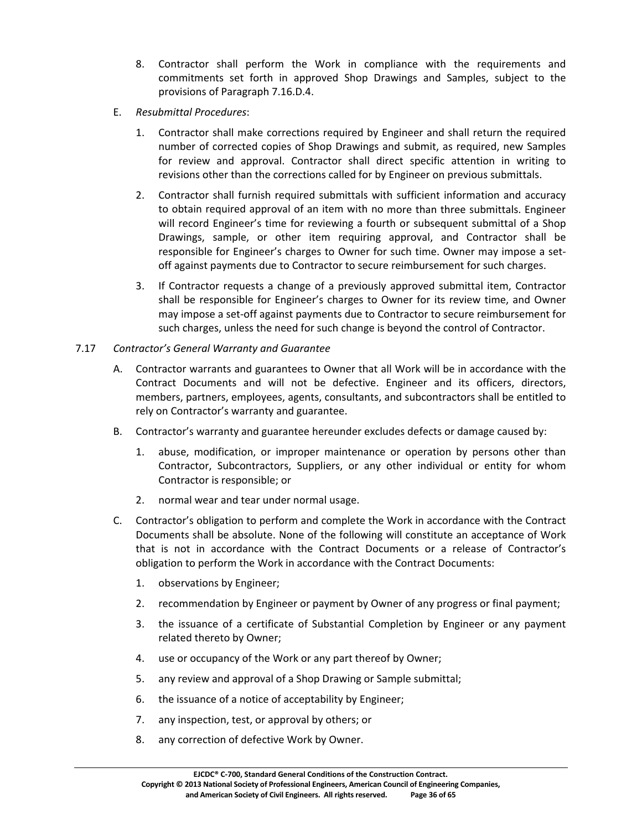- 8. Contractor shall perform the Work in compliance with the requirements and commitments set forth in approved Shop Drawings and Samples, subject to the provisions of Paragraph 7.16.D.4.
- E. *Resubmittal Procedures*:
	- 1. Contractor shall make corrections required by Engineer and shall return the required number of corrected copies of Shop Drawings and submit, as required, new Samples for review and approval. Contractor shall direct specific attention in writing to revisions other than the corrections called for by Engineer on previous submittals.
	- 2. Contractor shall furnish required submittals with sufficient information and accuracy to obtain required approval of an item with no more than three submittals. Engineer will record Engineer's time for reviewing a fourth or subsequent submittal of a Shop Drawings, sample, or other item requiring approval, and Contractor shall be responsible for Engineer's charges to Owner for such time. Owner may impose a set‐ off against payments due to Contractor to secure reimbursement for such charges.
	- 3. If Contractor requests a change of a previously approved submittal item, Contractor shall be responsible for Engineer's charges to Owner for its review time, and Owner may impose a set‐off against payments due to Contractor to secure reimbursement for such charges, unless the need for such change is beyond the control of Contractor.
- 7.17 *Contractor's General Warranty and Guarantee*
	- A. Contractor warrants and guarantees to Owner that all Work will be in accordance with the Contract Documents and will not be defective. Engineer and its officers, directors, members, partners, employees, agents, consultants, and subcontractors shall be entitled to rely on Contractor's warranty and guarantee.
	- B. Contractor's warranty and guarantee hereunder excludes defects or damage caused by:
		- 1. abuse, modification, or improper maintenance or operation by persons other than Contractor, Subcontractors, Suppliers, or any other individual or entity for whom Contractor is responsible; or
		- 2. normal wear and tear under normal usage.
	- C. Contractor's obligation to perform and complete the Work in accordance with the Contract Documents shall be absolute. None of the following will constitute an acceptance of Work that is not in accordance with the Contract Documents or a release of Contractor's obligation to perform the Work in accordance with the Contract Documents:
		- 1. observations by Engineer;
		- 2. recommendation by Engineer or payment by Owner of any progress or final payment;
		- 3. the issuance of a certificate of Substantial Completion by Engineer or any payment related thereto by Owner;
		- 4. use or occupancy of the Work or any part thereof by Owner;
		- 5. any review and approval of a Shop Drawing or Sample submittal;
		- 6. the issuance of a notice of acceptability by Engineer;
		- 7. any inspection, test, or approval by others; or
		- 8. any correction of defective Work by Owner.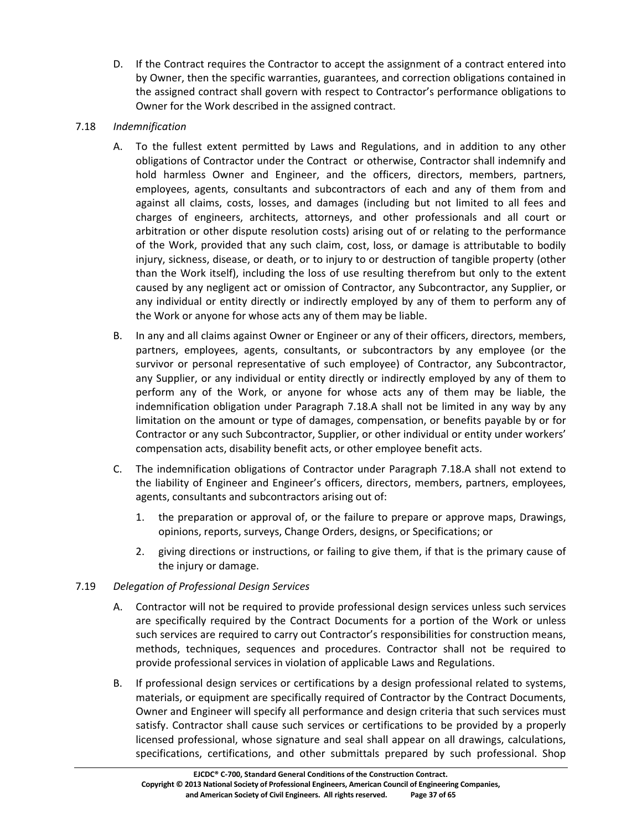D. If the Contract requires the Contractor to accept the assignment of a contract entered into by Owner, then the specific warranties, guarantees, and correction obligations contained in the assigned contract shall govern with respect to Contractor's performance obligations to Owner for the Work described in the assigned contract.

# 7.18 *Indemnification*

- A. To the fullest extent permitted by Laws and Regulations, and in addition to any other obligations of Contractor under the Contract or otherwise, Contractor shall indemnify and hold harmless Owner and Engineer, and the officers, directors, members, partners, employees, agents, consultants and subcontractors of each and any of them from and against all claims, costs, losses, and damages (including but not limited to all fees and charges of engineers, architects, attorneys, and other professionals and all court or arbitration or other dispute resolution costs) arising out of or relating to the performance of the Work, provided that any such claim, cost, loss, or damage is attributable to bodily injury, sickness, disease, or death, or to injury to or destruction of tangible property (other than the Work itself), including the loss of use resulting therefrom but only to the extent caused by any negligent act or omission of Contractor, any Subcontractor, any Supplier, or any individual or entity directly or indirectly employed by any of them to perform any of the Work or anyone for whose acts any of them may be liable.
- B. In any and all claims against Owner or Engineer or any of their officers, directors, members, partners, employees, agents, consultants, or subcontractors by any employee (or the survivor or personal representative of such employee) of Contractor, any Subcontractor, any Supplier, or any individual or entity directly or indirectly employed by any of them to perform any of the Work, or anyone for whose acts any of them may be liable, the indemnification obligation under Paragraph 7.18.A shall not be limited in any way by any limitation on the amount or type of damages, compensation, or benefits payable by or for Contractor or any such Subcontractor, Supplier, or other individual or entity under workers' compensation acts, disability benefit acts, or other employee benefit acts.
- C. The indemnification obligations of Contractor under Paragraph 7.18.A shall not extend to the liability of Engineer and Engineer's officers, directors, members, partners, employees, agents, consultants and subcontractors arising out of:
	- 1. the preparation or approval of, or the failure to prepare or approve maps, Drawings, opinions, reports, surveys, Change Orders, designs, or Specifications; or
	- 2. giving directions or instructions, or failing to give them, if that is the primary cause of the injury or damage.

# 7.19 *Delegation of Professional Design Services*

- A. Contractor will not be required to provide professional design services unless such services are specifically required by the Contract Documents for a portion of the Work or unless such services are required to carry out Contractor's responsibilities for construction means, methods, techniques, sequences and procedures. Contractor shall not be required to provide professional services in violation of applicable Laws and Regulations.
- B. If professional design services or certifications by a design professional related to systems, materials, or equipment are specifically required of Contractor by the Contract Documents, Owner and Engineer will specify all performance and design criteria that such services must satisfy. Contractor shall cause such services or certifications to be provided by a properly licensed professional, whose signature and seal shall appear on all drawings, calculations, specifications, certifications, and other submittals prepared by such professional. Shop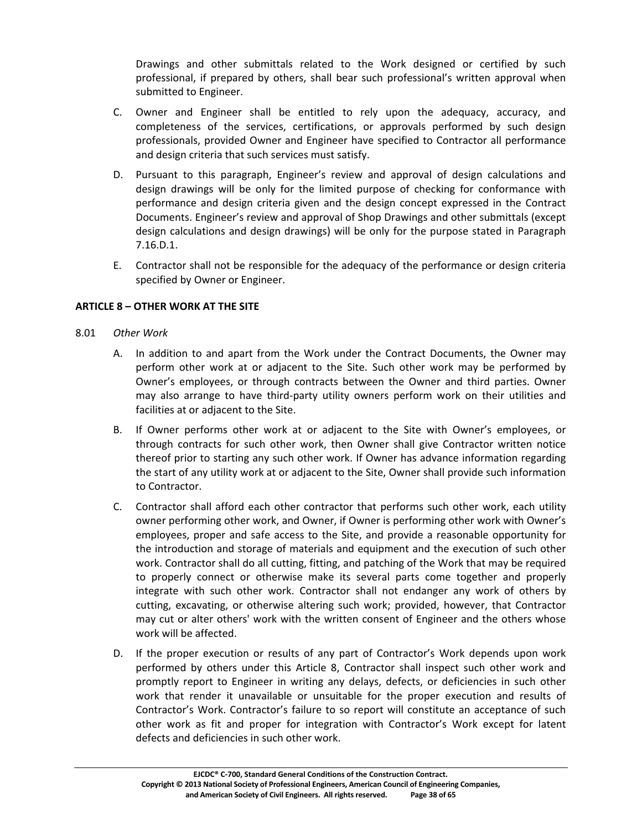Drawings and other submittals related to the Work designed or certified by such professional, if prepared by others, shall bear such professional's written approval when submitted to Engineer.

- C. Owner and Engineer shall be entitled to rely upon the adequacy, accuracy, and completeness of the services, certifications, or approvals performed by such design professionals, provided Owner and Engineer have specified to Contractor all performance and design criteria that such services must satisfy.
- D. Pursuant to this paragraph, Engineer's review and approval of design calculations and design drawings will be only for the limited purpose of checking for conformance with performance and design criteria given and the design concept expressed in the Contract Documents. Engineer's review and approval of Shop Drawings and other submittals (except design calculations and design drawings) will be only for the purpose stated in Paragraph 7.16.D.1.
- E. Contractor shall not be responsible for the adequacy of the performance or design criteria specified by Owner or Engineer.

# **ARTICLE 8 – OTHER WORK AT THE SITE**

- 8.01 *Other Work*
	- A. In addition to and apart from the Work under the Contract Documents, the Owner may perform other work at or adjacent to the Site. Such other work may be performed by Owner's employees, or through contracts between the Owner and third parties. Owner may also arrange to have third-party utility owners perform work on their utilities and facilities at or adjacent to the Site.
	- B. If Owner performs other work at or adjacent to the Site with Owner's employees, or through contracts for such other work, then Owner shall give Contractor written notice thereof prior to starting any such other work. If Owner has advance information regarding the start of any utility work at or adjacent to the Site, Owner shall provide such information to Contractor.
	- C. Contractor shall afford each other contractor that performs such other work, each utility owner performing other work, and Owner, if Owner is performing other work with Owner's employees, proper and safe access to the Site, and provide a reasonable opportunity for the introduction and storage of materials and equipment and the execution of such other work. Contractor shall do all cutting, fitting, and patching of the Work that may be required to properly connect or otherwise make its several parts come together and properly integrate with such other work. Contractor shall not endanger any work of others by cutting, excavating, or otherwise altering such work; provided, however, that Contractor may cut or alter others' work with the written consent of Engineer and the others whose work will be affected.
	- D. If the proper execution or results of any part of Contractor's Work depends upon work performed by others under this Article 8, Contractor shall inspect such other work and promptly report to Engineer in writing any delays, defects, or deficiencies in such other work that render it unavailable or unsuitable for the proper execution and results of Contractor's Work. Contractor's failure to so report will constitute an acceptance of such other work as fit and proper for integration with Contractor's Work except for latent defects and deficiencies in such other work.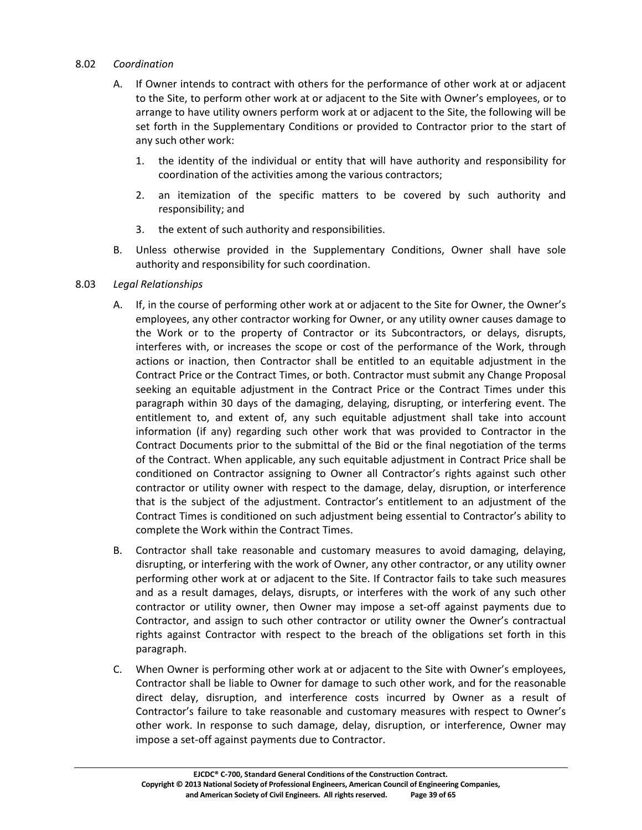### 8.02 *Coordination*

- A. If Owner intends to contract with others for the performance of other work at or adjacent to the Site, to perform other work at or adjacent to the Site with Owner's employees, or to arrange to have utility owners perform work at or adjacent to the Site, the following will be set forth in the Supplementary Conditions or provided to Contractor prior to the start of any such other work:
	- 1. the identity of the individual or entity that will have authority and responsibility for coordination of the activities among the various contractors;
	- 2. an itemization of the specific matters to be covered by such authority and responsibility; and
	- 3. the extent of such authority and responsibilities.
- B. Unless otherwise provided in the Supplementary Conditions, Owner shall have sole authority and responsibility for such coordination.

### 8.03 *Legal Relationships*

- A. If, in the course of performing other work at or adjacent to the Site for Owner, the Owner's employees, any other contractor working for Owner, or any utility owner causes damage to the Work or to the property of Contractor or its Subcontractors, or delays, disrupts, interferes with, or increases the scope or cost of the performance of the Work, through actions or inaction, then Contractor shall be entitled to an equitable adjustment in the Contract Price or the Contract Times, or both. Contractor must submit any Change Proposal seeking an equitable adjustment in the Contract Price or the Contract Times under this paragraph within 30 days of the damaging, delaying, disrupting, or interfering event. The entitlement to, and extent of, any such equitable adjustment shall take into account information (if any) regarding such other work that was provided to Contractor in the Contract Documents prior to the submittal of the Bid or the final negotiation of the terms of the Contract. When applicable, any such equitable adjustment in Contract Price shall be conditioned on Contractor assigning to Owner all Contractor's rights against such other contractor or utility owner with respect to the damage, delay, disruption, or interference that is the subject of the adjustment. Contractor's entitlement to an adjustment of the Contract Times is conditioned on such adjustment being essential to Contractor's ability to complete the Work within the Contract Times.
- B. Contractor shall take reasonable and customary measures to avoid damaging, delaying, disrupting, or interfering with the work of Owner, any other contractor, or any utility owner performing other work at or adjacent to the Site. If Contractor fails to take such measures and as a result damages, delays, disrupts, or interferes with the work of any such other contractor or utility owner, then Owner may impose a set‐off against payments due to Contractor, and assign to such other contractor or utility owner the Owner's contractual rights against Contractor with respect to the breach of the obligations set forth in this paragraph.
- C. When Owner is performing other work at or adjacent to the Site with Owner's employees, Contractor shall be liable to Owner for damage to such other work, and for the reasonable direct delay, disruption, and interference costs incurred by Owner as a result of Contractor's failure to take reasonable and customary measures with respect to Owner's other work. In response to such damage, delay, disruption, or interference, Owner may impose a set‐off against payments due to Contractor.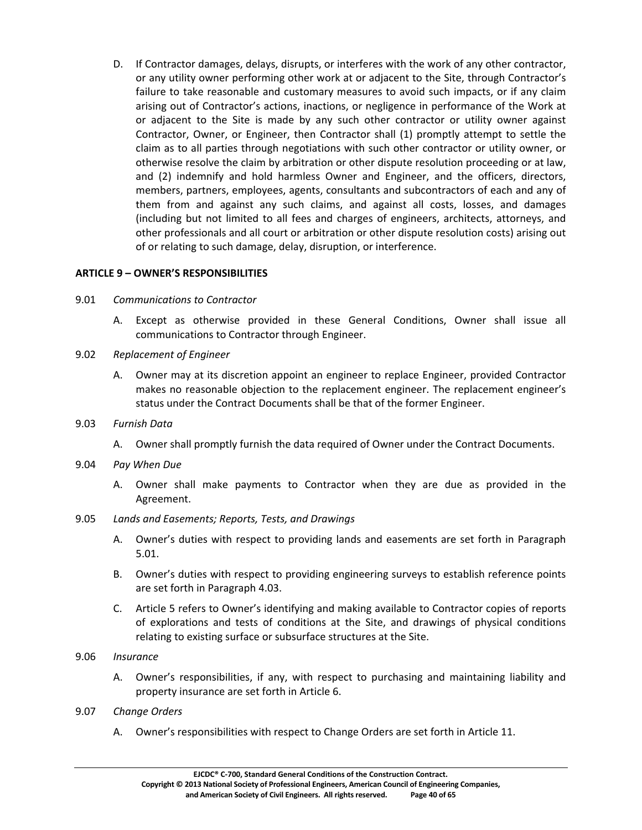D. If Contractor damages, delays, disrupts, or interferes with the work of any other contractor, or any utility owner performing other work at or adjacent to the Site, through Contractor's failure to take reasonable and customary measures to avoid such impacts, or if any claim arising out of Contractor's actions, inactions, or negligence in performance of the Work at or adjacent to the Site is made by any such other contractor or utility owner against Contractor, Owner, or Engineer, then Contractor shall (1) promptly attempt to settle the claim as to all parties through negotiations with such other contractor or utility owner, or otherwise resolve the claim by arbitration or other dispute resolution proceeding or at law, and (2) indemnify and hold harmless Owner and Engineer, and the officers, directors, members, partners, employees, agents, consultants and subcontractors of each and any of them from and against any such claims, and against all costs, losses, and damages (including but not limited to all fees and charges of engineers, architects, attorneys, and other professionals and all court or arbitration or other dispute resolution costs) arising out of or relating to such damage, delay, disruption, or interference.

# **ARTICLE 9 – OWNER'S RESPONSIBILITIES**

- 9.01 *Communications to Contractor*
	- A. Except as otherwise provided in these General Conditions, Owner shall issue all communications to Contractor through Engineer.
- 9.02 *Replacement of Engineer*
	- A. Owner may at its discretion appoint an engineer to replace Engineer, provided Contractor makes no reasonable objection to the replacement engineer. The replacement engineer's status under the Contract Documents shall be that of the former Engineer.
- 9.03 *Furnish Data*
	- A. Owner shall promptly furnish the data required of Owner under the Contract Documents.
- 9.04 *Pay When Due*
	- A. Owner shall make payments to Contractor when they are due as provided in the Agreement.
- 9.05 *Lands and Easements; Reports, Tests, and Drawings*
	- A. Owner's duties with respect to providing lands and easements are set forth in Paragraph 5.01.
	- B. Owner's duties with respect to providing engineering surveys to establish reference points are set forth in Paragraph 4.03.
	- C. Article 5 refers to Owner's identifying and making available to Contractor copies of reports of explorations and tests of conditions at the Site, and drawings of physical conditions relating to existing surface or subsurface structures at the Site.
- 9.06 *Insurance*
	- A. Owner's responsibilities, if any, with respect to purchasing and maintaining liability and property insurance are set forth in Article 6.
- 9.07 *Change Orders*
	- A. Owner's responsibilities with respect to Change Orders are set forth in Article 11.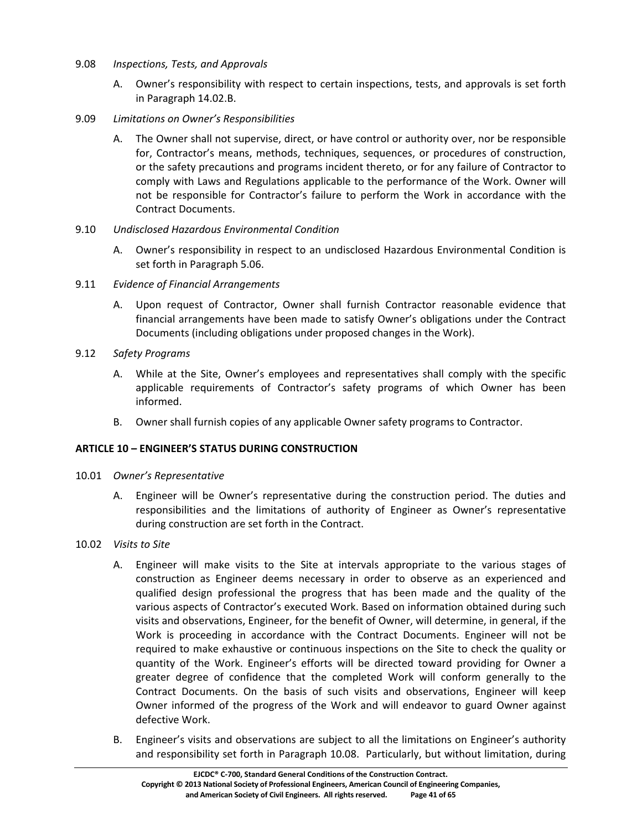- 9.08 *Inspections, Tests, and Approvals*
	- A. Owner's responsibility with respect to certain inspections, tests, and approvals is set forth in Paragraph 14.02.B.
- 9.09 *Limitations on Owner's Responsibilities*
	- A. The Owner shall not supervise, direct, or have control or authority over, nor be responsible for, Contractor's means, methods, techniques, sequences, or procedures of construction, or the safety precautions and programs incident thereto, or for any failure of Contractor to comply with Laws and Regulations applicable to the performance of the Work. Owner will not be responsible for Contractor's failure to perform the Work in accordance with the Contract Documents.
- 9.10 *Undisclosed Hazardous Environmental Condition*
	- A. Owner's responsibility in respect to an undisclosed Hazardous Environmental Condition is set forth in Paragraph 5.06.
- 9.11 *Evidence of Financial Arrangements*
	- A. Upon request of Contractor, Owner shall furnish Contractor reasonable evidence that financial arrangements have been made to satisfy Owner's obligations under the Contract Documents (including obligations under proposed changes in the Work).
- 9.12 *Safety Programs*
	- A. While at the Site, Owner's employees and representatives shall comply with the specific applicable requirements of Contractor's safety programs of which Owner has been informed.
	- B. Owner shall furnish copies of any applicable Owner safety programs to Contractor.

# **ARTICLE 10 – ENGINEER'S STATUS DURING CONSTRUCTION**

- 10.01 *Owner's Representative*
	- A. Engineer will be Owner's representative during the construction period. The duties and responsibilities and the limitations of authority of Engineer as Owner's representative during construction are set forth in the Contract.
- 10.02 *Visits to Site*
	- A. Engineer will make visits to the Site at intervals appropriate to the various stages of construction as Engineer deems necessary in order to observe as an experienced and qualified design professional the progress that has been made and the quality of the various aspects of Contractor's executed Work. Based on information obtained during such visits and observations, Engineer, for the benefit of Owner, will determine, in general, if the Work is proceeding in accordance with the Contract Documents. Engineer will not be required to make exhaustive or continuous inspections on the Site to check the quality or quantity of the Work. Engineer's efforts will be directed toward providing for Owner a greater degree of confidence that the completed Work will conform generally to the Contract Documents. On the basis of such visits and observations, Engineer will keep Owner informed of the progress of the Work and will endeavor to guard Owner against defective Work.
	- B. Engineer's visits and observations are subject to all the limitations on Engineer's authority and responsibility set forth in Paragraph 10.08. Particularly, but without limitation, during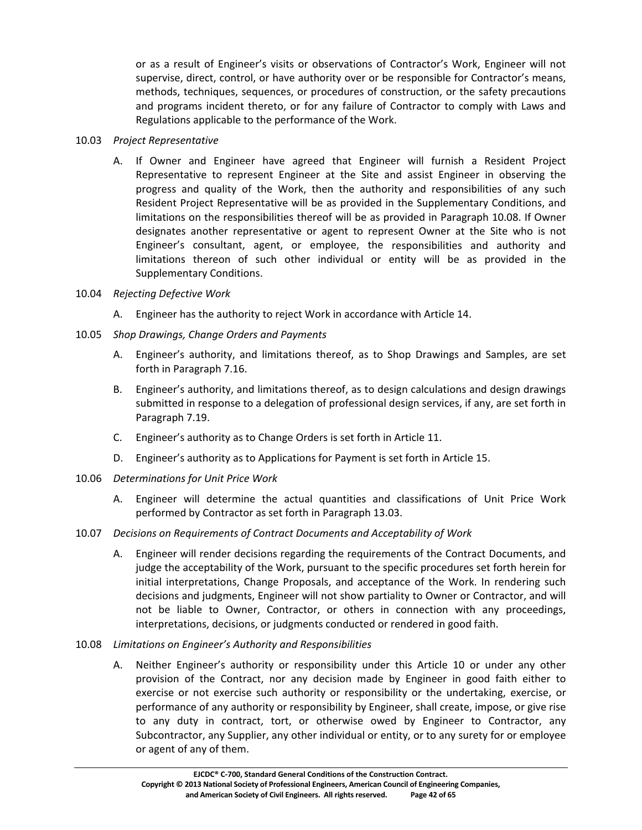or as a result of Engineer's visits or observations of Contractor's Work, Engineer will not supervise, direct, control, or have authority over or be responsible for Contractor's means, methods, techniques, sequences, or procedures of construction, or the safety precautions and programs incident thereto, or for any failure of Contractor to comply with Laws and Regulations applicable to the performance of the Work.

### 10.03 *Project Representative*

- A. If Owner and Engineer have agreed that Engineer will furnish a Resident Project Representative to represent Engineer at the Site and assist Engineer in observing the progress and quality of the Work, then the authority and responsibilities of any such Resident Project Representative will be as provided in the Supplementary Conditions, and limitations on the responsibilities thereof will be as provided in Paragraph 10.08. If Owner designates another representative or agent to represent Owner at the Site who is not Engineer's consultant, agent, or employee, the responsibilities and authority and limitations thereon of such other individual or entity will be as provided in the Supplementary Conditions.
- 10.04 *Rejecting Defective Work*
	- A. Engineer has the authority to reject Work in accordance with Article 14.
- 10.05 *Shop Drawings, Change Orders and Payments*
	- A. Engineer's authority, and limitations thereof, as to Shop Drawings and Samples, are set forth in Paragraph 7.16.
	- B. Engineer's authority, and limitations thereof, as to design calculations and design drawings submitted in response to a delegation of professional design services, if any, are set forth in Paragraph 7.19.
	- C. Engineer's authority as to Change Orders is set forth in Article 11.
	- D. Engineer's authority as to Applications for Payment is set forth in Article 15.
- 10.06 *Determinations for Unit Price Work*
	- A. Engineer will determine the actual quantities and classifications of Unit Price Work performed by Contractor as set forth in Paragraph 13.03.
- 10.07 *Decisions on Requirements of Contract Documents and Acceptability of Work*
	- A. Engineer will render decisions regarding the requirements of the Contract Documents, and judge the acceptability of the Work, pursuant to the specific procedures set forth herein for initial interpretations, Change Proposals, and acceptance of the Work. In rendering such decisions and judgments, Engineer will not show partiality to Owner or Contractor, and will not be liable to Owner, Contractor, or others in connection with any proceedings, interpretations, decisions, or judgments conducted or rendered in good faith.

### 10.08 *Limitations on Engineer's Authority and Responsibilities*

A. Neither Engineer's authority or responsibility under this Article 10 or under any other provision of the Contract, nor any decision made by Engineer in good faith either to exercise or not exercise such authority or responsibility or the undertaking, exercise, or performance of any authority or responsibility by Engineer, shall create, impose, or give rise to any duty in contract, tort, or otherwise owed by Engineer to Contractor, any Subcontractor, any Supplier, any other individual or entity, or to any surety for or employee or agent of any of them.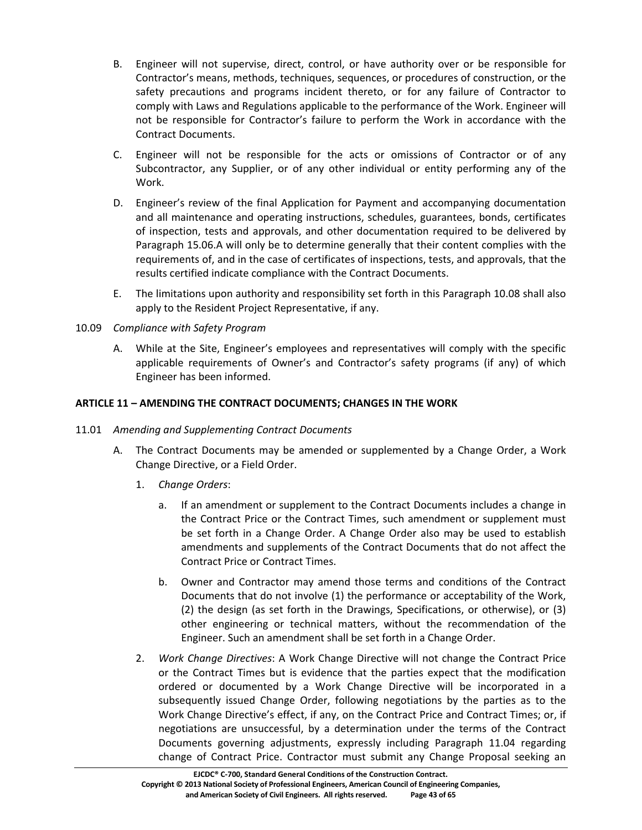- B. Engineer will not supervise, direct, control, or have authority over or be responsible for Contractor's means, methods, techniques, sequences, or procedures of construction, or the safety precautions and programs incident thereto, or for any failure of Contractor to comply with Laws and Regulations applicable to the performance of the Work. Engineer will not be responsible for Contractor's failure to perform the Work in accordance with the Contract Documents.
- C. Engineer will not be responsible for the acts or omissions of Contractor or of any Subcontractor, any Supplier, or of any other individual or entity performing any of the Work.
- D. Engineer's review of the final Application for Payment and accompanying documentation and all maintenance and operating instructions, schedules, guarantees, bonds, certificates of inspection, tests and approvals, and other documentation required to be delivered by Paragraph 15.06.A will only be to determine generally that their content complies with the requirements of, and in the case of certificates of inspections, tests, and approvals, that the results certified indicate compliance with the Contract Documents.
- E. The limitations upon authority and responsibility set forth in this Paragraph 10.08 shall also apply to the Resident Project Representative, if any.
- 10.09 *Compliance with Safety Program*
	- A. While at the Site, Engineer's employees and representatives will comply with the specific applicable requirements of Owner's and Contractor's safety programs (if any) of which Engineer has been informed.

### **ARTICLE 11 – AMENDING THE CONTRACT DOCUMENTS; CHANGES IN THE WORK**

- 11.01 *Amending and Supplementing Contract Documents*
	- A. The Contract Documents may be amended or supplemented by a Change Order, a Work Change Directive, or a Field Order.
		- 1. *Change Orders*:
			- a. If an amendment or supplement to the Contract Documents includes a change in the Contract Price or the Contract Times, such amendment or supplement must be set forth in a Change Order. A Change Order also may be used to establish amendments and supplements of the Contract Documents that do not affect the Contract Price or Contract Times.
			- b. Owner and Contractor may amend those terms and conditions of the Contract Documents that do not involve (1) the performance or acceptability of the Work, (2) the design (as set forth in the Drawings, Specifications, or otherwise), or (3) other engineering or technical matters, without the recommendation of the Engineer. Such an amendment shall be set forth in a Change Order.
		- 2. *Work Change Directives*: A Work Change Directive will not change the Contract Price or the Contract Times but is evidence that the parties expect that the modification ordered or documented by a Work Change Directive will be incorporated in a subsequently issued Change Order, following negotiations by the parties as to the Work Change Directive's effect, if any, on the Contract Price and Contract Times; or, if negotiations are unsuccessful, by a determination under the terms of the Contract Documents governing adjustments, expressly including Paragraph 11.04 regarding change of Contract Price. Contractor must submit any Change Proposal seeking an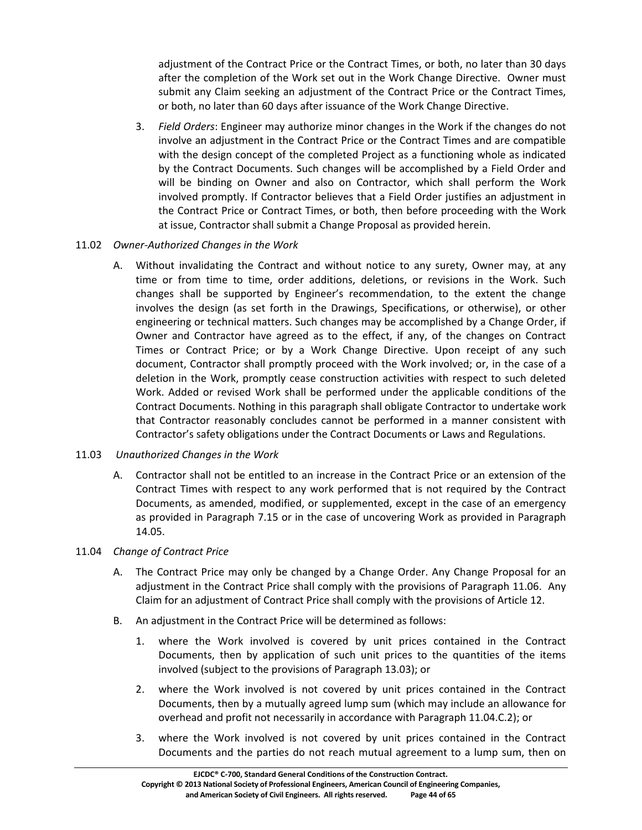adjustment of the Contract Price or the Contract Times, or both, no later than 30 days after the completion of the Work set out in the Work Change Directive. Owner must submit any Claim seeking an adjustment of the Contract Price or the Contract Times, or both, no later than 60 days after issuance of the Work Change Directive.

3. *Field Orders*: Engineer may authorize minor changes in the Work if the changes do not involve an adjustment in the Contract Price or the Contract Times and are compatible with the design concept of the completed Project as a functioning whole as indicated by the Contract Documents. Such changes will be accomplished by a Field Order and will be binding on Owner and also on Contractor, which shall perform the Work involved promptly. If Contractor believes that a Field Order justifies an adjustment in the Contract Price or Contract Times, or both, then before proceeding with the Work at issue, Contractor shall submit a Change Proposal as provided herein.

# 11.02 *Owner‐Authorized Changes in the Work*

A. Without invalidating the Contract and without notice to any surety, Owner may, at any time or from time to time, order additions, deletions, or revisions in the Work. Such changes shall be supported by Engineer's recommendation, to the extent the change involves the design (as set forth in the Drawings, Specifications, or otherwise), or other engineering or technical matters. Such changes may be accomplished by a Change Order, if Owner and Contractor have agreed as to the effect, if any, of the changes on Contract Times or Contract Price; or by a Work Change Directive. Upon receipt of any such document, Contractor shall promptly proceed with the Work involved; or, in the case of a deletion in the Work, promptly cease construction activities with respect to such deleted Work. Added or revised Work shall be performed under the applicable conditions of the Contract Documents. Nothing in this paragraph shall obligate Contractor to undertake work that Contractor reasonably concludes cannot be performed in a manner consistent with Contractor's safety obligations under the Contract Documents or Laws and Regulations.

# 11.03 *Unauthorized Changes in the Work*

- A. Contractor shall not be entitled to an increase in the Contract Price or an extension of the Contract Times with respect to any work performed that is not required by the Contract Documents, as amended, modified, or supplemented, except in the case of an emergency as provided in Paragraph 7.15 or in the case of uncovering Work as provided in Paragraph 14.05.
- 11.04 *Change of Contract Price*
	- A. The Contract Price may only be changed by a Change Order. Any Change Proposal for an adjustment in the Contract Price shall comply with the provisions of Paragraph 11.06. Any Claim for an adjustment of Contract Price shall comply with the provisions of Article 12.
	- B. An adjustment in the Contract Price will be determined as follows:
		- 1. where the Work involved is covered by unit prices contained in the Contract Documents, then by application of such unit prices to the quantities of the items involved (subject to the provisions of Paragraph 13.03); or
		- 2. where the Work involved is not covered by unit prices contained in the Contract Documents, then by a mutually agreed lump sum (which may include an allowance for overhead and profit not necessarily in accordance with Paragraph 11.04.C.2); or
		- 3. where the Work involved is not covered by unit prices contained in the Contract Documents and the parties do not reach mutual agreement to a lump sum, then on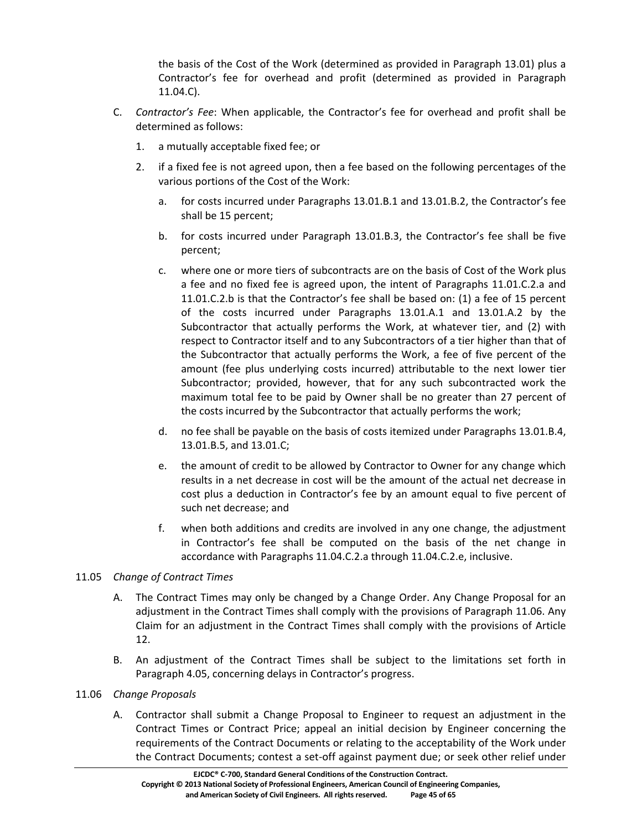the basis of the Cost of the Work (determined as provided in Paragraph 13.01) plus a Contractor's fee for overhead and profit (determined as provided in Paragraph 11.04.C).

- C. *Contractor's Fee*: When applicable, the Contractor's fee for overhead and profit shall be determined as follows:
	- 1. a mutually acceptable fixed fee; or
	- 2. if a fixed fee is not agreed upon, then a fee based on the following percentages of the various portions of the Cost of the Work:
		- a. for costs incurred under Paragraphs 13.01.B.1 and 13.01.B.2, the Contractor's fee shall be 15 percent;
		- b. for costs incurred under Paragraph 13.01.B.3, the Contractor's fee shall be five percent;
		- c. where one or more tiers of subcontracts are on the basis of Cost of the Work plus a fee and no fixed fee is agreed upon, the intent of Paragraphs 11.01.C.2.a and 11.01.C.2.b is that the Contractor's fee shall be based on: (1) a fee of 15 percent of the costs incurred under Paragraphs 13.01.A.1 and 13.01.A.2 by the Subcontractor that actually performs the Work, at whatever tier, and (2) with respect to Contractor itself and to any Subcontractors of a tier higher than that of the Subcontractor that actually performs the Work, a fee of five percent of the amount (fee plus underlying costs incurred) attributable to the next lower tier Subcontractor; provided, however, that for any such subcontracted work the maximum total fee to be paid by Owner shall be no greater than 27 percent of the costs incurred by the Subcontractor that actually performs the work;
		- d. no fee shall be payable on the basis of costs itemized under Paragraphs 13.01.B.4, 13.01.B.5, and 13.01.C;
		- e. the amount of credit to be allowed by Contractor to Owner for any change which results in a net decrease in cost will be the amount of the actual net decrease in cost plus a deduction in Contractor's fee by an amount equal to five percent of such net decrease; and
		- f. when both additions and credits are involved in any one change, the adjustment in Contractor's fee shall be computed on the basis of the net change in accordance with Paragraphs 11.04.C.2.a through 11.04.C.2.e, inclusive.

# 11.05 *Change of Contract Times*

- A. The Contract Times may only be changed by a Change Order. Any Change Proposal for an adjustment in the Contract Times shall comply with the provisions of Paragraph 11.06. Any Claim for an adjustment in the Contract Times shall comply with the provisions of Article 12.
- B. An adjustment of the Contract Times shall be subject to the limitations set forth in Paragraph 4.05, concerning delays in Contractor's progress.

# 11.06 *Change Proposals*

A. Contractor shall submit a Change Proposal to Engineer to request an adjustment in the Contract Times or Contract Price; appeal an initial decision by Engineer concerning the requirements of the Contract Documents or relating to the acceptability of the Work under the Contract Documents; contest a set‐off against payment due; or seek other relief under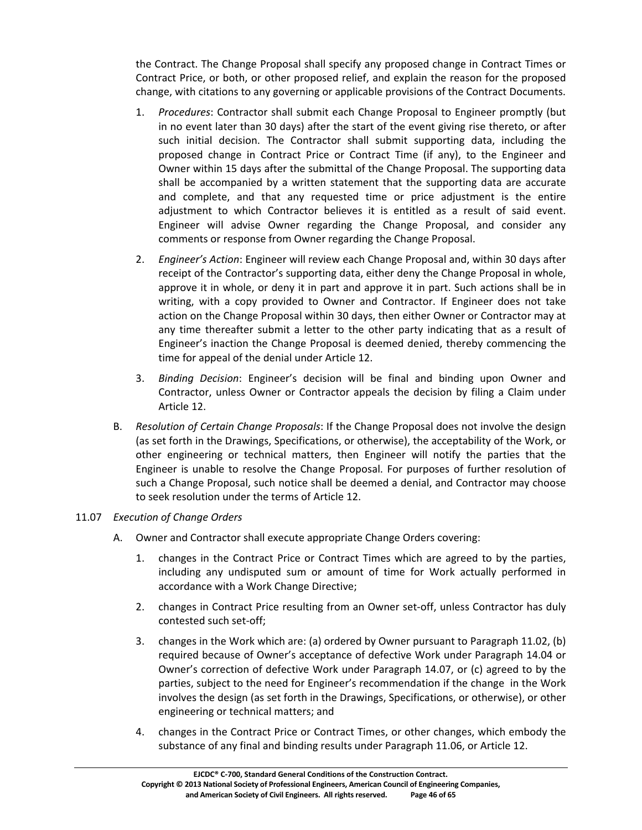the Contract. The Change Proposal shall specify any proposed change in Contract Times or Contract Price, or both, or other proposed relief, and explain the reason for the proposed change, with citations to any governing or applicable provisions of the Contract Documents.

- 1. *Procedures*: Contractor shall submit each Change Proposal to Engineer promptly (but in no event later than 30 days) after the start of the event giving rise thereto, or after such initial decision. The Contractor shall submit supporting data, including the proposed change in Contract Price or Contract Time (if any), to the Engineer and Owner within 15 days after the submittal of the Change Proposal. The supporting data shall be accompanied by a written statement that the supporting data are accurate and complete, and that any requested time or price adjustment is the entire adjustment to which Contractor believes it is entitled as a result of said event. Engineer will advise Owner regarding the Change Proposal, and consider any comments or response from Owner regarding the Change Proposal.
- 2. *Engineer's Action*: Engineer will review each Change Proposal and, within 30 days after receipt of the Contractor's supporting data, either deny the Change Proposal in whole, approve it in whole, or deny it in part and approve it in part. Such actions shall be in writing, with a copy provided to Owner and Contractor. If Engineer does not take action on the Change Proposal within 30 days, then either Owner or Contractor may at any time thereafter submit a letter to the other party indicating that as a result of Engineer's inaction the Change Proposal is deemed denied, thereby commencing the time for appeal of the denial under Article 12.
- 3. *Binding Decision*: Engineer's decision will be final and binding upon Owner and Contractor, unless Owner or Contractor appeals the decision by filing a Claim under Article 12.
- B. *Resolution of Certain Change Proposals*: If the Change Proposal does not involve the design (as set forth in the Drawings, Specifications, or otherwise), the acceptability of the Work, or other engineering or technical matters, then Engineer will notify the parties that the Engineer is unable to resolve the Change Proposal. For purposes of further resolution of such a Change Proposal, such notice shall be deemed a denial, and Contractor may choose to seek resolution under the terms of Article 12.

### 11.07 *Execution of Change Orders*

- A. Owner and Contractor shall execute appropriate Change Orders covering:
	- 1. changes in the Contract Price or Contract Times which are agreed to by the parties, including any undisputed sum or amount of time for Work actually performed in accordance with a Work Change Directive;
	- 2. changes in Contract Price resulting from an Owner set-off, unless Contractor has duly contested such set‐off;
	- 3. changes in the Work which are: (a) ordered by Owner pursuant to Paragraph 11.02, (b) required because of Owner's acceptance of defective Work under Paragraph 14.04 or Owner's correction of defective Work under Paragraph 14.07, or (c) agreed to by the parties, subject to the need for Engineer's recommendation if the change in the Work involves the design (as set forth in the Drawings, Specifications, or otherwise), or other engineering or technical matters; and
	- 4. changes in the Contract Price or Contract Times, or other changes, which embody the substance of any final and binding results under Paragraph 11.06, or Article 12.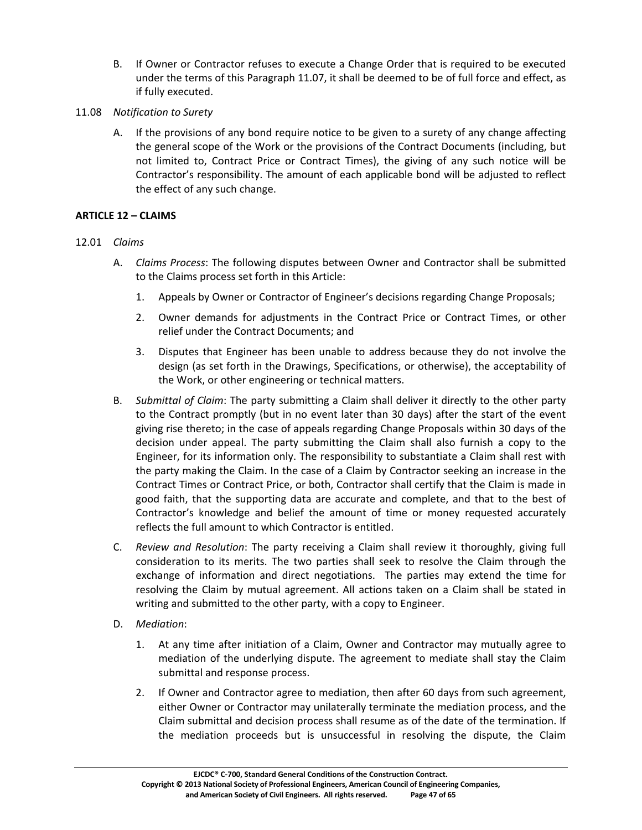- B. If Owner or Contractor refuses to execute a Change Order that is required to be executed under the terms of this Paragraph 11.07, it shall be deemed to be of full force and effect, as if fully executed.
- 11.08 *Notification to Surety*
	- A. If the provisions of any bond require notice to be given to a surety of any change affecting the general scope of the Work or the provisions of the Contract Documents (including, but not limited to, Contract Price or Contract Times), the giving of any such notice will be Contractor's responsibility. The amount of each applicable bond will be adjusted to reflect the effect of any such change.

# **ARTICLE 12 – CLAIMS**

- 12.01 *Claims*
	- A. *Claims Process*: The following disputes between Owner and Contractor shall be submitted to the Claims process set forth in this Article:
		- 1. Appeals by Owner or Contractor of Engineer's decisions regarding Change Proposals;
		- 2. Owner demands for adjustments in the Contract Price or Contract Times, or other relief under the Contract Documents; and
		- 3. Disputes that Engineer has been unable to address because they do not involve the design (as set forth in the Drawings, Specifications, or otherwise), the acceptability of the Work, or other engineering or technical matters.
	- B. *Submittal of Claim*: The party submitting a Claim shall deliver it directly to the other party to the Contract promptly (but in no event later than 30 days) after the start of the event giving rise thereto; in the case of appeals regarding Change Proposals within 30 days of the decision under appeal. The party submitting the Claim shall also furnish a copy to the Engineer, for its information only. The responsibility to substantiate a Claim shall rest with the party making the Claim. In the case of a Claim by Contractor seeking an increase in the Contract Times or Contract Price, or both, Contractor shall certify that the Claim is made in good faith, that the supporting data are accurate and complete, and that to the best of Contractor's knowledge and belief the amount of time or money requested accurately reflects the full amount to which Contractor is entitled.
	- C. *Review and Resolution*: The party receiving a Claim shall review it thoroughly, giving full consideration to its merits. The two parties shall seek to resolve the Claim through the exchange of information and direct negotiations. The parties may extend the time for resolving the Claim by mutual agreement. All actions taken on a Claim shall be stated in writing and submitted to the other party, with a copy to Engineer.
	- D. *Mediation*:
		- 1. At any time after initiation of a Claim, Owner and Contractor may mutually agree to mediation of the underlying dispute. The agreement to mediate shall stay the Claim submittal and response process.
		- 2. If Owner and Contractor agree to mediation, then after 60 days from such agreement, either Owner or Contractor may unilaterally terminate the mediation process, and the Claim submittal and decision process shall resume as of the date of the termination. If the mediation proceeds but is unsuccessful in resolving the dispute, the Claim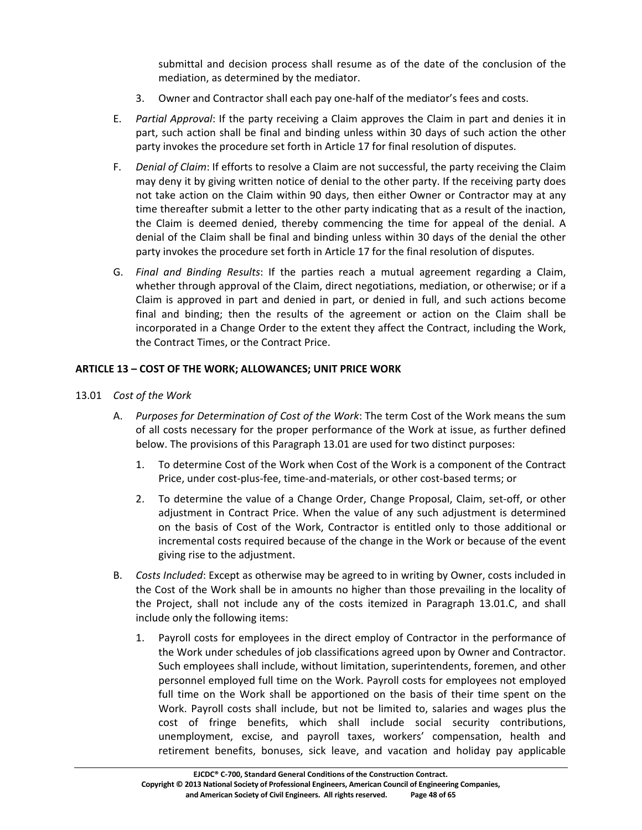submittal and decision process shall resume as of the date of the conclusion of the mediation, as determined by the mediator.

- 3. Owner and Contractor shall each pay one‐half of the mediator's fees and costs.
- E. *Partial Approval*: If the party receiving a Claim approves the Claim in part and denies it in part, such action shall be final and binding unless within 30 days of such action the other party invokes the procedure set forth in Article 17 for final resolution of disputes.
- F. *Denial of Claim*: If efforts to resolve a Claim are not successful, the party receiving the Claim may deny it by giving written notice of denial to the other party. If the receiving party does not take action on the Claim within 90 days, then either Owner or Contractor may at any time thereafter submit a letter to the other party indicating that as a result of the inaction, the Claim is deemed denied, thereby commencing the time for appeal of the denial. A denial of the Claim shall be final and binding unless within 30 days of the denial the other party invokes the procedure set forth in Article 17 for the final resolution of disputes.
- G. *Final and Binding Results*: If the parties reach a mutual agreement regarding a Claim, whether through approval of the Claim, direct negotiations, mediation, or otherwise; or if a Claim is approved in part and denied in part, or denied in full, and such actions become final and binding; then the results of the agreement or action on the Claim shall be incorporated in a Change Order to the extent they affect the Contract, including the Work, the Contract Times, or the Contract Price.

# **ARTICLE 13 – COST OF THE WORK; ALLOWANCES; UNIT PRICE WORK**

- 13.01 *Cost of the Work*
	- A. *Purposes for Determination of Cost of the Work*: The term Cost of the Work means the sum of all costs necessary for the proper performance of the Work at issue, as further defined below. The provisions of this Paragraph 13.01 are used for two distinct purposes:
		- 1. To determine Cost of the Work when Cost of the Work is a component of the Contract Price, under cost‐plus‐fee, time‐and‐materials, or other cost‐based terms; or
		- 2. To determine the value of a Change Order, Change Proposal, Claim, set-off, or other adjustment in Contract Price. When the value of any such adjustment is determined on the basis of Cost of the Work, Contractor is entitled only to those additional or incremental costs required because of the change in the Work or because of the event giving rise to the adjustment.
	- B. *Costs Included*: Except as otherwise may be agreed to in writing by Owner, costs included in the Cost of the Work shall be in amounts no higher than those prevailing in the locality of the Project, shall not include any of the costs itemized in Paragraph 13.01.C, and shall include only the following items:
		- 1. Payroll costs for employees in the direct employ of Contractor in the performance of the Work under schedules of job classifications agreed upon by Owner and Contractor. Such employees shall include, without limitation, superintendents, foremen, and other personnel employed full time on the Work. Payroll costs for employees not employed full time on the Work shall be apportioned on the basis of their time spent on the Work. Payroll costs shall include, but not be limited to, salaries and wages plus the cost of fringe benefits, which shall include social security contributions, unemployment, excise, and payroll taxes, workers' compensation, health and retirement benefits, bonuses, sick leave, and vacation and holiday pay applicable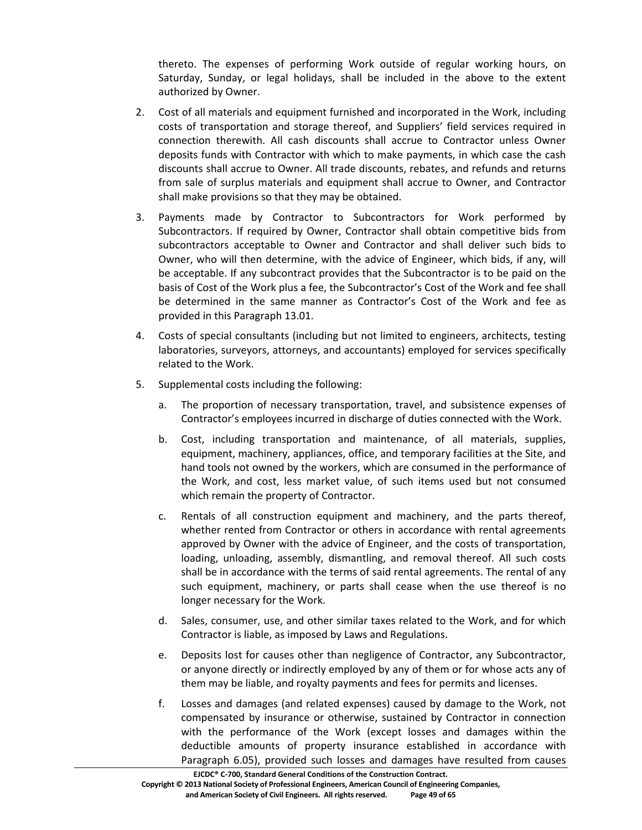thereto. The expenses of performing Work outside of regular working hours, on Saturday, Sunday, or legal holidays, shall be included in the above to the extent authorized by Owner.

- 2. Cost of all materials and equipment furnished and incorporated in the Work, including costs of transportation and storage thereof, and Suppliers' field services required in connection therewith. All cash discounts shall accrue to Contractor unless Owner deposits funds with Contractor with which to make payments, in which case the cash discounts shall accrue to Owner. All trade discounts, rebates, and refunds and returns from sale of surplus materials and equipment shall accrue to Owner, and Contractor shall make provisions so that they may be obtained.
- 3. Payments made by Contractor to Subcontractors for Work performed by Subcontractors. If required by Owner, Contractor shall obtain competitive bids from subcontractors acceptable to Owner and Contractor and shall deliver such bids to Owner, who will then determine, with the advice of Engineer, which bids, if any, will be acceptable. If any subcontract provides that the Subcontractor is to be paid on the basis of Cost of the Work plus a fee, the Subcontractor's Cost of the Work and fee shall be determined in the same manner as Contractor's Cost of the Work and fee as provided in this Paragraph 13.01.
- 4. Costs of special consultants (including but not limited to engineers, architects, testing laboratories, surveyors, attorneys, and accountants) employed for services specifically related to the Work.
- 5. Supplemental costs including the following:
	- a. The proportion of necessary transportation, travel, and subsistence expenses of Contractor's employees incurred in discharge of duties connected with the Work.
	- b. Cost, including transportation and maintenance, of all materials, supplies, equipment, machinery, appliances, office, and temporary facilities at the Site, and hand tools not owned by the workers, which are consumed in the performance of the Work, and cost, less market value, of such items used but not consumed which remain the property of Contractor.
	- c. Rentals of all construction equipment and machinery, and the parts thereof, whether rented from Contractor or others in accordance with rental agreements approved by Owner with the advice of Engineer, and the costs of transportation, loading, unloading, assembly, dismantling, and removal thereof. All such costs shall be in accordance with the terms of said rental agreements. The rental of any such equipment, machinery, or parts shall cease when the use thereof is no longer necessary for the Work.
	- d. Sales, consumer, use, and other similar taxes related to the Work, and for which Contractor is liable, as imposed by Laws and Regulations.
	- e. Deposits lost for causes other than negligence of Contractor, any Subcontractor, or anyone directly or indirectly employed by any of them or for whose acts any of them may be liable, and royalty payments and fees for permits and licenses.
	- f. Losses and damages (and related expenses) caused by damage to the Work, not compensated by insurance or otherwise, sustained by Contractor in connection with the performance of the Work (except losses and damages within the deductible amounts of property insurance established in accordance with Paragraph 6.05), provided such losses and damages have resulted from causes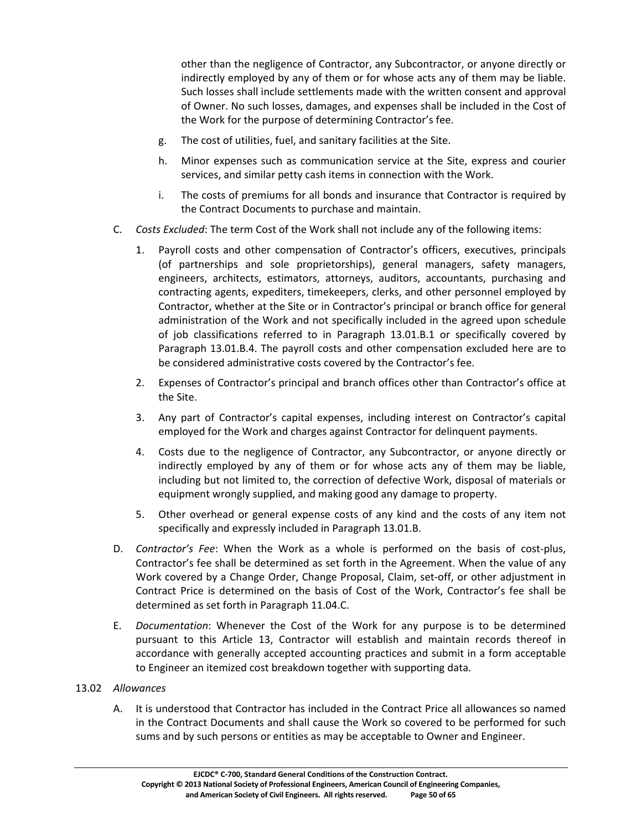other than the negligence of Contractor, any Subcontractor, or anyone directly or indirectly employed by any of them or for whose acts any of them may be liable. Such losses shall include settlements made with the written consent and approval of Owner. No such losses, damages, and expenses shall be included in the Cost of the Work for the purpose of determining Contractor's fee.

- g. The cost of utilities, fuel, and sanitary facilities at the Site.
- h. Minor expenses such as communication service at the Site, express and courier services, and similar petty cash items in connection with the Work.
- i. The costs of premiums for all bonds and insurance that Contractor is required by the Contract Documents to purchase and maintain.
- C. *Costs Excluded*: The term Cost of the Work shall not include any of the following items:
	- 1. Payroll costs and other compensation of Contractor's officers, executives, principals (of partnerships and sole proprietorships), general managers, safety managers, engineers, architects, estimators, attorneys, auditors, accountants, purchasing and contracting agents, expediters, timekeepers, clerks, and other personnel employed by Contractor, whether at the Site or in Contractor's principal or branch office for general administration of the Work and not specifically included in the agreed upon schedule of job classifications referred to in Paragraph 13.01.B.1 or specifically covered by Paragraph 13.01.B.4. The payroll costs and other compensation excluded here are to be considered administrative costs covered by the Contractor's fee.
	- 2. Expenses of Contractor's principal and branch offices other than Contractor's office at the Site.
	- 3. Any part of Contractor's capital expenses, including interest on Contractor's capital employed for the Work and charges against Contractor for delinquent payments.
	- 4. Costs due to the negligence of Contractor, any Subcontractor, or anyone directly or indirectly employed by any of them or for whose acts any of them may be liable, including but not limited to, the correction of defective Work, disposal of materials or equipment wrongly supplied, and making good any damage to property.
	- 5. Other overhead or general expense costs of any kind and the costs of any item not specifically and expressly included in Paragraph 13.01.B.
- D. *Contractor's Fee*: When the Work as a whole is performed on the basis of cost‐plus, Contractor's fee shall be determined as set forth in the Agreement. When the value of any Work covered by a Change Order, Change Proposal, Claim, set‐off, or other adjustment in Contract Price is determined on the basis of Cost of the Work, Contractor's fee shall be determined as set forth in Paragraph 11.04.C.
- E. *Documentation*: Whenever the Cost of the Work for any purpose is to be determined pursuant to this Article 13, Contractor will establish and maintain records thereof in accordance with generally accepted accounting practices and submit in a form acceptable to Engineer an itemized cost breakdown together with supporting data.

### 13.02 *Allowances*

A. It is understood that Contractor has included in the Contract Price all allowances so named in the Contract Documents and shall cause the Work so covered to be performed for such sums and by such persons or entities as may be acceptable to Owner and Engineer.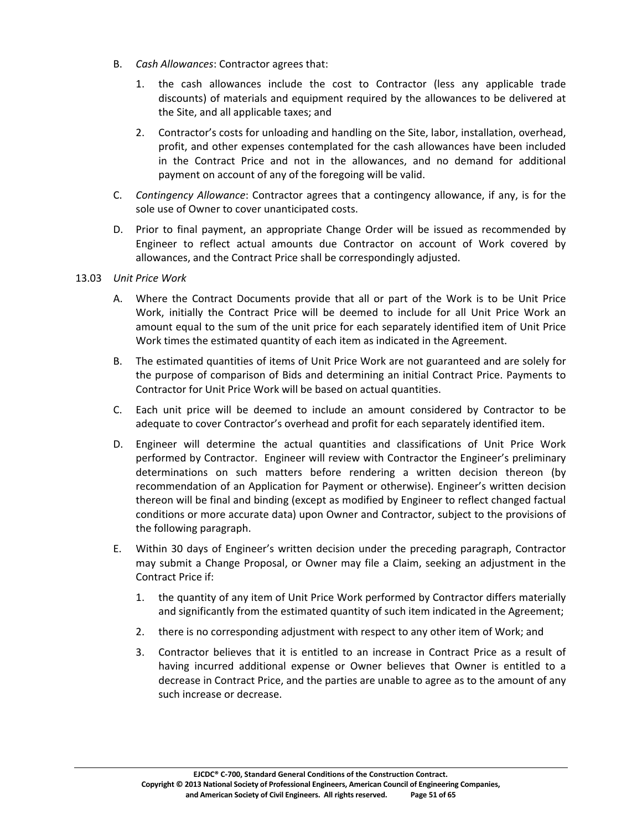- B. *Cash Allowances*: Contractor agrees that:
	- 1. the cash allowances include the cost to Contractor (less any applicable trade discounts) of materials and equipment required by the allowances to be delivered at the Site, and all applicable taxes; and
	- 2. Contractor's costs for unloading and handling on the Site, labor, installation, overhead, profit, and other expenses contemplated for the cash allowances have been included in the Contract Price and not in the allowances, and no demand for additional payment on account of any of the foregoing will be valid.
- C. *Contingency Allowance*: Contractor agrees that a contingency allowance, if any, is for the sole use of Owner to cover unanticipated costs.
- D. Prior to final payment, an appropriate Change Order will be issued as recommended by Engineer to reflect actual amounts due Contractor on account of Work covered by allowances, and the Contract Price shall be correspondingly adjusted.

### 13.03 *Unit Price Work*

- A. Where the Contract Documents provide that all or part of the Work is to be Unit Price Work, initially the Contract Price will be deemed to include for all Unit Price Work an amount equal to the sum of the unit price for each separately identified item of Unit Price Work times the estimated quantity of each item as indicated in the Agreement.
- B. The estimated quantities of items of Unit Price Work are not guaranteed and are solely for the purpose of comparison of Bids and determining an initial Contract Price. Payments to Contractor for Unit Price Work will be based on actual quantities.
- C. Each unit price will be deemed to include an amount considered by Contractor to be adequate to cover Contractor's overhead and profit for each separately identified item.
- D. Engineer will determine the actual quantities and classifications of Unit Price Work performed by Contractor. Engineer will review with Contractor the Engineer's preliminary determinations on such matters before rendering a written decision thereon (by recommendation of an Application for Payment or otherwise). Engineer's written decision thereon will be final and binding (except as modified by Engineer to reflect changed factual conditions or more accurate data) upon Owner and Contractor, subject to the provisions of the following paragraph.
- E. Within 30 days of Engineer's written decision under the preceding paragraph, Contractor may submit a Change Proposal, or Owner may file a Claim, seeking an adjustment in the Contract Price if:
	- 1. the quantity of any item of Unit Price Work performed by Contractor differs materially and significantly from the estimated quantity of such item indicated in the Agreement;
	- 2. there is no corresponding adjustment with respect to any other item of Work; and
	- 3. Contractor believes that it is entitled to an increase in Contract Price as a result of having incurred additional expense or Owner believes that Owner is entitled to a decrease in Contract Price, and the parties are unable to agree as to the amount of any such increase or decrease.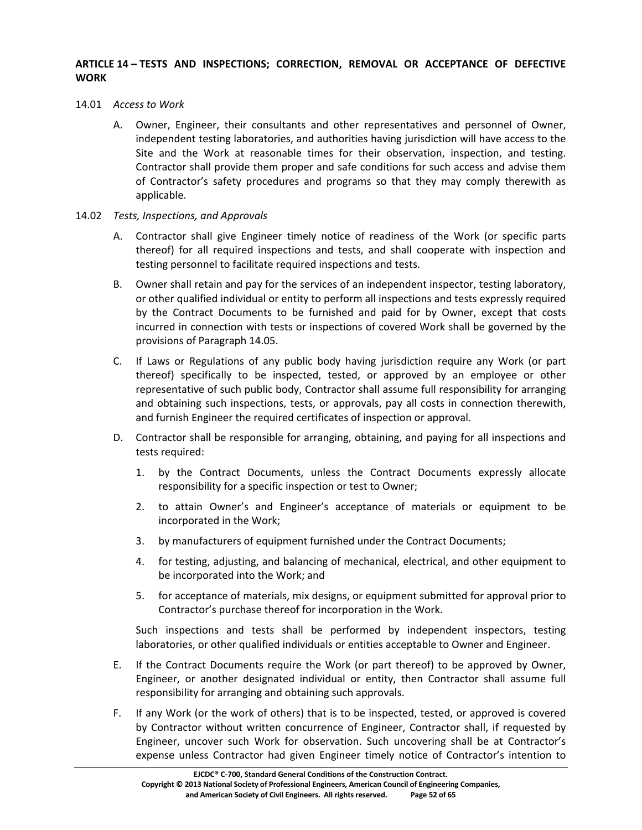### **ARTICLE 14 – TESTS AND INSPECTIONS; CORRECTION, REMOVAL OR ACCEPTANCE OF DEFECTIVE WORK**

- 14.01 *Access to Work*
	- A. Owner, Engineer, their consultants and other representatives and personnel of Owner, independent testing laboratories, and authorities having jurisdiction will have access to the Site and the Work at reasonable times for their observation, inspection, and testing. Contractor shall provide them proper and safe conditions for such access and advise them of Contractor's safety procedures and programs so that they may comply therewith as applicable.
- 14.02 *Tests, Inspections, and Approvals*
	- A. Contractor shall give Engineer timely notice of readiness of the Work (or specific parts thereof) for all required inspections and tests, and shall cooperate with inspection and testing personnel to facilitate required inspections and tests.
	- B. Owner shall retain and pay for the services of an independent inspector, testing laboratory, or other qualified individual or entity to perform all inspections and tests expressly required by the Contract Documents to be furnished and paid for by Owner, except that costs incurred in connection with tests or inspections of covered Work shall be governed by the provisions of Paragraph 14.05.
	- C. If Laws or Regulations of any public body having jurisdiction require any Work (or part thereof) specifically to be inspected, tested, or approved by an employee or other representative of such public body, Contractor shall assume full responsibility for arranging and obtaining such inspections, tests, or approvals, pay all costs in connection therewith, and furnish Engineer the required certificates of inspection or approval.
	- D. Contractor shall be responsible for arranging, obtaining, and paying for all inspections and tests required:
		- 1. by the Contract Documents, unless the Contract Documents expressly allocate responsibility for a specific inspection or test to Owner;
		- 2. to attain Owner's and Engineer's acceptance of materials or equipment to be incorporated in the Work;
		- 3. by manufacturers of equipment furnished under the Contract Documents;
		- 4. for testing, adjusting, and balancing of mechanical, electrical, and other equipment to be incorporated into the Work; and
		- 5. for acceptance of materials, mix designs, or equipment submitted for approval prior to Contractor's purchase thereof for incorporation in the Work.

Such inspections and tests shall be performed by independent inspectors, testing laboratories, or other qualified individuals or entities acceptable to Owner and Engineer.

- E. If the Contract Documents require the Work (or part thereof) to be approved by Owner, Engineer, or another designated individual or entity, then Contractor shall assume full responsibility for arranging and obtaining such approvals.
- F. If any Work (or the work of others) that is to be inspected, tested, or approved is covered by Contractor without written concurrence of Engineer, Contractor shall, if requested by Engineer, uncover such Work for observation. Such uncovering shall be at Contractor's expense unless Contractor had given Engineer timely notice of Contractor's intention to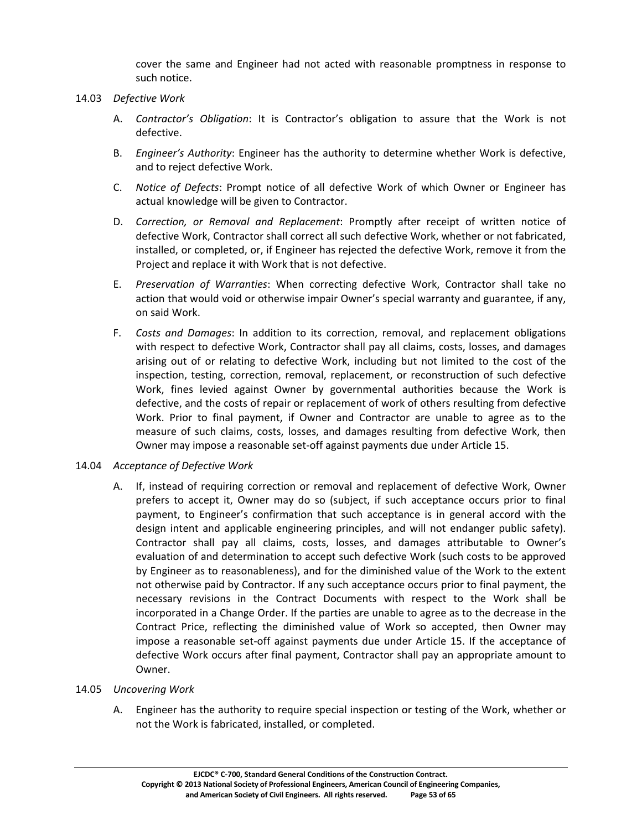cover the same and Engineer had not acted with reasonable promptness in response to such notice.

### 14.03 *Defective Work*

- A. *Contractor's Obligation*: It is Contractor's obligation to assure that the Work is not defective.
- B. *Engineer's Authority*: Engineer has the authority to determine whether Work is defective, and to reject defective Work.
- C. *Notice of Defects*: Prompt notice of all defective Work of which Owner or Engineer has actual knowledge will be given to Contractor.
- D. *Correction, or Removal and Replacement*: Promptly after receipt of written notice of defective Work, Contractor shall correct all such defective Work, whether or not fabricated, installed, or completed, or, if Engineer has rejected the defective Work, remove it from the Project and replace it with Work that is not defective.
- E. *Preservation of Warranties*: When correcting defective Work, Contractor shall take no action that would void or otherwise impair Owner's special warranty and guarantee, if any, on said Work.
- F. *Costs and Damages*: In addition to its correction, removal, and replacement obligations with respect to defective Work, Contractor shall pay all claims, costs, losses, and damages arising out of or relating to defective Work, including but not limited to the cost of the inspection, testing, correction, removal, replacement, or reconstruction of such defective Work, fines levied against Owner by governmental authorities because the Work is defective, and the costs of repair or replacement of work of others resulting from defective Work. Prior to final payment, if Owner and Contractor are unable to agree as to the measure of such claims, costs, losses, and damages resulting from defective Work, then Owner may impose a reasonable set‐off against payments due under Article 15.

### 14.04 *Acceptance of Defective Work*

A. If, instead of requiring correction or removal and replacement of defective Work, Owner prefers to accept it, Owner may do so (subject, if such acceptance occurs prior to final payment, to Engineer's confirmation that such acceptance is in general accord with the design intent and applicable engineering principles, and will not endanger public safety). Contractor shall pay all claims, costs, losses, and damages attributable to Owner's evaluation of and determination to accept such defective Work (such costs to be approved by Engineer as to reasonableness), and for the diminished value of the Work to the extent not otherwise paid by Contractor. If any such acceptance occurs prior to final payment, the necessary revisions in the Contract Documents with respect to the Work shall be incorporated in a Change Order. If the parties are unable to agree as to the decrease in the Contract Price, reflecting the diminished value of Work so accepted, then Owner may impose a reasonable set-off against payments due under Article 15. If the acceptance of defective Work occurs after final payment, Contractor shall pay an appropriate amount to Owner.

### 14.05 *Uncovering Work*

A. Engineer has the authority to require special inspection or testing of the Work, whether or not the Work is fabricated, installed, or completed.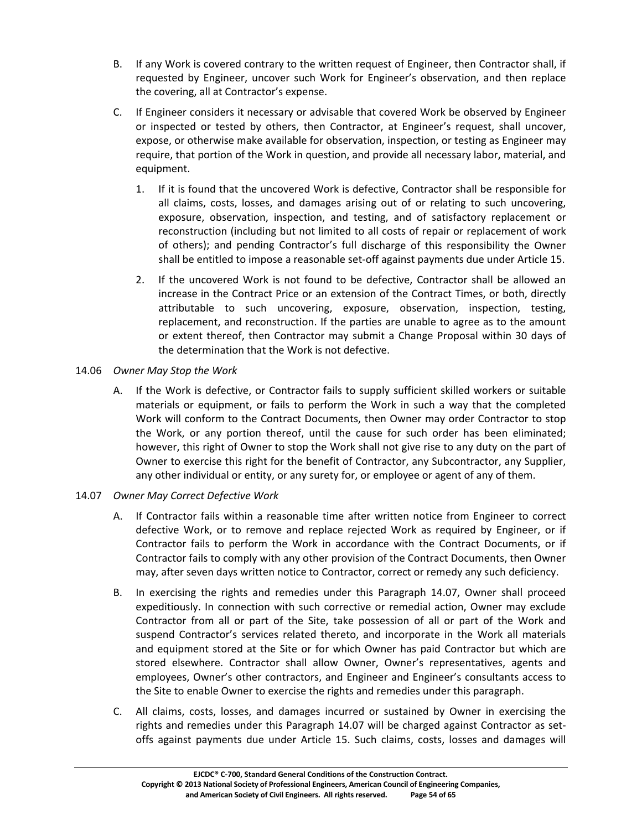- B. If any Work is covered contrary to the written request of Engineer, then Contractor shall, if requested by Engineer, uncover such Work for Engineer's observation, and then replace the covering, all at Contractor's expense.
- C. If Engineer considers it necessary or advisable that covered Work be observed by Engineer or inspected or tested by others, then Contractor, at Engineer's request, shall uncover, expose, or otherwise make available for observation, inspection, or testing as Engineer may require, that portion of the Work in question, and provide all necessary labor, material, and equipment.
	- 1. If it is found that the uncovered Work is defective, Contractor shall be responsible for all claims, costs, losses, and damages arising out of or relating to such uncovering, exposure, observation, inspection, and testing, and of satisfactory replacement or reconstruction (including but not limited to all costs of repair or replacement of work of others); and pending Contractor's full discharge of this responsibility the Owner shall be entitled to impose a reasonable set-off against payments due under Article 15.
	- 2. If the uncovered Work is not found to be defective, Contractor shall be allowed an increase in the Contract Price or an extension of the Contract Times, or both, directly attributable to such uncovering, exposure, observation, inspection, testing, replacement, and reconstruction. If the parties are unable to agree as to the amount or extent thereof, then Contractor may submit a Change Proposal within 30 days of the determination that the Work is not defective.

# 14.06 *Owner May Stop the Work*

- A. If the Work is defective, or Contractor fails to supply sufficient skilled workers or suitable materials or equipment, or fails to perform the Work in such a way that the completed Work will conform to the Contract Documents, then Owner may order Contractor to stop the Work, or any portion thereof, until the cause for such order has been eliminated; however, this right of Owner to stop the Work shall not give rise to any duty on the part of Owner to exercise this right for the benefit of Contractor, any Subcontractor, any Supplier, any other individual or entity, or any surety for, or employee or agent of any of them.
- 14.07 *Owner May Correct Defective Work*
	- A. If Contractor fails within a reasonable time after written notice from Engineer to correct defective Work, or to remove and replace rejected Work as required by Engineer, or if Contractor fails to perform the Work in accordance with the Contract Documents, or if Contractor fails to comply with any other provision of the Contract Documents, then Owner may, after seven days written notice to Contractor, correct or remedy any such deficiency.
	- B. In exercising the rights and remedies under this Paragraph 14.07, Owner shall proceed expeditiously. In connection with such corrective or remedial action, Owner may exclude Contractor from all or part of the Site, take possession of all or part of the Work and suspend Contractor's services related thereto, and incorporate in the Work all materials and equipment stored at the Site or for which Owner has paid Contractor but which are stored elsewhere. Contractor shall allow Owner, Owner's representatives, agents and employees, Owner's other contractors, and Engineer and Engineer's consultants access to the Site to enable Owner to exercise the rights and remedies under this paragraph.
	- C. All claims, costs, losses, and damages incurred or sustained by Owner in exercising the rights and remedies under this Paragraph 14.07 will be charged against Contractor as setoffs against payments due under Article 15. Such claims, costs, losses and damages will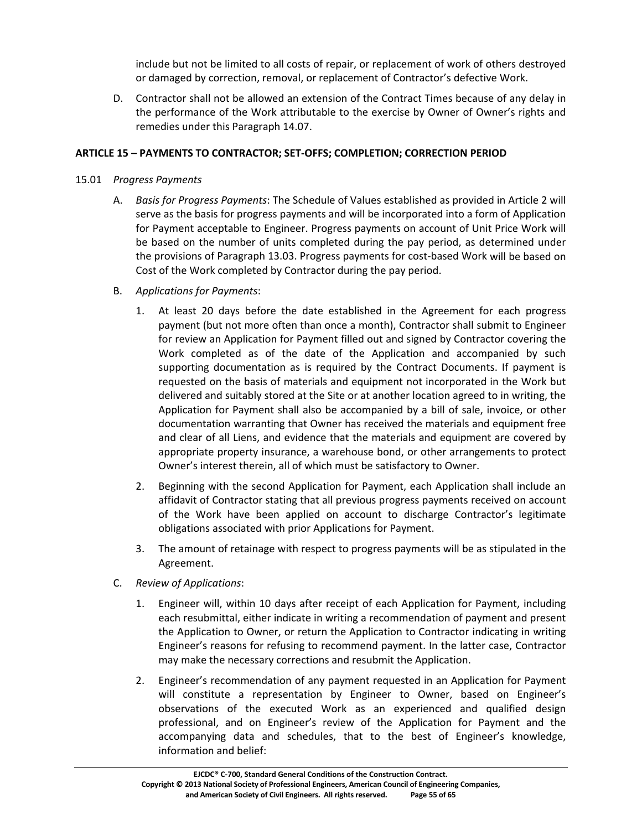include but not be limited to all costs of repair, or replacement of work of others destroyed or damaged by correction, removal, or replacement of Contractor's defective Work.

D. Contractor shall not be allowed an extension of the Contract Times because of any delay in the performance of the Work attributable to the exercise by Owner of Owner's rights and remedies under this Paragraph 14.07.

# **ARTICLE 15 – PAYMENTS TO CONTRACTOR; SET‐OFFS; COMPLETION; CORRECTION PERIOD**

- 15.01 *Progress Payments*
	- A. *Basis for Progress Payments*: The Schedule of Values established as provided in Article 2 will serve as the basis for progress payments and will be incorporated into a form of Application for Payment acceptable to Engineer. Progress payments on account of Unit Price Work will be based on the number of units completed during the pay period, as determined under the provisions of Paragraph 13.03. Progress payments for cost-based Work will be based on Cost of the Work completed by Contractor during the pay period.
	- B. *Applications for Payments*:
		- 1. At least 20 days before the date established in the Agreement for each progress payment (but not more often than once a month), Contractor shall submit to Engineer for review an Application for Payment filled out and signed by Contractor covering the Work completed as of the date of the Application and accompanied by such supporting documentation as is required by the Contract Documents. If payment is requested on the basis of materials and equipment not incorporated in the Work but delivered and suitably stored at the Site or at another location agreed to in writing, the Application for Payment shall also be accompanied by a bill of sale, invoice, or other documentation warranting that Owner has received the materials and equipment free and clear of all Liens, and evidence that the materials and equipment are covered by appropriate property insurance, a warehouse bond, or other arrangements to protect Owner's interest therein, all of which must be satisfactory to Owner.
		- 2. Beginning with the second Application for Payment, each Application shall include an affidavit of Contractor stating that all previous progress payments received on account of the Work have been applied on account to discharge Contractor's legitimate obligations associated with prior Applications for Payment.
		- 3. The amount of retainage with respect to progress payments will be as stipulated in the Agreement.
	- C. *Review of Applications*:
		- 1. Engineer will, within 10 days after receipt of each Application for Payment, including each resubmittal, either indicate in writing a recommendation of payment and present the Application to Owner, or return the Application to Contractor indicating in writing Engineer's reasons for refusing to recommend payment. In the latter case, Contractor may make the necessary corrections and resubmit the Application.
		- 2. Engineer's recommendation of any payment requested in an Application for Payment will constitute a representation by Engineer to Owner, based on Engineer's observations of the executed Work as an experienced and qualified design professional, and on Engineer's review of the Application for Payment and the accompanying data and schedules, that to the best of Engineer's knowledge, information and belief: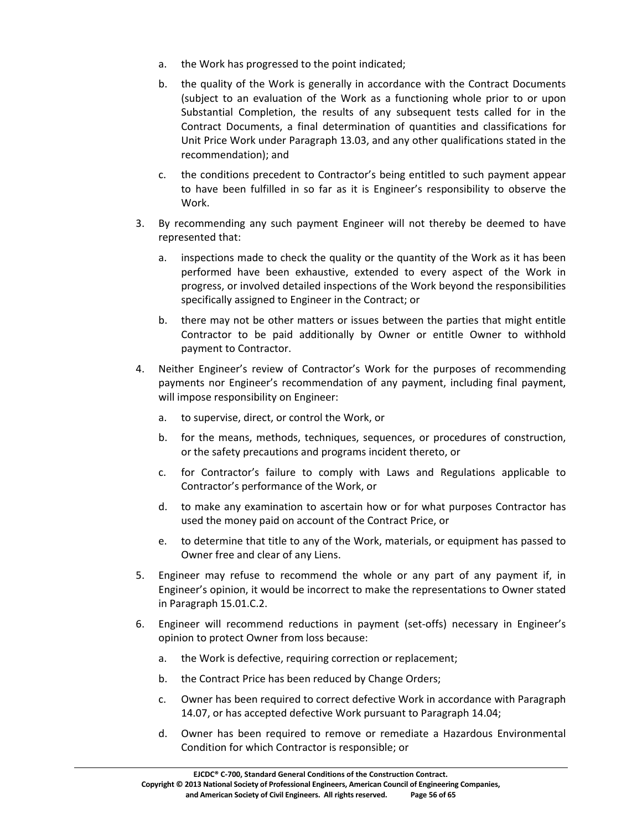- a. the Work has progressed to the point indicated;
- b. the quality of the Work is generally in accordance with the Contract Documents (subject to an evaluation of the Work as a functioning whole prior to or upon Substantial Completion, the results of any subsequent tests called for in the Contract Documents, a final determination of quantities and classifications for Unit Price Work under Paragraph 13.03, and any other qualifications stated in the recommendation); and
- c. the conditions precedent to Contractor's being entitled to such payment appear to have been fulfilled in so far as it is Engineer's responsibility to observe the Work.
- 3. By recommending any such payment Engineer will not thereby be deemed to have represented that:
	- a. inspections made to check the quality or the quantity of the Work as it has been performed have been exhaustive, extended to every aspect of the Work in progress, or involved detailed inspections of the Work beyond the responsibilities specifically assigned to Engineer in the Contract; or
	- b. there may not be other matters or issues between the parties that might entitle Contractor to be paid additionally by Owner or entitle Owner to withhold payment to Contractor.
- 4. Neither Engineer's review of Contractor's Work for the purposes of recommending payments nor Engineer's recommendation of any payment, including final payment, will impose responsibility on Engineer:
	- a. to supervise, direct, or control the Work, or
	- b. for the means, methods, techniques, sequences, or procedures of construction, or the safety precautions and programs incident thereto, or
	- c. for Contractor's failure to comply with Laws and Regulations applicable to Contractor's performance of the Work, or
	- d. to make any examination to ascertain how or for what purposes Contractor has used the money paid on account of the Contract Price, or
	- e. to determine that title to any of the Work, materials, or equipment has passed to Owner free and clear of any Liens.
- 5. Engineer may refuse to recommend the whole or any part of any payment if, in Engineer's opinion, it would be incorrect to make the representations to Owner stated in Paragraph 15.01.C.2.
- 6. Engineer will recommend reductions in payment (set‐offs) necessary in Engineer's opinion to protect Owner from loss because:
	- a. the Work is defective, requiring correction or replacement;
	- b. the Contract Price has been reduced by Change Orders;
	- c. Owner has been required to correct defective Work in accordance with Paragraph 14.07, or has accepted defective Work pursuant to Paragraph 14.04;
	- d. Owner has been required to remove or remediate a Hazardous Environmental Condition for which Contractor is responsible; or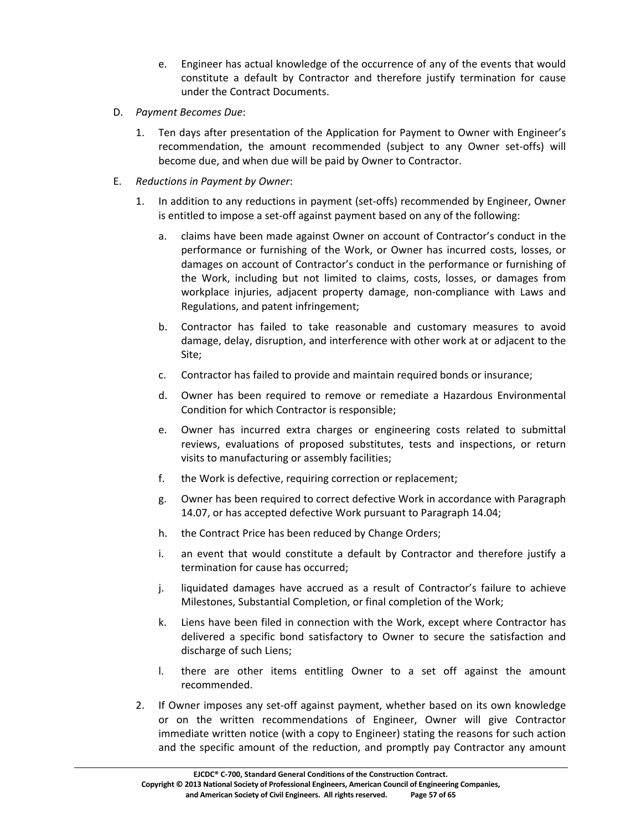- e. Engineer has actual knowledge of the occurrence of any of the events that would constitute a default by Contractor and therefore justify termination for cause under the Contract Documents.
- D. *Payment Becomes Due*:
	- 1. Ten days after presentation of the Application for Payment to Owner with Engineer's recommendation, the amount recommended (subject to any Owner set‐offs) will become due, and when due will be paid by Owner to Contractor.
- E. *Reductions in Payment by Owner*:
	- 1. In addition to any reductions in payment (set‐offs) recommended by Engineer, Owner is entitled to impose a set‐off against payment based on any of the following:
		- a. claims have been made against Owner on account of Contractor's conduct in the performance or furnishing of the Work, or Owner has incurred costs, losses, or damages on account of Contractor's conduct in the performance or furnishing of the Work, including but not limited to claims, costs, losses, or damages from workplace injuries, adjacent property damage, non‐compliance with Laws and Regulations, and patent infringement;
		- b. Contractor has failed to take reasonable and customary measures to avoid damage, delay, disruption, and interference with other work at or adjacent to the Site;
		- c. Contractor has failed to provide and maintain required bonds or insurance;
		- d. Owner has been required to remove or remediate a Hazardous Environmental Condition for which Contractor is responsible;
		- e. Owner has incurred extra charges or engineering costs related to submittal reviews, evaluations of proposed substitutes, tests and inspections, or return visits to manufacturing or assembly facilities;
		- f. the Work is defective, requiring correction or replacement;
		- g. Owner has been required to correct defective Work in accordance with Paragraph 14.07, or has accepted defective Work pursuant to Paragraph 14.04;
		- h. the Contract Price has been reduced by Change Orders;
		- i. an event that would constitute a default by Contractor and therefore justify a termination for cause has occurred;
		- j. liquidated damages have accrued as a result of Contractor's failure to achieve Milestones, Substantial Completion, or final completion of the Work;
		- k. Liens have been filed in connection with the Work, except where Contractor has delivered a specific bond satisfactory to Owner to secure the satisfaction and discharge of such Liens;
		- l. there are other items entitling Owner to a set off against the amount recommended.
	- 2. If Owner imposes any set‐off against payment, whether based on its own knowledge or on the written recommendations of Engineer, Owner will give Contractor immediate written notice (with a copy to Engineer) stating the reasons for such action and the specific amount of the reduction, and promptly pay Contractor any amount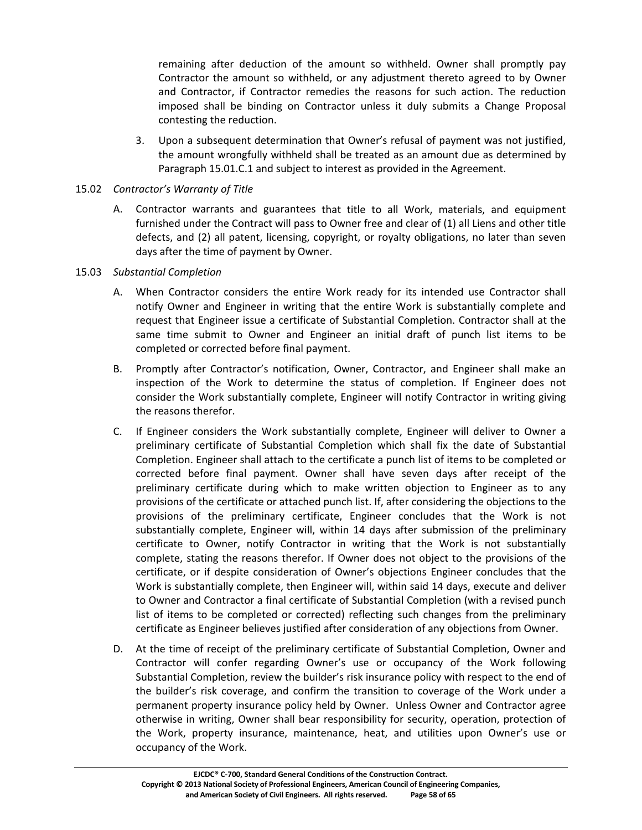remaining after deduction of the amount so withheld. Owner shall promptly pay Contractor the amount so withheld, or any adjustment thereto agreed to by Owner and Contractor, if Contractor remedies the reasons for such action. The reduction imposed shall be binding on Contractor unless it duly submits a Change Proposal contesting the reduction.

3. Upon a subsequent determination that Owner's refusal of payment was not justified, the amount wrongfully withheld shall be treated as an amount due as determined by Paragraph 15.01.C.1 and subject to interest as provided in the Agreement.

### 15.02 *Contractor's Warranty of Title*

A. Contractor warrants and guarantees that title to all Work, materials, and equipment furnished under the Contract will pass to Owner free and clear of (1) all Liens and other title defects, and (2) all patent, licensing, copyright, or royalty obligations, no later than seven days after the time of payment by Owner.

### 15.03 *Substantial Completion*

- A. When Contractor considers the entire Work ready for its intended use Contractor shall notify Owner and Engineer in writing that the entire Work is substantially complete and request that Engineer issue a certificate of Substantial Completion. Contractor shall at the same time submit to Owner and Engineer an initial draft of punch list items to be completed or corrected before final payment.
- B. Promptly after Contractor's notification, Owner, Contractor, and Engineer shall make an inspection of the Work to determine the status of completion. If Engineer does not consider the Work substantially complete, Engineer will notify Contractor in writing giving the reasons therefor.
- C. If Engineer considers the Work substantially complete, Engineer will deliver to Owner a preliminary certificate of Substantial Completion which shall fix the date of Substantial Completion. Engineer shall attach to the certificate a punch list of items to be completed or corrected before final payment. Owner shall have seven days after receipt of the preliminary certificate during which to make written objection to Engineer as to any provisions of the certificate or attached punch list. If, after considering the objections to the provisions of the preliminary certificate, Engineer concludes that the Work is not substantially complete, Engineer will, within 14 days after submission of the preliminary certificate to Owner, notify Contractor in writing that the Work is not substantially complete, stating the reasons therefor. If Owner does not object to the provisions of the certificate, or if despite consideration of Owner's objections Engineer concludes that the Work is substantially complete, then Engineer will, within said 14 days, execute and deliver to Owner and Contractor a final certificate of Substantial Completion (with a revised punch list of items to be completed or corrected) reflecting such changes from the preliminary certificate as Engineer believes justified after consideration of any objections from Owner.
- D. At the time of receipt of the preliminary certificate of Substantial Completion, Owner and Contractor will confer regarding Owner's use or occupancy of the Work following Substantial Completion, review the builder's risk insurance policy with respect to the end of the builder's risk coverage, and confirm the transition to coverage of the Work under a permanent property insurance policy held by Owner. Unless Owner and Contractor agree otherwise in writing, Owner shall bear responsibility for security, operation, protection of the Work, property insurance, maintenance, heat, and utilities upon Owner's use or occupancy of the Work.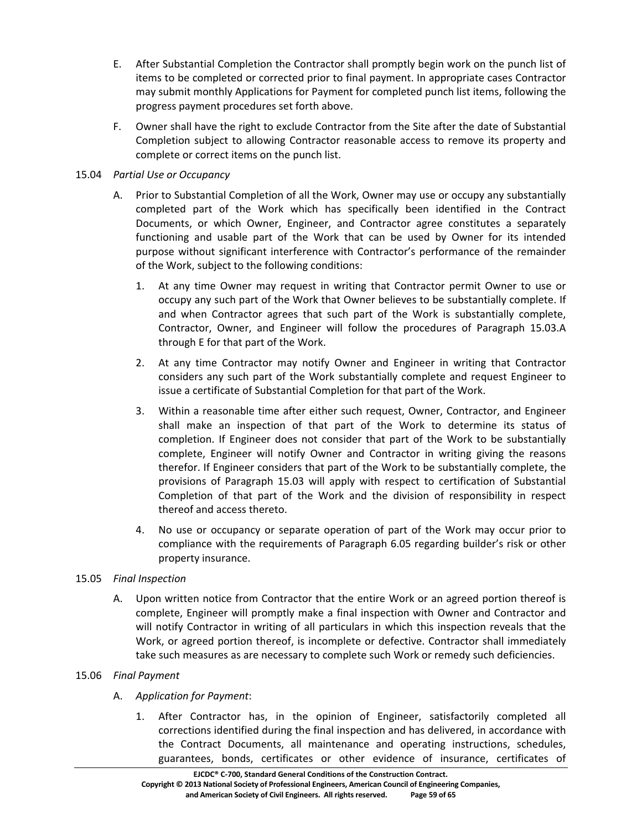- E. After Substantial Completion the Contractor shall promptly begin work on the punch list of items to be completed or corrected prior to final payment. In appropriate cases Contractor may submit monthly Applications for Payment for completed punch list items, following the progress payment procedures set forth above.
- F. Owner shall have the right to exclude Contractor from the Site after the date of Substantial Completion subject to allowing Contractor reasonable access to remove its property and complete or correct items on the punch list.

# 15.04 *Partial Use or Occupancy*

- A. Prior to Substantial Completion of all the Work, Owner may use or occupy any substantially completed part of the Work which has specifically been identified in the Contract Documents, or which Owner, Engineer, and Contractor agree constitutes a separately functioning and usable part of the Work that can be used by Owner for its intended purpose without significant interference with Contractor's performance of the remainder of the Work, subject to the following conditions:
	- 1. At any time Owner may request in writing that Contractor permit Owner to use or occupy any such part of the Work that Owner believes to be substantially complete. If and when Contractor agrees that such part of the Work is substantially complete, Contractor, Owner, and Engineer will follow the procedures of Paragraph 15.03.A through E for that part of the Work.
	- 2. At any time Contractor may notify Owner and Engineer in writing that Contractor considers any such part of the Work substantially complete and request Engineer to issue a certificate of Substantial Completion for that part of the Work.
	- 3. Within a reasonable time after either such request, Owner, Contractor, and Engineer shall make an inspection of that part of the Work to determine its status of completion. If Engineer does not consider that part of the Work to be substantially complete, Engineer will notify Owner and Contractor in writing giving the reasons therefor. If Engineer considers that part of the Work to be substantially complete, the provisions of Paragraph 15.03 will apply with respect to certification of Substantial Completion of that part of the Work and the division of responsibility in respect thereof and access thereto.
	- 4. No use or occupancy or separate operation of part of the Work may occur prior to compliance with the requirements of Paragraph 6.05 regarding builder's risk or other property insurance.

# 15.05 *Final Inspection*

A. Upon written notice from Contractor that the entire Work or an agreed portion thereof is complete, Engineer will promptly make a final inspection with Owner and Contractor and will notify Contractor in writing of all particulars in which this inspection reveals that the Work, or agreed portion thereof, is incomplete or defective. Contractor shall immediately take such measures as are necessary to complete such Work or remedy such deficiencies.

# 15.06 *Final Payment*

- A. *Application for Payment*:
	- 1. After Contractor has, in the opinion of Engineer, satisfactorily completed all corrections identified during the final inspection and has delivered, in accordance with the Contract Documents, all maintenance and operating instructions, schedules, guarantees, bonds, certificates or other evidence of insurance, certificates of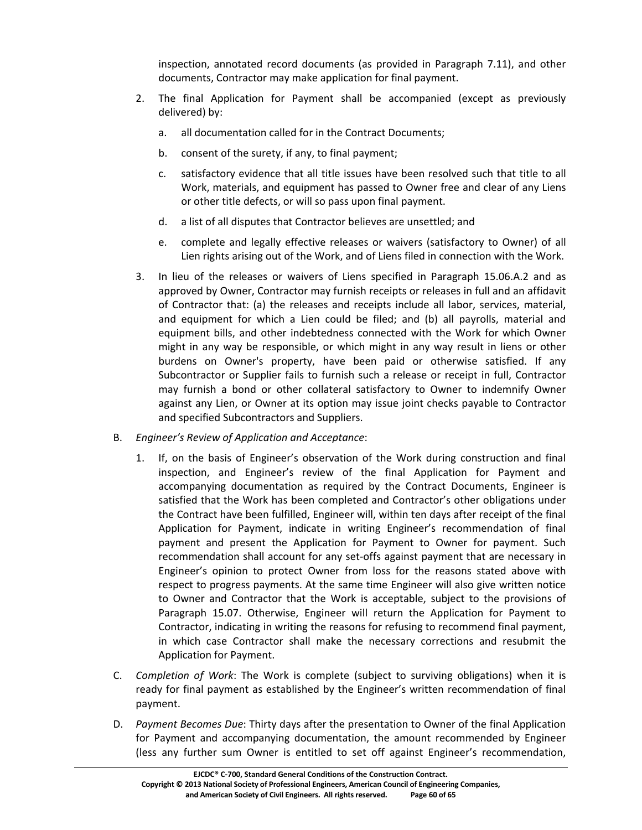inspection, annotated record documents (as provided in Paragraph 7.11), and other documents, Contractor may make application for final payment.

- 2. The final Application for Payment shall be accompanied (except as previously delivered) by:
	- a. all documentation called for in the Contract Documents;
	- b. consent of the surety, if any, to final payment;
	- c. satisfactory evidence that all title issues have been resolved such that title to all Work, materials, and equipment has passed to Owner free and clear of any Liens or other title defects, or will so pass upon final payment.
	- d. a list of all disputes that Contractor believes are unsettled; and
	- e. complete and legally effective releases or waivers (satisfactory to Owner) of all Lien rights arising out of the Work, and of Liens filed in connection with the Work.
- 3. In lieu of the releases or waivers of Liens specified in Paragraph 15.06.A.2 and as approved by Owner, Contractor may furnish receipts or releases in full and an affidavit of Contractor that: (a) the releases and receipts include all labor, services, material, and equipment for which a Lien could be filed; and (b) all payrolls, material and equipment bills, and other indebtedness connected with the Work for which Owner might in any way be responsible, or which might in any way result in liens or other burdens on Owner's property, have been paid or otherwise satisfied. If any Subcontractor or Supplier fails to furnish such a release or receipt in full, Contractor may furnish a bond or other collateral satisfactory to Owner to indemnify Owner against any Lien, or Owner at its option may issue joint checks payable to Contractor and specified Subcontractors and Suppliers.
- B. *Engineer's Review of Application and Acceptance*:
	- 1. If, on the basis of Engineer's observation of the Work during construction and final inspection, and Engineer's review of the final Application for Payment and accompanying documentation as required by the Contract Documents, Engineer is satisfied that the Work has been completed and Contractor's other obligations under the Contract have been fulfilled, Engineer will, within ten days after receipt of the final Application for Payment, indicate in writing Engineer's recommendation of final payment and present the Application for Payment to Owner for payment. Such recommendation shall account for any set‐offs against payment that are necessary in Engineer's opinion to protect Owner from loss for the reasons stated above with respect to progress payments. At the same time Engineer will also give written notice to Owner and Contractor that the Work is acceptable, subject to the provisions of Paragraph 15.07. Otherwise, Engineer will return the Application for Payment to Contractor, indicating in writing the reasons for refusing to recommend final payment, in which case Contractor shall make the necessary corrections and resubmit the Application for Payment.
- C. *Completion of Work*: The Work is complete (subject to surviving obligations) when it is ready for final payment as established by the Engineer's written recommendation of final payment.
- D. *Payment Becomes Due*: Thirty days after the presentation to Owner of the final Application for Payment and accompanying documentation, the amount recommended by Engineer (less any further sum Owner is entitled to set off against Engineer's recommendation,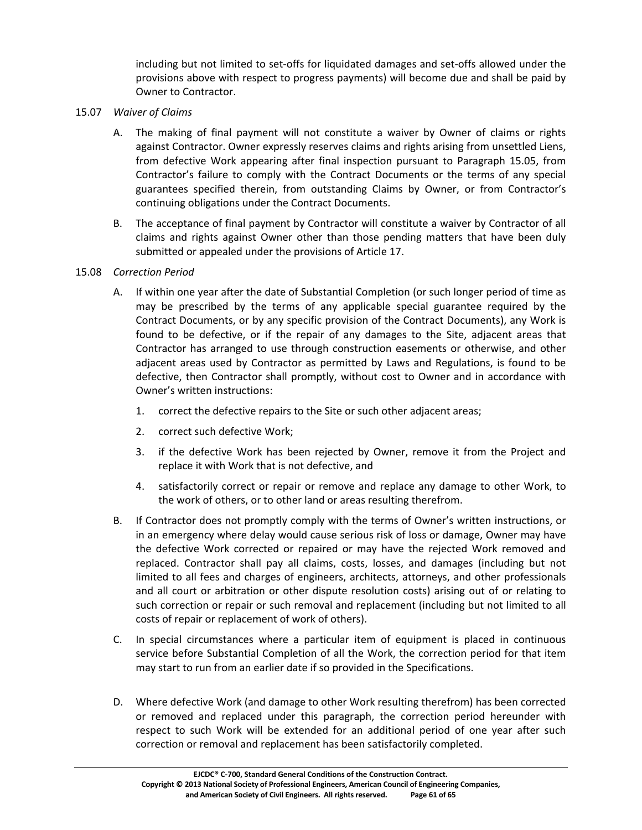including but not limited to set‐offs for liquidated damages and set‐offs allowed under the provisions above with respect to progress payments) will become due and shall be paid by Owner to Contractor.

- 15.07 *Waiver of Claims*
	- A. The making of final payment will not constitute a waiver by Owner of claims or rights against Contractor. Owner expressly reserves claims and rights arising from unsettled Liens, from defective Work appearing after final inspection pursuant to Paragraph 15.05, from Contractor's failure to comply with the Contract Documents or the terms of any special guarantees specified therein, from outstanding Claims by Owner, or from Contractor's continuing obligations under the Contract Documents.
	- B. The acceptance of final payment by Contractor will constitute a waiver by Contractor of all claims and rights against Owner other than those pending matters that have been duly submitted or appealed under the provisions of Article 17.

### 15.08 *Correction Period*

- A. If within one year after the date of Substantial Completion (or such longer period of time as may be prescribed by the terms of any applicable special guarantee required by the Contract Documents, or by any specific provision of the Contract Documents), any Work is found to be defective, or if the repair of any damages to the Site, adjacent areas that Contractor has arranged to use through construction easements or otherwise, and other adjacent areas used by Contractor as permitted by Laws and Regulations, is found to be defective, then Contractor shall promptly, without cost to Owner and in accordance with Owner's written instructions:
	- 1. correct the defective repairs to the Site or such other adjacent areas;
	- 2. correct such defective Work;
	- 3. if the defective Work has been rejected by Owner, remove it from the Project and replace it with Work that is not defective, and
	- 4. satisfactorily correct or repair or remove and replace any damage to other Work, to the work of others, or to other land or areas resulting therefrom.
- B. If Contractor does not promptly comply with the terms of Owner's written instructions, or in an emergency where delay would cause serious risk of loss or damage, Owner may have the defective Work corrected or repaired or may have the rejected Work removed and replaced. Contractor shall pay all claims, costs, losses, and damages (including but not limited to all fees and charges of engineers, architects, attorneys, and other professionals and all court or arbitration or other dispute resolution costs) arising out of or relating to such correction or repair or such removal and replacement (including but not limited to all costs of repair or replacement of work of others).
- C. In special circumstances where a particular item of equipment is placed in continuous service before Substantial Completion of all the Work, the correction period for that item may start to run from an earlier date if so provided in the Specifications.
- D. Where defective Work (and damage to other Work resulting therefrom) has been corrected or removed and replaced under this paragraph, the correction period hereunder with respect to such Work will be extended for an additional period of one year after such correction or removal and replacement has been satisfactorily completed.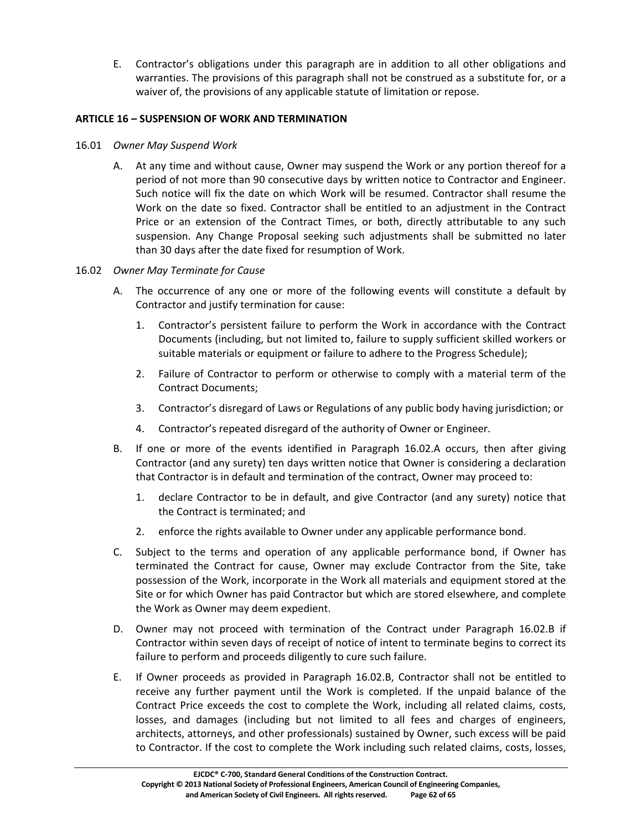E. Contractor's obligations under this paragraph are in addition to all other obligations and warranties. The provisions of this paragraph shall not be construed as a substitute for, or a waiver of, the provisions of any applicable statute of limitation or repose.

# **ARTICLE 16 – SUSPENSION OF WORK AND TERMINATION**

- 16.01 *Owner May Suspend Work*
	- A. At any time and without cause, Owner may suspend the Work or any portion thereof for a period of not more than 90 consecutive days by written notice to Contractor and Engineer. Such notice will fix the date on which Work will be resumed. Contractor shall resume the Work on the date so fixed. Contractor shall be entitled to an adjustment in the Contract Price or an extension of the Contract Times, or both, directly attributable to any such suspension. Any Change Proposal seeking such adjustments shall be submitted no later than 30 days after the date fixed for resumption of Work.

# 16.02 *Owner May Terminate for Cause*

- A. The occurrence of any one or more of the following events will constitute a default by Contractor and justify termination for cause:
	- 1. Contractor's persistent failure to perform the Work in accordance with the Contract Documents (including, but not limited to, failure to supply sufficient skilled workers or suitable materials or equipment or failure to adhere to the Progress Schedule);
	- 2. Failure of Contractor to perform or otherwise to comply with a material term of the Contract Documents;
	- 3. Contractor's disregard of Laws or Regulations of any public body having jurisdiction; or
	- 4. Contractor's repeated disregard of the authority of Owner or Engineer.
- B. If one or more of the events identified in Paragraph 16.02.A occurs, then after giving Contractor (and any surety) ten days written notice that Owner is considering a declaration that Contractor is in default and termination of the contract, Owner may proceed to:
	- 1. declare Contractor to be in default, and give Contractor (and any surety) notice that the Contract is terminated; and
	- 2. enforce the rights available to Owner under any applicable performance bond.
- C. Subject to the terms and operation of any applicable performance bond, if Owner has terminated the Contract for cause, Owner may exclude Contractor from the Site, take possession of the Work, incorporate in the Work all materials and equipment stored at the Site or for which Owner has paid Contractor but which are stored elsewhere, and complete the Work as Owner may deem expedient.
- D. Owner may not proceed with termination of the Contract under Paragraph 16.02.B if Contractor within seven days of receipt of notice of intent to terminate begins to correct its failure to perform and proceeds diligently to cure such failure.
- E. If Owner proceeds as provided in Paragraph 16.02.B, Contractor shall not be entitled to receive any further payment until the Work is completed. If the unpaid balance of the Contract Price exceeds the cost to complete the Work, including all related claims, costs, losses, and damages (including but not limited to all fees and charges of engineers, architects, attorneys, and other professionals) sustained by Owner, such excess will be paid to Contractor. If the cost to complete the Work including such related claims, costs, losses,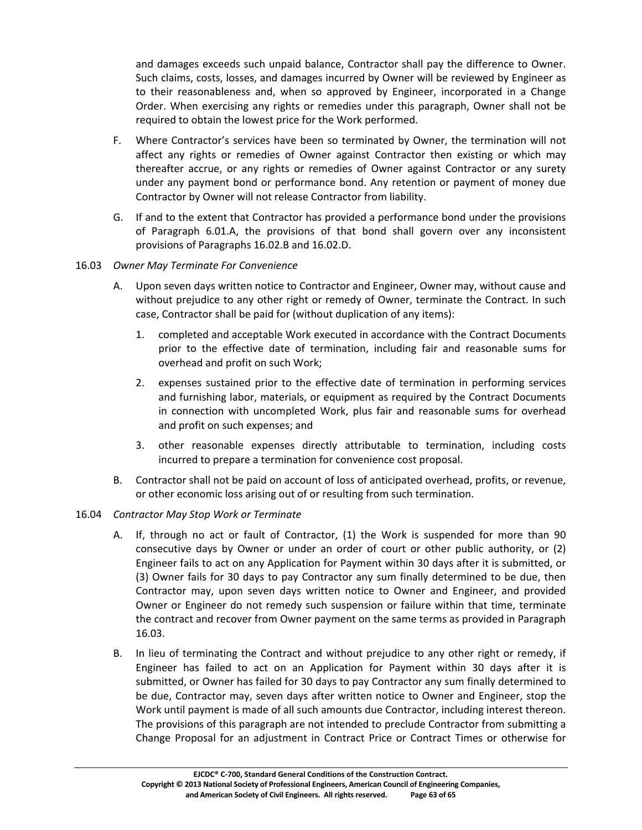and damages exceeds such unpaid balance, Contractor shall pay the difference to Owner. Such claims, costs, losses, and damages incurred by Owner will be reviewed by Engineer as to their reasonableness and, when so approved by Engineer, incorporated in a Change Order. When exercising any rights or remedies under this paragraph, Owner shall not be required to obtain the lowest price for the Work performed.

- F. Where Contractor's services have been so terminated by Owner, the termination will not affect any rights or remedies of Owner against Contractor then existing or which may thereafter accrue, or any rights or remedies of Owner against Contractor or any surety under any payment bond or performance bond. Any retention or payment of money due Contractor by Owner will not release Contractor from liability.
- G. If and to the extent that Contractor has provided a performance bond under the provisions of Paragraph 6.01.A, the provisions of that bond shall govern over any inconsistent provisions of Paragraphs 16.02.B and 16.02.D.
- 16.03 *Owner May Terminate For Convenience*
	- A. Upon seven days written notice to Contractor and Engineer, Owner may, without cause and without prejudice to any other right or remedy of Owner, terminate the Contract. In such case, Contractor shall be paid for (without duplication of any items):
		- 1. completed and acceptable Work executed in accordance with the Contract Documents prior to the effective date of termination, including fair and reasonable sums for overhead and profit on such Work;
		- 2. expenses sustained prior to the effective date of termination in performing services and furnishing labor, materials, or equipment as required by the Contract Documents in connection with uncompleted Work, plus fair and reasonable sums for overhead and profit on such expenses; and
		- 3. other reasonable expenses directly attributable to termination, including costs incurred to prepare a termination for convenience cost proposal.
	- B. Contractor shall not be paid on account of loss of anticipated overhead, profits, or revenue, or other economic loss arising out of or resulting from such termination.

# 16.04 *Contractor May Stop Work or Terminate*

- A. If, through no act or fault of Contractor, (1) the Work is suspended for more than 90 consecutive days by Owner or under an order of court or other public authority, or (2) Engineer fails to act on any Application for Payment within 30 days after it is submitted, or (3) Owner fails for 30 days to pay Contractor any sum finally determined to be due, then Contractor may, upon seven days written notice to Owner and Engineer, and provided Owner or Engineer do not remedy such suspension or failure within that time, terminate the contract and recover from Owner payment on the same terms as provided in Paragraph 16.03.
- B. In lieu of terminating the Contract and without prejudice to any other right or remedy, if Engineer has failed to act on an Application for Payment within 30 days after it is submitted, or Owner has failed for 30 days to pay Contractor any sum finally determined to be due, Contractor may, seven days after written notice to Owner and Engineer, stop the Work until payment is made of all such amounts due Contractor, including interest thereon. The provisions of this paragraph are not intended to preclude Contractor from submitting a Change Proposal for an adjustment in Contract Price or Contract Times or otherwise for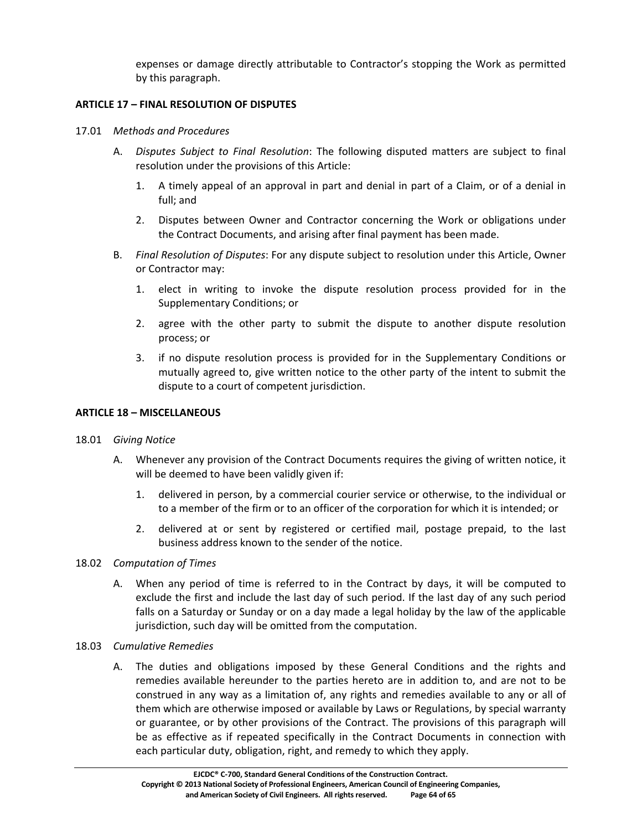expenses or damage directly attributable to Contractor's stopping the Work as permitted by this paragraph.

### **ARTICLE 17 – FINAL RESOLUTION OF DISPUTES**

#### 17.01 *Methods and Procedures*

- A. *Disputes Subject to Final Resolution*: The following disputed matters are subject to final resolution under the provisions of this Article:
	- 1. A timely appeal of an approval in part and denial in part of a Claim, or of a denial in full; and
	- 2. Disputes between Owner and Contractor concerning the Work or obligations under the Contract Documents, and arising after final payment has been made.
- B. *Final Resolution of Disputes*: For any dispute subject to resolution under this Article, Owner or Contractor may:
	- 1. elect in writing to invoke the dispute resolution process provided for in the Supplementary Conditions; or
	- 2. agree with the other party to submit the dispute to another dispute resolution process; or
	- 3. if no dispute resolution process is provided for in the Supplementary Conditions or mutually agreed to, give written notice to the other party of the intent to submit the dispute to a court of competent jurisdiction.

#### **ARTICLE 18 – MISCELLANEOUS**

- 18.01 *Giving Notice*
	- A. Whenever any provision of the Contract Documents requires the giving of written notice, it will be deemed to have been validly given if:
		- 1. delivered in person, by a commercial courier service or otherwise, to the individual or to a member of the firm or to an officer of the corporation for which it is intended; or
		- 2. delivered at or sent by registered or certified mail, postage prepaid, to the last business address known to the sender of the notice.

### 18.02 *Computation of Times*

- A. When any period of time is referred to in the Contract by days, it will be computed to exclude the first and include the last day of such period. If the last day of any such period falls on a Saturday or Sunday or on a day made a legal holiday by the law of the applicable jurisdiction, such day will be omitted from the computation.
- 18.03 *Cumulative Remedies*
	- A. The duties and obligations imposed by these General Conditions and the rights and remedies available hereunder to the parties hereto are in addition to, and are not to be construed in any way as a limitation of, any rights and remedies available to any or all of them which are otherwise imposed or available by Laws or Regulations, by special warranty or guarantee, or by other provisions of the Contract. The provisions of this paragraph will be as effective as if repeated specifically in the Contract Documents in connection with each particular duty, obligation, right, and remedy to which they apply.